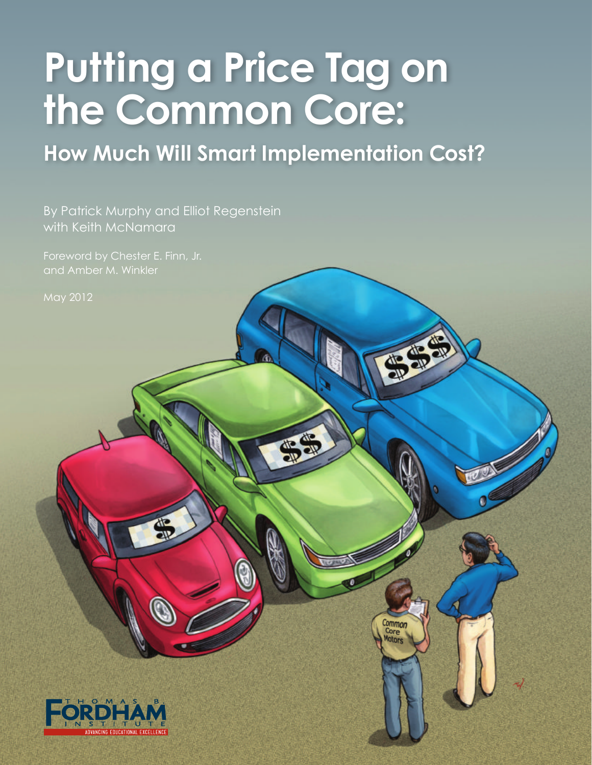# **Putting a Price Tag on the Common Core:**

**How Much Will Smart Implementation Cost?**

Common Core

By Patrick Murphy and Elliot Regenstein with Keith McNamara

and Amber M. Winkler

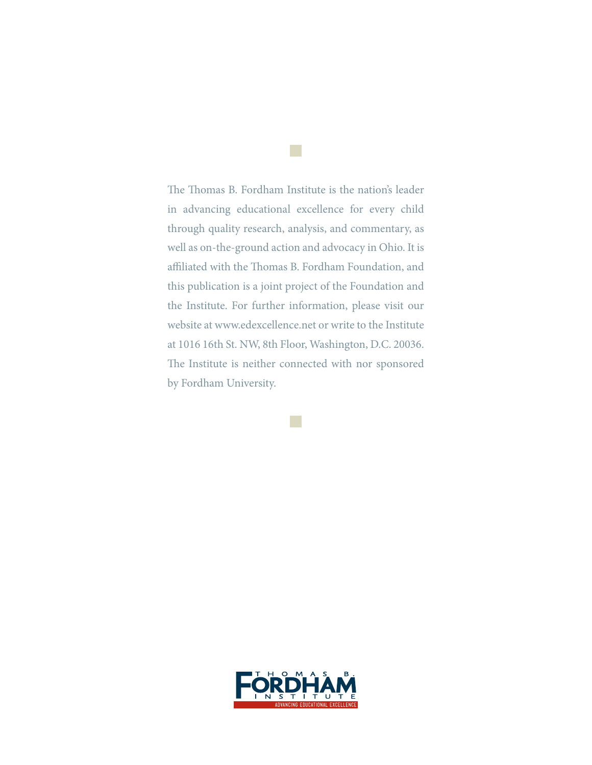The Thomas B. Fordham Institute is the nation's leader in advancing educational excellence for every child through quality research, analysis, and commentary, as well as on-the-ground action and advocacy in Ohio. It is affiliated with the Thomas B. Fordham Foundation, and this publication is a joint project of the Foundation and the Institute. For further information, please visit our website at www.edexcellence.net or write to the Institute at 1016 16th St. NW, 8th Floor, Washington, D.C. 20036. The Institute is neither connected with nor sponsored by Fordham University.

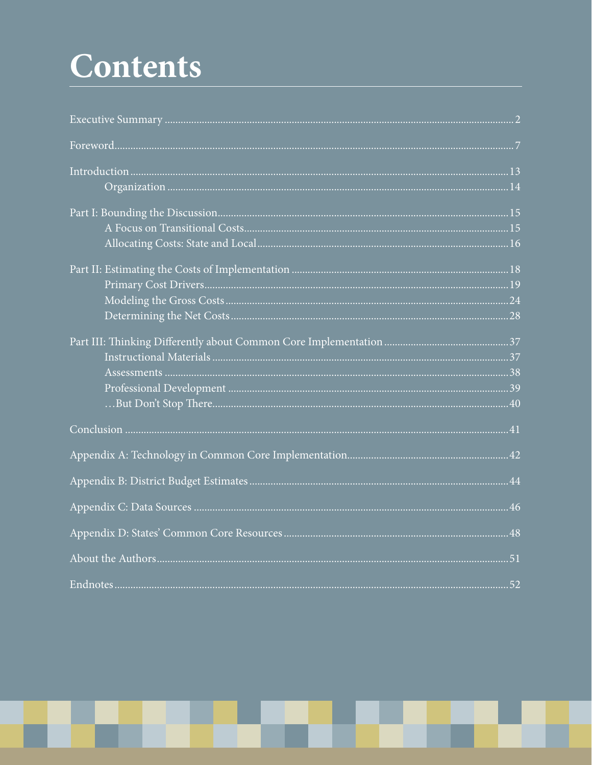# Contents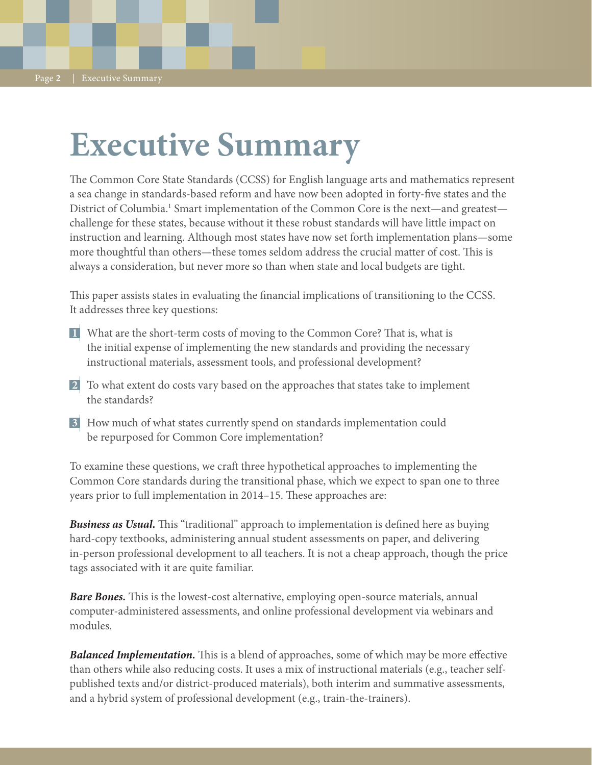# **Executive Summary**

The Common Core State Standards (CCSS) for English language arts and mathematics represent a sea change in standards-based reform and have now been adopted in forty-five states and the District of Columbia.<sup>1</sup> Smart implementation of the Common Core is the next—and greatest challenge for these states, because without it these robust standards will have little impact on instruction and learning. Although most states have now set forth implementation plans—some more thoughtful than others—these tomes seldom address the crucial matter of cost. This is always a consideration, but never more so than when state and local budgets are tight.

This paper assists states in evaluating the financial implications of transitioning to the CCSS. It addresses three key questions:

- What are the short-term costs of moving to the Common Core? That is, what is **1** the initial expense of implementing the new standards and providing the necessary instructional materials, assessment tools, and professional development?
- To what extent do costs vary based on the approaches that states take to implement **2** the standards?
- How much of what states currently spend on standards implementation could **3** be repurposed for Common Core implementation?

To examine these questions, we craft three hypothetical approaches to implementing the Common Core standards during the transitional phase, which we expect to span one to three years prior to full implementation in 2014–15. These approaches are:

*Business as Usual.* This "traditional" approach to implementation is defined here as buying hard-copy textbooks, administering annual student assessments on paper, and delivering in-person professional development to all teachers. It is not a cheap approach, though the price tags associated with it are quite familiar.

*Bare Bones.* This is the lowest-cost alternative, employing open-source materials, annual computer-administered assessments, and online professional development via webinars and modules.

**Balanced Implementation.** This is a blend of approaches, some of which may be more effective than others while also reducing costs. It uses a mix of instructional materials (e.g., teacher selfpublished texts and/or district-produced materials), both interim and summative assessments, and a hybrid system of professional development (e.g., train-the-trainers).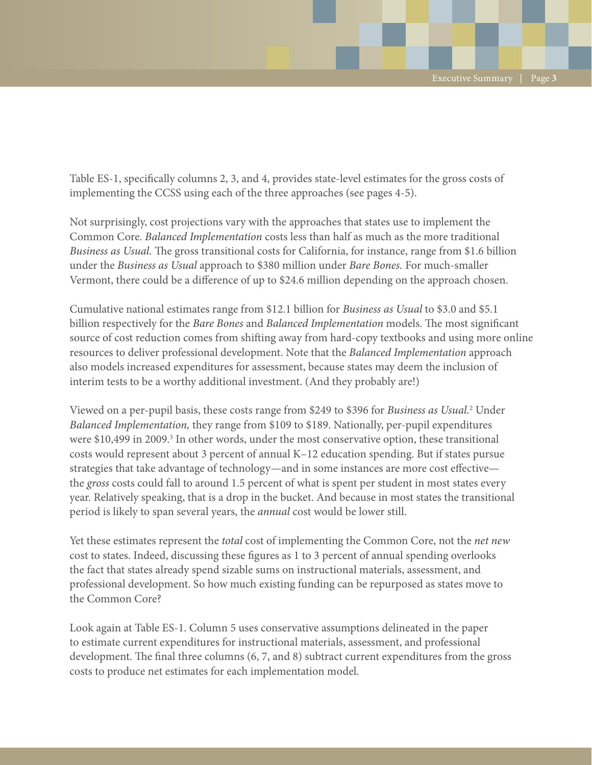Table ES-1, specifically columns 2, 3, and 4, provides state-level estimates for the gross costs of implementing the CCSS using each of the three approaches (see pages 4-5).

Not surprisingly, cost projections vary with the approaches that states use to implement the Common Core. *Balanced Implementation* costs less than half as much as the more traditional *Business as Usual.* The gross transitional costs for California, for instance, range from \$1.6 billion under the *Business as Usual* approach to \$380 million under *Bare Bones.* For much-smaller Vermont, there could be a difference of up to \$24.6 million depending on the approach chosen.

Cumulative national estimates range from \$12.1 billion for *Business as Usual* to \$3.0 and \$5.1 billion respectively for the *Bare Bones* and *Balanced Implementation* models. The most significant source of cost reduction comes from shifting away from hard-copy textbooks and using more online resources to deliver professional development. Note that the *Balanced Implementation* approach also models increased expenditures for assessment, because states may deem the inclusion of interim tests to be a worthy additional investment. (And they probably are!)

Viewed on a per-pupil basis, these costs range from \$249 to \$396 for *Business as Usual.*<sup>2</sup> Under *Balanced Implementation,* they range from \$109 to \$189. Nationally, per-pupil expenditures were \$10,499 in 2009.<sup>3</sup> In other words, under the most conservative option, these transitional costs would represent about 3 percent of annual K–12 education spending. But if states pursue strategies that take advantage of technology—and in some instances are more cost effective the *gross* costs could fall to around 1.5 percent of what is spent per student in most states every year. Relatively speaking, that is a drop in the bucket. And because in most states the transitional period is likely to span several years, the *annual* cost would be lower still.

Yet these estimates represent the *total* cost of implementing the Common Core, not the *net new* cost to states. Indeed, discussing these figures as 1 to 3 percent of annual spending overlooks the fact that states already spend sizable sums on instructional materials, assessment, and professional development. So how much existing funding can be repurposed as states move to the Common Core?

Look again at Table ES-1. Column 5 uses conservative assumptions delineated in the paper to estimate current expenditures for instructional materials, assessment, and professional development. The final three columns (6, 7, and 8) subtract current expenditures from the gross costs to produce net estimates for each implementation model.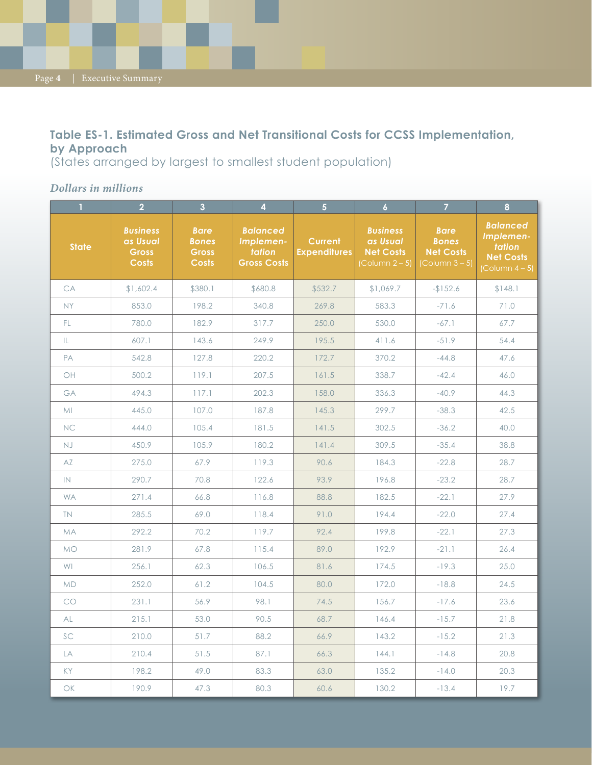Page **4** | Executive Summary

### **Table ES-1. Estimated Gross and Net Transitional Costs for CCSS Implementation, by Approach**

(States arranged by largest to smallest student population)

### *Dollars in millions*

| $\mathbf{1}$ | $\overline{2}$                                              | $\overline{\mathbf{3}}$                              | $\overline{\mathbf{4}}$                                      | $\overline{5}$                        | $\overline{6}$                                                            | $\overline{7}$                                                            | $\bf{8}$                                                                                        |
|--------------|-------------------------------------------------------------|------------------------------------------------------|--------------------------------------------------------------|---------------------------------------|---------------------------------------------------------------------------|---------------------------------------------------------------------------|-------------------------------------------------------------------------------------------------|
| <b>State</b> | <b>Business</b><br>as Usual<br><b>Gross</b><br><b>Costs</b> | <b>Bare</b><br><b>Bones</b><br>Gross<br><b>Costs</b> | <b>Balanced</b><br>Implemen-<br>tation<br><b>Gross Costs</b> | <b>Current</b><br><b>Expenditures</b> | <b>Business</b><br>as Usual<br><b>Net Costs</b><br>$\left[$ Column 2 – 5) | <b>Bare</b><br><b>Bones</b><br><b>Net Costs</b><br>$\left($ Column 3 – 5) | <b>Balanced</b><br>Implemen-<br>tation<br><b>Net Costs</b><br>$\left(\text{Column } 4-5\right)$ |
| CA           | \$1,602.4                                                   | \$380.1                                              | \$680.8                                                      | \$532.7                               | \$1,069.7                                                                 | $-152.6$                                                                  | \$148.1                                                                                         |
| <b>NY</b>    | 853.0                                                       | 198.2                                                | 340.8                                                        | 269.8                                 | 583.3                                                                     | $-71.6$                                                                   | 71.0                                                                                            |
| FL.          | 780.0                                                       | 182.9                                                | 317.7                                                        | 250.0                                 | 530.0                                                                     | $-67.1$                                                                   | 67.7                                                                                            |
| IL.          | 607.1                                                       | 143.6                                                | 249.9                                                        | 195.5                                 | 411.6                                                                     | $-51.9$                                                                   | 54.4                                                                                            |
| PA           | 542.8                                                       | 127.8                                                | 220.2                                                        | 172.7                                 | 370.2                                                                     | $-44.8$                                                                   | 47.6                                                                                            |
| OH           | 500.2                                                       | 119.1                                                | 207.5                                                        | 161.5                                 | 338.7                                                                     | $-42.4$                                                                   | 46.0                                                                                            |
| GA           | 494.3                                                       | 117.1                                                | 202.3                                                        | 158.0                                 | 336.3                                                                     | $-40.9$                                                                   | 44.3                                                                                            |
| MI           | 445.0                                                       | 107.0                                                | 187.8                                                        | 145.3                                 | 299.7                                                                     | $-38.3$                                                                   | 42.5                                                                                            |
| <b>NC</b>    | 444.0                                                       | 105.4                                                | 181.5                                                        | 141.5                                 | 302.5                                                                     | $-36.2$                                                                   | 40.0                                                                                            |
| <b>NJ</b>    | 450.9                                                       | 105.9                                                | 180.2                                                        | 141.4                                 | 309.5                                                                     | $-35.4$                                                                   | 38.8                                                                                            |
| AZ           | 275.0                                                       | 67.9                                                 | 119.3                                                        | 90.6                                  | 184.3                                                                     | $-22.8$                                                                   | 28.7                                                                                            |
| IN           | 290.7                                                       | 70.8                                                 | 122.6                                                        | 93.9                                  | 196.8                                                                     | $-23.2$                                                                   | 28.7                                                                                            |
| <b>WA</b>    | 271.4                                                       | 66.8                                                 | 116.8                                                        | 88.8                                  | 182.5                                                                     | $-22.1$                                                                   | 27.9                                                                                            |
| TN.          | 285.5                                                       | 69.0                                                 | 118.4                                                        | 91.0                                  | 194.4                                                                     | $-22.0$                                                                   | 27.4                                                                                            |
| <b>MA</b>    | 292.2                                                       | 70.2                                                 | 119.7                                                        | 92.4                                  | 199.8                                                                     | $-22.1$                                                                   | 27.3                                                                                            |
| <b>MO</b>    | 281.9                                                       | 67.8                                                 | 115.4                                                        | 89.0                                  | 192.9                                                                     | $-21.1$                                                                   | 26.4                                                                                            |
| WI           | 256.1                                                       | 62.3                                                 | 106.5                                                        | 81.6                                  | 174.5                                                                     | $-19.3$                                                                   | 25.0                                                                                            |
| <b>MD</b>    | 252.0                                                       | 61.2                                                 | 104.5                                                        | 80.0                                  | 172.0                                                                     | $-18.8$                                                                   | 24.5                                                                                            |
| CO           | 231.1                                                       | 56.9                                                 | 98.1                                                         | 74.5                                  | 156.7                                                                     | $-17.6$                                                                   | 23.6                                                                                            |
| AL           | 215.1                                                       | 53.0                                                 | 90.5                                                         | 68.7                                  | 146.4                                                                     | $-15.7$                                                                   | 21.8                                                                                            |
| SC           | 210.0                                                       | 51.7                                                 | 88.2                                                         | 66.9                                  | 143.2                                                                     | $-15.2$                                                                   | 21.3                                                                                            |
| LA           | 210.4                                                       | 51.5                                                 | 87.1                                                         | 66.3                                  | 144.1                                                                     | $-14.8$                                                                   | 20.8                                                                                            |
| KY           | 198.2                                                       | 49.0                                                 | 83.3                                                         | 63.0                                  | 135.2                                                                     | $-14.0$                                                                   | 20.3                                                                                            |
| $\bigcirc$   | 190.9                                                       | 47.3                                                 | 80.3                                                         | 60.6                                  | 130.2                                                                     | $-13.4$                                                                   | 19.7                                                                                            |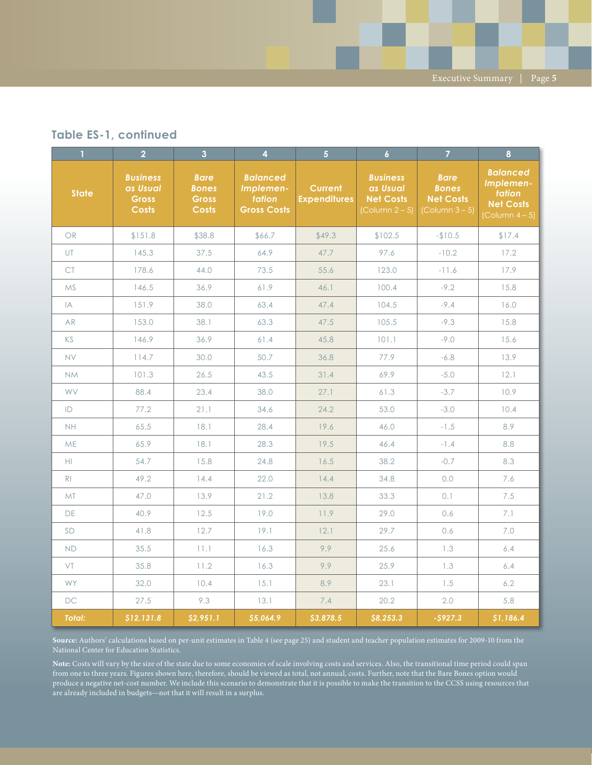#### **Table ES-1, continued**

| $\mathbf{1}$   | $\overline{2}$                                              | $\overline{3}$                                              | $\overline{4}$                                               | $\overline{5}$                        | $\overline{6}$                                                            | $\overline{7}$                                                            | 8                                                                                    |
|----------------|-------------------------------------------------------------|-------------------------------------------------------------|--------------------------------------------------------------|---------------------------------------|---------------------------------------------------------------------------|---------------------------------------------------------------------------|--------------------------------------------------------------------------------------|
| <b>State</b>   | <b>Business</b><br>as Usual<br><b>Gross</b><br><b>Costs</b> | <b>Bare</b><br><b>Bones</b><br><b>Gross</b><br><b>Costs</b> | <b>Balanced</b><br>Implemen-<br>tation<br><b>Gross Costs</b> | <b>Current</b><br><b>Expenditures</b> | <b>Business</b><br>as Usual<br><b>Net Costs</b><br>$\left($ Column 2 – 5) | <b>Bare</b><br><b>Bones</b><br><b>Net Costs</b><br>$\left($ Column 3 – 5) | <b>Balanced</b><br>Implemen-<br>tation<br><b>Net Costs</b><br>$\left($ Column 4 – 5) |
| <b>OR</b>      | \$151.8                                                     | \$38.8                                                      | \$66.7                                                       | \$49.3                                | \$102.5                                                                   | $-$10.5$                                                                  | \$17.4                                                                               |
| UT             | 145.3                                                       | 37.5                                                        | 64.9                                                         | 47.7                                  | 97.6                                                                      | $-10.2$                                                                   | 17.2                                                                                 |
| <b>CT</b>      | 178.6                                                       | 44.0                                                        | 73.5                                                         | 55.6                                  | 123.0                                                                     | $-11.6$                                                                   | 17.9                                                                                 |
| <b>MS</b>      | 146.5                                                       | 36.9                                                        | 61.9                                                         | 46.1                                  | 100.4                                                                     | $-9.2$                                                                    | 15.8                                                                                 |
| IA             | 151.9                                                       | 38.0                                                        | 63.4                                                         | 47.4                                  | 104.5                                                                     | $-9.4$                                                                    | 16.0                                                                                 |
| <b>AR</b>      | 153.0                                                       | 38.1                                                        | 63.3                                                         | 47.5                                  | 105.5                                                                     | $-9.3$                                                                    | 15.8                                                                                 |
| KS.            | 146.9                                                       | 36.9                                                        | 61.4                                                         | 45.8                                  | 101.1                                                                     | $-9.0$                                                                    | 15.6                                                                                 |
| <b>NV</b>      | 114.7                                                       | 30.0                                                        | 50.7                                                         | 36.8                                  | 77.9                                                                      | $-6.8$                                                                    | 13.9                                                                                 |
| <b>NM</b>      | 101.3                                                       | 26.5                                                        | 43.5                                                         | 31.4                                  | 69.9                                                                      | $-5.0$                                                                    | 12.1                                                                                 |
| <b>WV</b>      | 88.4                                                        | 23.4                                                        | 38.0                                                         | 27.1                                  | 61.3                                                                      | $-3.7$                                                                    | 10.9                                                                                 |
| ID             | 77.2                                                        | 21.1                                                        | 34.6                                                         | 24.2                                  | 53.0                                                                      | $-3.0$                                                                    | 10.4                                                                                 |
| <b>NH</b>      | 65.5                                                        | 18.1                                                        | 28.4                                                         | 19.6                                  | 46.0                                                                      | $-1.5$                                                                    | 8.9                                                                                  |
| ME             | 65.9                                                        | 18.1                                                        | 28.3                                                         | 19.5                                  | 46.4                                                                      | $-1.4$                                                                    | 8.8                                                                                  |
| HI.            | 54.7                                                        | 15.8                                                        | 24.8                                                         | 16.5                                  | 38.2                                                                      | $-0.7$                                                                    | 8.3                                                                                  |
| R <sub>1</sub> | 49.2                                                        | 14.4                                                        | 22.0                                                         | 14.4                                  | 34.8                                                                      | 0.0                                                                       | 7.6                                                                                  |
| <b>MT</b>      | 47.0                                                        | 13.9                                                        | 21.2                                                         | 13.8                                  | 33.3                                                                      | 0.1                                                                       | 7.5                                                                                  |
| DE             | 40.9                                                        | 12.5                                                        | 19.0                                                         | 11.9                                  | 29.0                                                                      | 0.6                                                                       | 7.1                                                                                  |
| <b>SD</b>      | 41.8                                                        | 12.7                                                        | 19.1                                                         | 12.1                                  | 29.7                                                                      | 0.6                                                                       | $7.0\,$                                                                              |
| <b>ND</b>      | 35.5                                                        | 11.1                                                        | 16.3                                                         | 9.9                                   | 25.6                                                                      | 1.3                                                                       | 6.4                                                                                  |
| VT             | 35.8                                                        | 11.2                                                        | 16.3                                                         | 9.9                                   | 25.9                                                                      | 1.3                                                                       | 6.4                                                                                  |
| <b>WY</b>      | 32.0                                                        | 10.4                                                        | 15.1                                                         | 8.9                                   | 23.1                                                                      | 1.5                                                                       | 6.2                                                                                  |
| <b>DC</b>      | 27.5                                                        | 9.3                                                         | 13.1                                                         | 7.4                                   | 20.2                                                                      | 2.0                                                                       | 5.8                                                                                  |
| <b>Total:</b>  | \$12,131.8                                                  | \$2,951.1                                                   | \$5,064.9                                                    | \$3,878.5                             | \$8,253.3                                                                 | $-5927.3$                                                                 | \$1,186.4                                                                            |

**Source:** Authors' calculations based on per-unit estimates in Table 4 (see page 25) and student and teacher population estimates for 2009-10 from the

**Note:** Costs will vary by the size of the state due to some economies of scale involving costs and services. Also, the transitional time period could span from one to three years. Figures shown here, therefore, should be viewed as total, not annual, costs. Further, note that the Bare Bones option would produce a negative net-cost number. We include this scenario to demonstrate that it is possible to make the transition to the CCSS using resources that are already included in budgets—not that it will result in a surplus.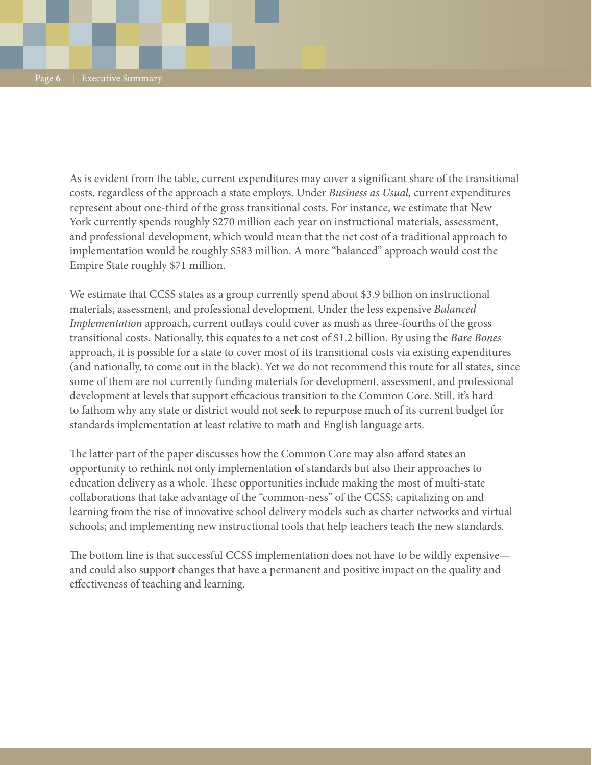As is evident from the table, current expenditures may cover a significant share of the transitional costs, regardless of the approach a state employs. Under *Business as Usual,* current expenditures represent about one-third of the gross transitional costs. For instance, we estimate that New York currently spends roughly \$270 million each year on instructional materials, assessment, and professional development, which would mean that the net cost of a traditional approach to implementation would be roughly \$583 million. A more "balanced" approach would cost the Empire State roughly \$71 million.

We estimate that CCSS states as a group currently spend about \$3.9 billion on instructional materials, assessment, and professional development. Under the less expensive *Balanced Implementation* approach, current outlays could cover as mush as three-fourths of the gross transitional costs. Nationally, this equates to a net cost of \$1.2 billion. By using the *Bare Bones* approach, it is possible for a state to cover most of its transitional costs via existing expenditures (and nationally, to come out in the black). Yet we do not recommend this route for all states, since some of them are not currently funding materials for development, assessment, and professional development at levels that support efficacious transition to the Common Core. Still, it's hard to fathom why any state or district would not seek to repurpose much of its current budget for standards implementation at least relative to math and English language arts.

The latter part of the paper discusses how the Common Core may also afford states an opportunity to rethink not only implementation of standards but also their approaches to education delivery as a whole. These opportunities include making the most of multi-state collaborations that take advantage of the "common-ness" of the CCSS; capitalizing on and learning from the rise of innovative school delivery models such as charter networks and virtual schools; and implementing new instructional tools that help teachers teach the new standards.

The bottom line is that successful CCSS implementation does not have to be wildly expensive and could also support changes that have a permanent and positive impact on the quality and effectiveness of teaching and learning.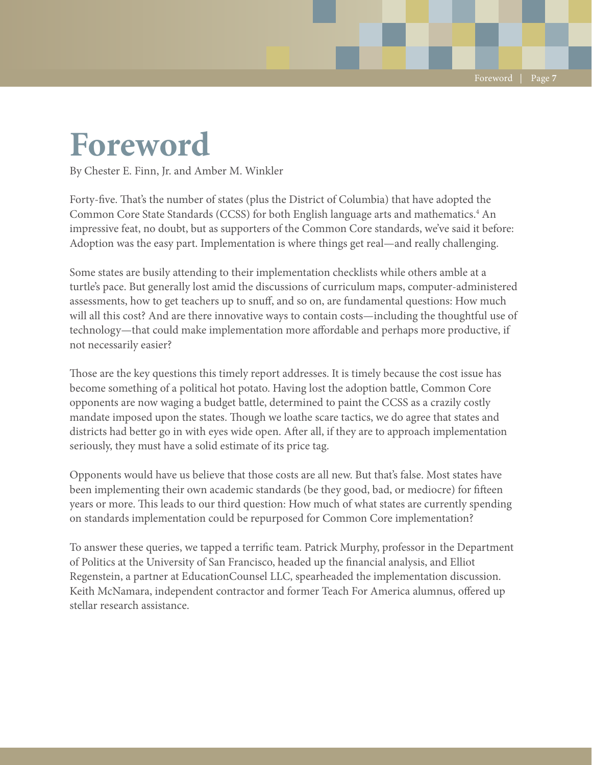## **Foreword**

By Chester E. Finn, Jr. and Amber M. Winkler

Forty-five. That's the number of states (plus the District of Columbia) that have adopted the Common Core State Standards (CCSS) for both English language arts and mathematics.<sup>4</sup> An impressive feat, no doubt, but as supporters of the Common Core standards, we've said it before: Adoption was the easy part. Implementation is where things get real—and really challenging.

Some states are busily attending to their implementation checklists while others amble at a turtle's pace. But generally lost amid the discussions of curriculum maps, computer-administered assessments, how to get teachers up to snuff, and so on, are fundamental questions: How much will all this cost? And are there innovative ways to contain costs—including the thoughtful use of technology—that could make implementation more affordable and perhaps more productive, if not necessarily easier?

Those are the key questions this timely report addresses. It is timely because the cost issue has become something of a political hot potato. Having lost the adoption battle, Common Core opponents are now waging a budget battle, determined to paint the CCSS as a crazily costly mandate imposed upon the states. Though we loathe scare tactics, we do agree that states and districts had better go in with eyes wide open. After all, if they are to approach implementation seriously, they must have a solid estimate of its price tag.

Opponents would have us believe that those costs are all new. But that's false. Most states have been implementing their own academic standards (be they good, bad, or mediocre) for fifteen years or more. This leads to our third question: How much of what states are currently spending on standards implementation could be repurposed for Common Core implementation?

To answer these queries, we tapped a terrific team. Patrick Murphy, professor in the Department of Politics at the University of San Francisco, headed up the financial analysis, and Elliot Regenstein, a partner at EducationCounsel LLC, spearheaded the implementation discussion. Keith McNamara, independent contractor and former Teach For America alumnus, offered up stellar research assistance.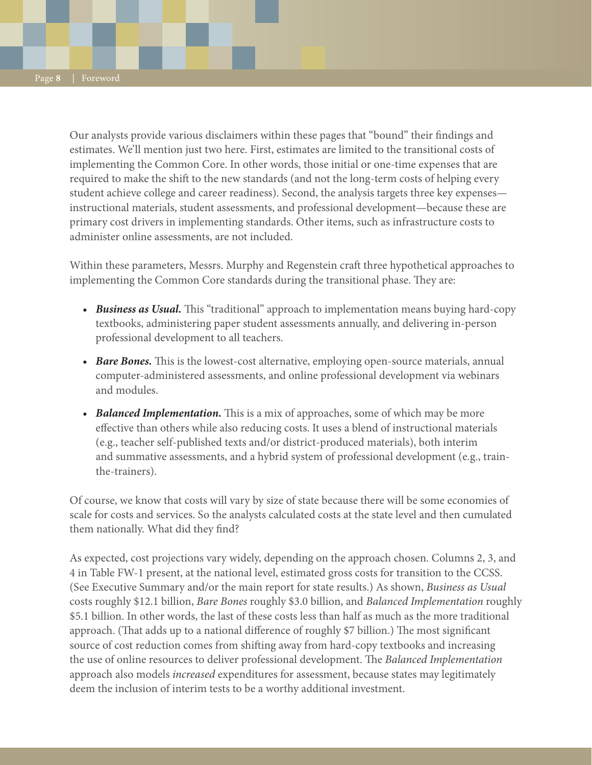Our analysts provide various disclaimers within these pages that "bound" their findings and estimates. We'll mention just two here. First, estimates are limited to the transitional costs of implementing the Common Core. In other words, those initial or one-time expenses that are required to make the shift to the new standards (and not the long-term costs of helping every student achieve college and career readiness). Second, the analysis targets three key expenses instructional materials, student assessments, and professional development—because these are primary cost drivers in implementing standards. Other items, such as infrastructure costs to administer online assessments, are not included.

Within these parameters, Messrs. Murphy and Regenstein craft three hypothetical approaches to implementing the Common Core standards during the transitional phase. They are:

- *Business as Usual*. This "traditional" approach to implementation means buying hard-copy textbooks, administering paper student assessments annually, and delivering in-person professional development to all teachers.
- *Bare Bones.* This is the lowest-cost alternative, employing open-source materials, annual computer-administered assessments, and online professional development via webinars and modules.
- *Balanced Implementation*. This is a mix of approaches, some of which may be more effective than others while also reducing costs. It uses a blend of instructional materials (e.g., teacher self-published texts and/or district-produced materials), both interim and summative assessments, and a hybrid system of professional development (e.g., trainthe-trainers).

Of course, we know that costs will vary by size of state because there will be some economies of scale for costs and services. So the analysts calculated costs at the state level and then cumulated them nationally. What did they find?

As expected, cost projections vary widely, depending on the approach chosen. Columns 2, 3, and 4 in Table FW-1 present, at the national level, estimated gross costs for transition to the CCSS. (See Executive Summary and/or the main report for state results.) As shown, *Business as Usual* costs roughly \$12.1 billion, *Bare Bones* roughly \$3.0 billion, and *Balanced Implementation* roughly \$5.1 billion. In other words, the last of these costs less than half as much as the more traditional approach. (That adds up to a national difference of roughly \$7 billion.) The most significant source of cost reduction comes from shifting away from hard-copy textbooks and increasing the use of online resources to deliver professional development. The *Balanced Implementation* approach also models *increased* expenditures for assessment, because states may legitimately deem the inclusion of interim tests to be a worthy additional investment.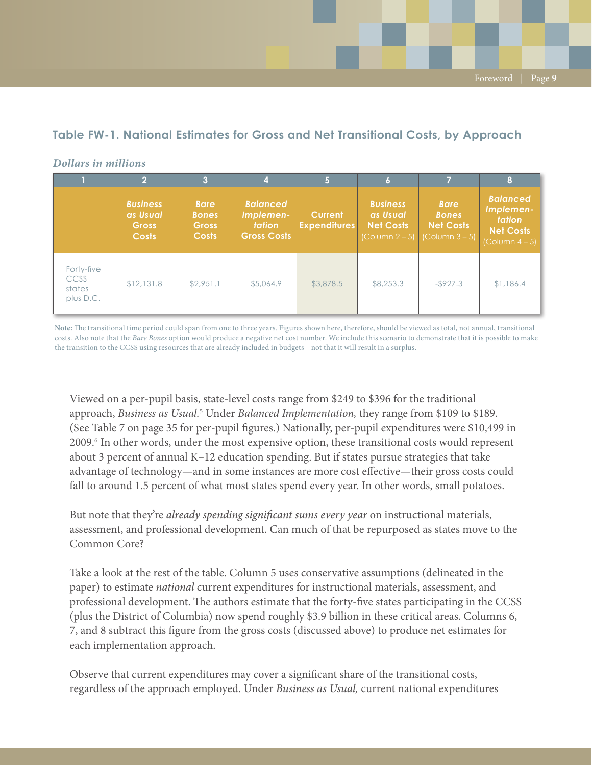### **Table FW-1. National Estimates for Gross and Net Transitional Costs, by Approach**

|                                           |                                                             | 3                                                           | 4                                                                   |                                       | l 6                                                                        |                                                                                   | 8                                                                                           |
|-------------------------------------------|-------------------------------------------------------------|-------------------------------------------------------------|---------------------------------------------------------------------|---------------------------------------|----------------------------------------------------------------------------|-----------------------------------------------------------------------------------|---------------------------------------------------------------------------------------------|
|                                           | <b>Business</b><br>as Usual<br><b>Gross</b><br><b>Costs</b> | <b>Bare</b><br><b>Bones</b><br><b>Gross</b><br><b>Costs</b> | <b>Balanced</b><br>Implemen-<br><b>tation</b><br><b>Gross Costs</b> | <b>Current</b><br><b>Expenditures</b> | <b>Business</b><br>as Usual<br><b>Net Costs</b><br>$\lfloor$ Column 2 – 5) | <b>Bare</b><br><b>Bones</b><br><b>Net Costs</b><br>$\text{(\text{Column }3 - 5)}$ | <b>Balanced</b><br>Implemen-<br><b>tation</b><br><b>Net Costs</b><br>$\left($ Column 4 – 5) |
| Forty-five<br>CCSS<br>states<br>plus D.C. | \$12,131.8                                                  | \$2,951.1                                                   | \$5,064.9                                                           | \$3,878.5                             | \$8,253.3                                                                  | $-$ \$927.3                                                                       | \$1,186.4                                                                                   |

#### *Dollars in millions*

**Note:** The transitional time period could span from one to three years. Figures shown here, therefore, should be viewed as total, not annual, transitional costs. Also note that the *Bare Bones* option would produce a negative net cost number. We include this scenario to demonstrate that it is possible to make the transition to the CCSS using resources that are already included in budgets—not that it will result in a surplus.

Viewed on a per-pupil basis, state-level costs range from \$249 to \$396 for the traditional approach, *Business as Usual.<sup>5</sup>* Under *Balanced Implementation*, they range from \$109 to \$189. (See Table 7 on page 35 for per-pupil figures.) Nationally, per-pupil expenditures were \$10,499 in 2009.<sup>6</sup> In other words, under the most expensive option, these transitional costs would represent about 3 percent of annual K–12 education spending. But if states pursue strategies that take advantage of technology—and in some instances are more cost effective—their gross costs could fall to around 1.5 percent of what most states spend every year. In other words, small potatoes.

But note that they're *already spending significant sums every year* on instructional materials, assessment, and professional development. Can much of that be repurposed as states move to the Common Core?

Take a look at the rest of the table. Column 5 uses conservative assumptions (delineated in the paper) to estimate *national* current expenditures for instructional materials, assessment, and professional development. The authors estimate that the forty-five states participating in the CCSS (plus the District of Columbia) now spend roughly \$3.9 billion in these critical areas. Columns 6, 7, and 8 subtract this figure from the gross costs (discussed above) to produce net estimates for each implementation approach.

Observe that current expenditures may cover a significant share of the transitional costs, regardless of the approach employed. Under *Business as Usual,* current national expenditures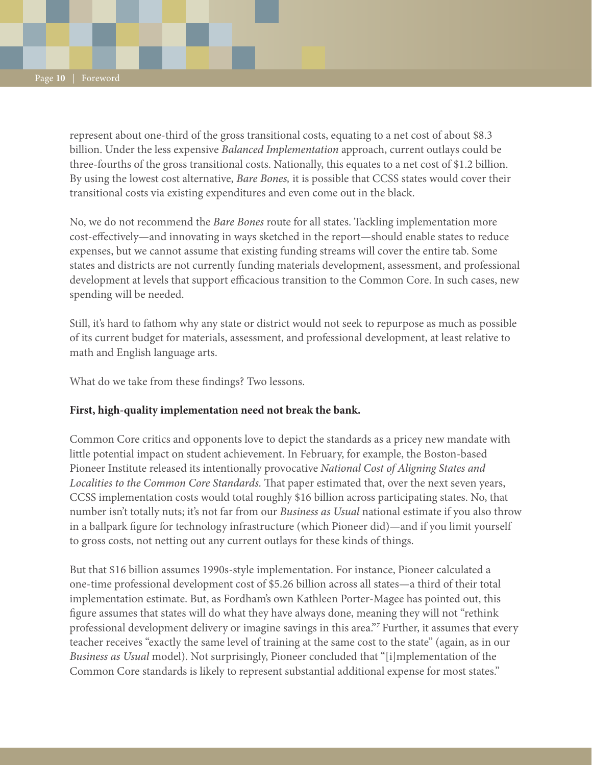represent about one-third of the gross transitional costs, equating to a net cost of about \$8.3 billion. Under the less expensive *Balanced Implementation* approach, current outlays could be three-fourths of the gross transitional costs. Nationally, this equates to a net cost of \$1.2 billion. By using the lowest cost alternative, *Bare Bones,* it is possible that CCSS states would cover their transitional costs via existing expenditures and even come out in the black.

No, we do not recommend the *Bare Bones* route for all states. Tackling implementation more cost-effectively—and innovating in ways sketched in the report—should enable states to reduce expenses, but we cannot assume that existing funding streams will cover the entire tab. Some states and districts are not currently funding materials development, assessment, and professional development at levels that support efficacious transition to the Common Core. In such cases, new spending will be needed.

Still, it's hard to fathom why any state or district would not seek to repurpose as much as possible of its current budget for materials, assessment, and professional development, at least relative to math and English language arts.

What do we take from these findings? Two lessons.

#### **First, high-quality implementation need not break the bank.**

Common Core critics and opponents love to depict the standards as a pricey new mandate with little potential impact on student achievement. In February, for example, the Boston-based Pioneer Institute released its intentionally provocative *National Cost of Aligning States and Localities to the Common Core Standards.* That paper estimated that, over the next seven years, CCSS implementation costs would total roughly \$16 billion across participating states. No, that number isn't totally nuts; it's not far from our *Business as Usual* national estimate if you also throw in a ballpark figure for technology infrastructure (which Pioneer did)—and if you limit yourself to gross costs, not netting out any current outlays for these kinds of things.

But that \$16 billion assumes 1990s-style implementation. For instance, Pioneer calculated a one-time professional development cost of \$5.26 billion across all states—a third of their total implementation estimate. But, as Fordham's own Kathleen Porter-Magee has pointed out, this figure assumes that states will do what they have always done, meaning they will not "rethink professional development delivery or imagine savings in this area."*<sup>7</sup>* Further, it assumes that every teacher receives "exactly the same level of training at the same cost to the state" (again, as in our *Business as Usual* model). Not surprisingly, Pioneer concluded that "[i]mplementation of the Common Core standards is likely to represent substantial additional expense for most states."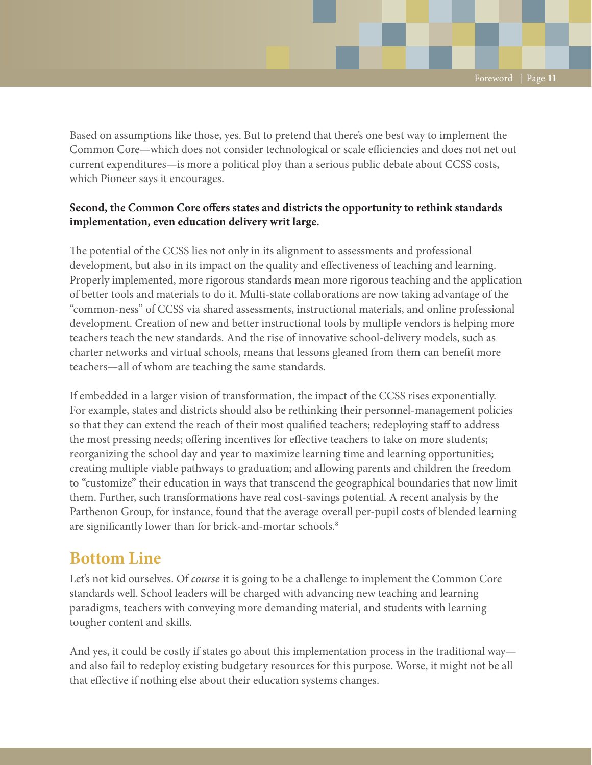Based on assumptions like those, yes. But to pretend that there's one best way to implement the Common Core—which does not consider technological or scale efficiencies and does not net out current expenditures—is more a political ploy than a serious public debate about CCSS costs, which Pioneer says it encourages.

#### **Second, the Common Core offers states and districts the opportunity to rethink standards implementation, even education delivery writ large.**

The potential of the CCSS lies not only in its alignment to assessments and professional development, but also in its impact on the quality and effectiveness of teaching and learning. Properly implemented, more rigorous standards mean more rigorous teaching and the application of better tools and materials to do it. Multi-state collaborations are now taking advantage of the "common-ness" of CCSS via shared assessments, instructional materials, and online professional development. Creation of new and better instructional tools by multiple vendors is helping more teachers teach the new standards. And the rise of innovative school-delivery models, such as charter networks and virtual schools, means that lessons gleaned from them can benefit more teachers—all of whom are teaching the same standards.

If embedded in a larger vision of transformation, the impact of the CCSS rises exponentially. For example, states and districts should also be rethinking their personnel-management policies so that they can extend the reach of their most qualified teachers; redeploying staff to address the most pressing needs; offering incentives for effective teachers to take on more students; reorganizing the school day and year to maximize learning time and learning opportunities; creating multiple viable pathways to graduation; and allowing parents and children the freedom to "customize" their education in ways that transcend the geographical boundaries that now limit them. Further, such transformations have real cost-savings potential. A recent analysis by the Parthenon Group, for instance, found that the average overall per-pupil costs of blended learning are significantly lower than for brick-and-mortar schools.<sup>8</sup>

## **Bottom Line**

Let's not kid ourselves. Of *course* it is going to be a challenge to implement the Common Core standards well. School leaders will be charged with advancing new teaching and learning paradigms, teachers with conveying more demanding material, and students with learning tougher content and skills.

And yes, it could be costly if states go about this implementation process in the traditional way and also fail to redeploy existing budgetary resources for this purpose. Worse, it might not be all that effective if nothing else about their education systems changes.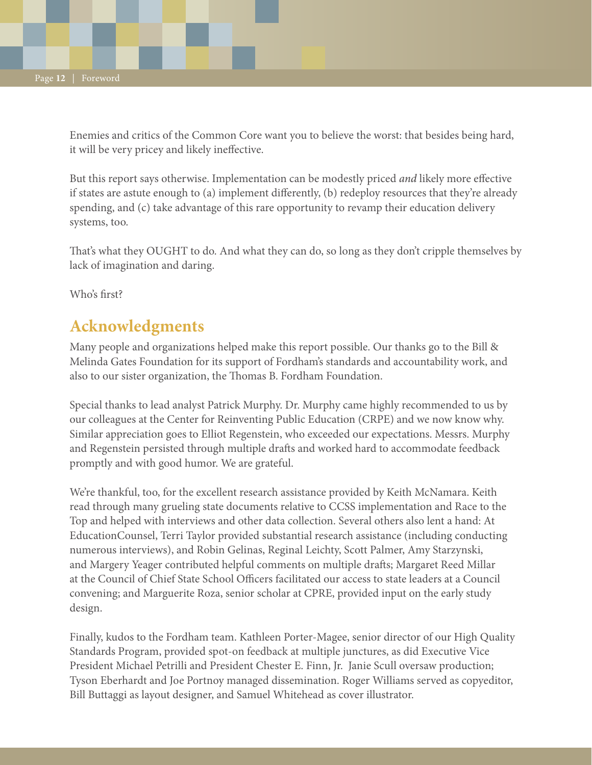Enemies and critics of the Common Core want you to believe the worst: that besides being hard, it will be very pricey and likely ineffective.

But this report says otherwise. Implementation can be modestly priced *and* likely more effective if states are astute enough to (a) implement differently, (b) redeploy resources that they're already spending, and (c) take advantage of this rare opportunity to revamp their education delivery systems, too.

That's what they OUGHT to do. And what they can do, so long as they don't cripple themselves by lack of imagination and daring.

Who's first?

## **Acknowledgments**

Many people and organizations helped make this report possible. Our thanks go to the Bill & Melinda Gates Foundation for its support of Fordham's standards and accountability work, and also to our sister organization, the Thomas B. Fordham Foundation.

Special thanks to lead analyst Patrick Murphy. Dr. Murphy came highly recommended to us by our colleagues at the Center for Reinventing Public Education (CRPE) and we now know why. Similar appreciation goes to Elliot Regenstein, who exceeded our expectations. Messrs. Murphy and Regenstein persisted through multiple drafts and worked hard to accommodate feedback promptly and with good humor. We are grateful.

We're thankful, too, for the excellent research assistance provided by Keith McNamara. Keith read through many grueling state documents relative to CCSS implementation and Race to the Top and helped with interviews and other data collection. Several others also lent a hand: At EducationCounsel, Terri Taylor provided substantial research assistance (including conducting numerous interviews), and Robin Gelinas, Reginal Leichty, Scott Palmer, Amy Starzynski, and Margery Yeager contributed helpful comments on multiple drafts; Margaret Reed Millar at the Council of Chief State School Officers facilitated our access to state leaders at a Council convening; and Marguerite Roza, senior scholar at CPRE, provided input on the early study design.

Finally, kudos to the Fordham team. Kathleen Porter-Magee, senior director of our High Quality Standards Program, provided spot-on feedback at multiple junctures, as did Executive Vice President Michael Petrilli and President Chester E. Finn, Jr. Janie Scull oversaw production; Tyson Eberhardt and Joe Portnoy managed dissemination. Roger Williams served as copyeditor, Bill Buttaggi as layout designer, and Samuel Whitehead as cover illustrator.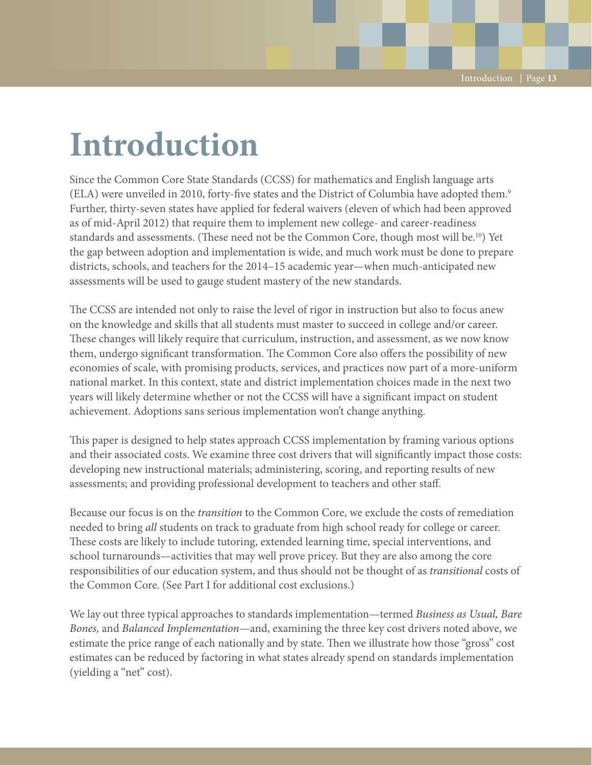# **Introduction**

Since the Common Core State Standards (CCSS) for mathematics and English language arts (ELA) were unveiled in 2010, forty-five states and the District of Columbia have adopted them.9 Further, thirty-seven states have applied for federal waivers (eleven of which had been approved as of mid-April 2012) that require them to implement new college- and career-readiness standards and assessments. (These need not be the Common Core, though most will be.10) Yet the gap between adoption and implementation is wide, and much work must be done to prepare districts, schools, and teachers for the 2014–15 academic year—when much-anticipated new assessments will be used to gauge student mastery of the new standards.

The CCSS are intended not only to raise the level of rigor in instruction but also to focus anew on the knowledge and skills that all students must master to succeed in college and/or career. These changes will likely require that curriculum, instruction, and assessment, as we now know them, undergo significant transformation. The Common Core also offers the possibility of new economies of scale, with promising products, services, and practices now part of a more-uniform national market. In this context, state and district implementation choices made in the next two years will likely determine whether or not the CCSS will have a significant impact on student achievement. Adoptions sans serious implementation won't change anything.

This paper is designed to help states approach CCSS implementation by framing various options and their associated costs. We examine three cost drivers that will significantly impact those costs: developing new instructional materials; administering, scoring, and reporting results of new assessments; and providing professional development to teachers and other staff.

Because our focus is on the *transition* to the Common Core, we exclude the costs of remediation needed to bring *all* students on track to graduate from high school ready for college or career. These costs are likely to include tutoring, extended learning time, special interventions, and school turnarounds—activities that may well prove pricey. But they are also among the core responsibilities of our education system, and thus should not be thought of as *transitional* costs of the Common Core. (See Part I for additional cost exclusions.)

We lay out three typical approaches to standards implementation—termed *Business as Usual, Bare Bones,* and *Balanced Implementation*—and, examining the three key cost drivers noted above, we estimate the price range of each nationally and by state. Then we illustrate how those "gross" cost estimates can be reduced by factoring in what states already spend on standards implementation (yielding a "net" cost).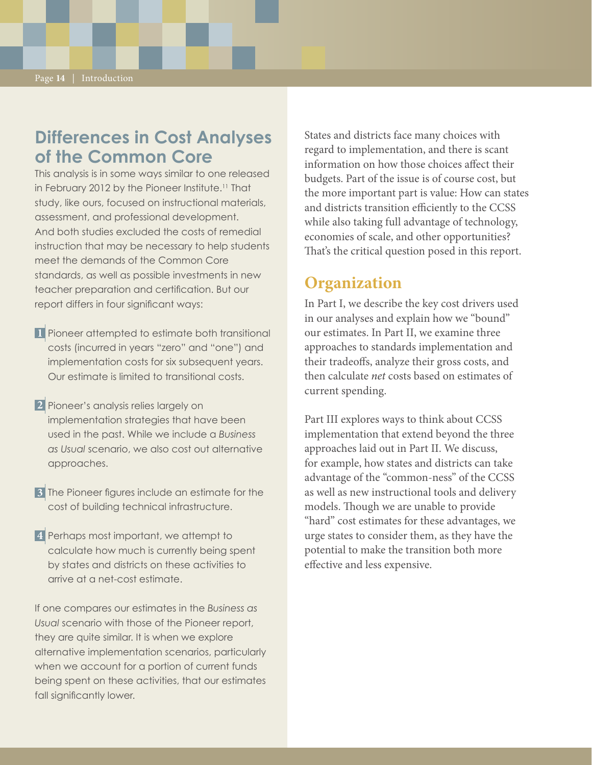## **Differences in Cost Analyses of the Common Core**

This analysis is in some ways similar to one released in February 2012 by the Pioneer Institute.<sup>11</sup> That study, like ours, focused on instructional materials, assessment, and professional development. And both studies excluded the costs of remedial instruction that may be necessary to help students meet the demands of the Common Core standards, as well as possible investments in new teacher preparation and certification. But our report differs in four significant ways:

Pioneer attempted to estimate both transitional **1** costs (incurred in years "zero" and "one") and implementation costs for six subsequent years. Our estimate is limited to transitional costs.

Pioneer's analysis relies largely on **2** implementation strategies that have been used in the past. While we include a *Business as Usual* scenario, we also cost out alternative approaches.

The Pioneer figures include an estimate for the **3** cost of building technical infrastructure.

Perhaps most important, we attempt to **4**calculate how much is currently being spent by states and districts on these activities to arrive at a net-cost estimate.

If one compares our estimates in the *Business as Usual* scenario with those of the Pioneer report, they are quite similar. It is when we explore alternative implementation scenarios, particularly when we account for a portion of current funds being spent on these activities, that our estimates fall significantly lower.

States and districts face many choices with regard to implementation, and there is scant information on how those choices affect their budgets. Part of the issue is of course cost, but the more important part is value: How can states and districts transition efficiently to the CCSS while also taking full advantage of technology, economies of scale, and other opportunities? That's the critical question posed in this report.

### **Organization**

In Part I, we describe the key cost drivers used in our analyses and explain how we "bound" our estimates. In Part II, we examine three approaches to standards implementation and their tradeoffs, analyze their gross costs, and then calculate *net* costs based on estimates of current spending.

Part III explores ways to think about CCSS implementation that extend beyond the three approaches laid out in Part II. We discuss, for example, how states and districts can take advantage of the "common-ness" of the CCSS as well as new instructional tools and delivery models. Though we are unable to provide "hard" cost estimates for these advantages, we urge states to consider them, as they have the potential to make the transition both more effective and less expensive.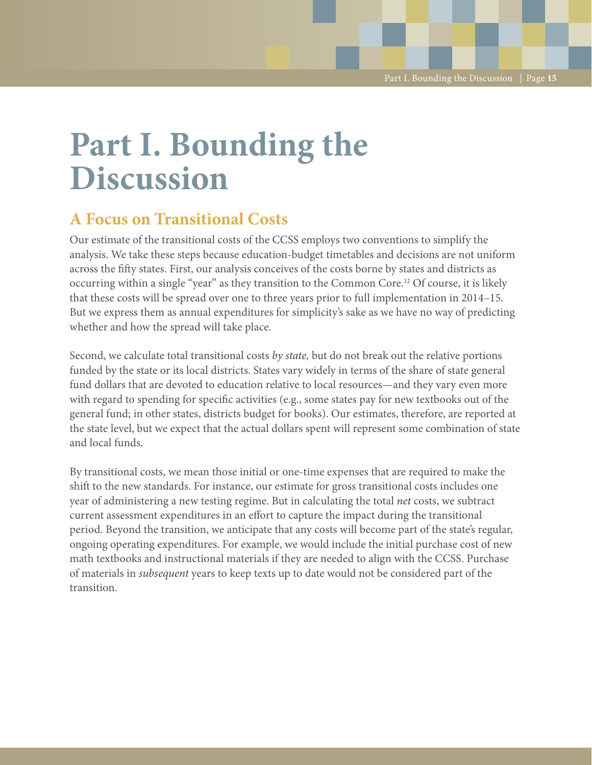# **Part I. Bounding the Discussion**

## **A Focus on Transitional Costs**

Our estimate of the transitional costs of the CCSS employs two conventions to simplify the analysis. We take these steps because education-budget timetables and decisions are not uniform across the fifty states. First, our analysis conceives of the costs borne by states and districts as occurring within a single "year" as they transition to the Common Core.12 Of course, it is likely that these costs will be spread over one to three years prior to full implementation in 2014–15. But we express them as annual expenditures for simplicity's sake as we have no way of predicting whether and how the spread will take place.

Second, we calculate total transitional costs *by state,* but do not break out the relative portions funded by the state or its local districts. States vary widely in terms of the share of state general fund dollars that are devoted to education relative to local resources—and they vary even more with regard to spending for specific activities (e.g., some states pay for new textbooks out of the general fund; in other states, districts budget for books). Our estimates, therefore, are reported at the state level, but we expect that the actual dollars spent will represent some combination of state and local funds.

By transitional costs, we mean those initial or one-time expenses that are required to make the shift to the new standards. For instance, our estimate for gross transitional costs includes one year of administering a new testing regime. But in calculating the total *net* costs, we subtract current assessment expenditures in an effort to capture the impact during the transitional period. Beyond the transition, we anticipate that any costs will become part of the state's regular, ongoing operating expenditures. For example, we would include the initial purchase cost of new math textbooks and instructional materials if they are needed to align with the CCSS. Purchase of materials in *subsequent* years to keep texts up to date would not be considered part of the transition.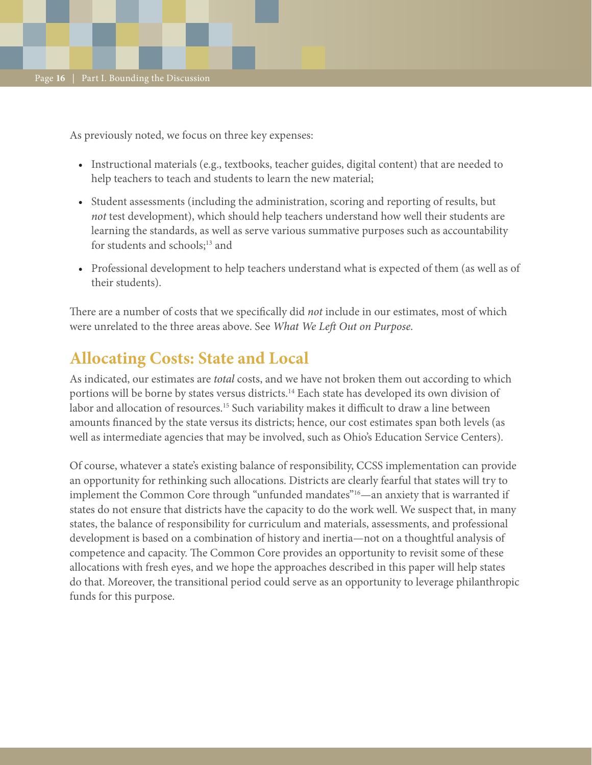As previously noted, we focus on three key expenses:

- • Instructional materials (e.g., textbooks, teacher guides, digital content) that are needed to help teachers to teach and students to learn the new material;
- Student assessments (including the administration, scoring and reporting of results, but *not* test development), which should help teachers understand how well their students are learning the standards, as well as serve various summative purposes such as accountability for students and schools;<sup>13</sup> and
- Professional development to help teachers understand what is expected of them (as well as of their students).

There are a number of costs that we specifically did *not* include in our estimates, most of which were unrelated to the three areas above. See *What We Left Out on Purpose.*

## **Allocating Costs: State and Local**

As indicated, our estimates are *total* costs, and we have not broken them out according to which portions will be borne by states versus districts.<sup>14</sup> Each state has developed its own division of labor and allocation of resources.<sup>15</sup> Such variability makes it difficult to draw a line between amounts financed by the state versus its districts; hence, our cost estimates span both levels (as well as intermediate agencies that may be involved, such as Ohio's Education Service Centers).

Of course, whatever a state's existing balance of responsibility, CCSS implementation can provide an opportunity for rethinking such allocations. Districts are clearly fearful that states will try to implement the Common Core through "unfunded mandates"16—an anxiety that is warranted if states do not ensure that districts have the capacity to do the work well. We suspect that, in many states, the balance of responsibility for curriculum and materials, assessments, and professional development is based on a combination of history and inertia—not on a thoughtful analysis of competence and capacity. The Common Core provides an opportunity to revisit some of these allocations with fresh eyes, and we hope the approaches described in this paper will help states do that. Moreover, the transitional period could serve as an opportunity to leverage philanthropic funds for this purpose.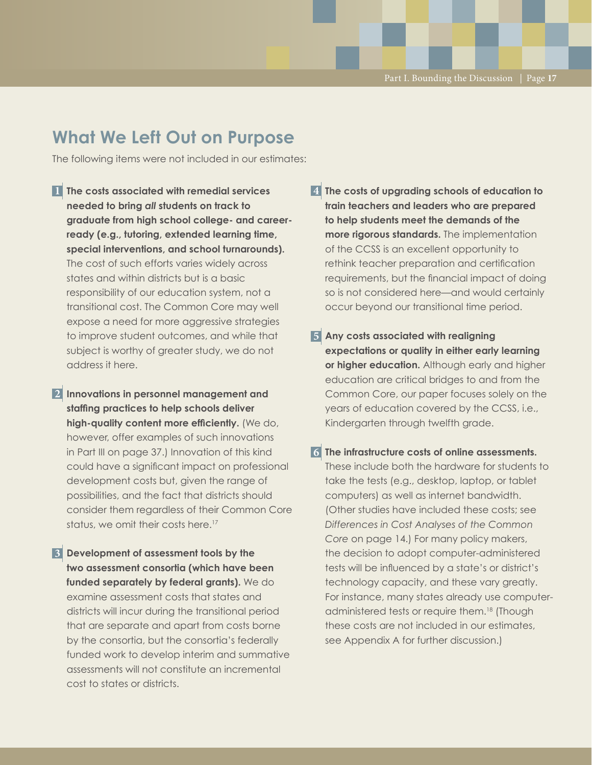## **What We Left Out on Purpose**

The following items were not included in our estimates:

**The costs associated with remedial services 1 needed to bring** *all* **students on track to graduate from high school college- and careerready (e.g., tutoring, extended learning time, special interventions, and school turnarounds).** The cost of such efforts varies widely across states and within districts but is a basic responsibility of our education system, not a transitional cost. The Common Core may well expose a need for more aggressive strategies to improve student outcomes, and while that subject is worthy of greater study, we do not address it here.

**Innovations in personnel management and 2 staffing practices to help schools deliver high-quality content more efficiently.** (We do, however, offer examples of such innovations in Part III on page 37.) Innovation of this kind could have a significant impact on professional development costs but, given the range of possibilities, and the fact that districts should consider them regardless of their Common Core status, we omit their costs here.<sup>17</sup>

**Development of assessment tools by the 3 two assessment consortia (which have been funded separately by federal grants).** We do examine assessment costs that states and districts will incur during the transitional period that are separate and apart from costs borne by the consortia, but the consortia's federally funded work to develop interim and summative assessments will not constitute an incremental cost to states or districts.

**The costs of upgrading schools of education to 4 train teachers and leaders who are prepared to help students meet the demands of the more rigorous standards.** The implementation of the CCSS is an excellent opportunity to rethink teacher preparation and certification requirements, but the financial impact of doing so is not considered here—and would certainly occur beyond our transitional time period.

**Any costs associated with realigning 5 expectations or quality in either early learning or higher education.** Although early and higher education are critical bridges to and from the Common Core, our paper focuses solely on the years of education covered by the CCSS, i.e., Kindergarten through twelfth grade.

**The infrastructure costs of online assessments. 6**These include both the hardware for students to take the tests (e.g., desktop, laptop, or tablet computers) as well as internet bandwidth. (Other studies have included these costs; see *Differences in Cost Analyses of the Common Core* on page 14.) For many policy makers, the decision to adopt computer-administered tests will be influenced by a state's or district's technology capacity, and these vary greatly. For instance, many states already use computeradministered tests or require them.18 (Though these costs are not included in our estimates, see Appendix A for further discussion.)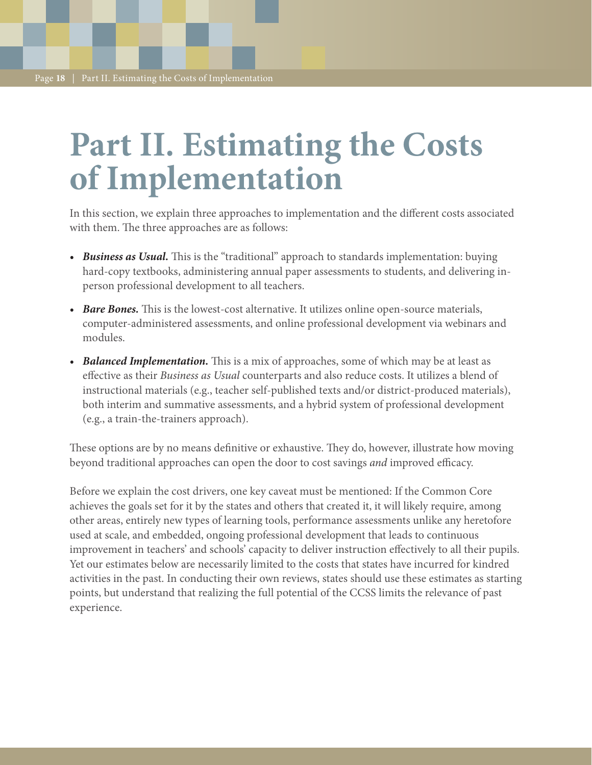# **Part II. Estimating the Costs of Implementation**

In this section, we explain three approaches to implementation and the different costs associated with them. The three approaches are as follows:

- *Business as Usual.* This is the "traditional" approach to standards implementation: buying hard-copy textbooks, administering annual paper assessments to students, and delivering inperson professional development to all teachers.
- *• Bare Bones.* This is the lowest-cost alternative. It utilizes online open-source materials, computer-administered assessments, and online professional development via webinars and modules.
- *Balanced Implementation.* This is a mix of approaches, some of which may be at least as effective as their *Business as Usual* counterparts and also reduce costs. It utilizes a blend of instructional materials (e.g., teacher self-published texts and/or district-produced materials), both interim and summative assessments, and a hybrid system of professional development (e.g., a train-the-trainers approach).

These options are by no means definitive or exhaustive. They do, however, illustrate how moving beyond traditional approaches can open the door to cost savings *and* improved efficacy.

Before we explain the cost drivers, one key caveat must be mentioned: If the Common Core achieves the goals set for it by the states and others that created it, it will likely require, among other areas, entirely new types of learning tools, performance assessments unlike any heretofore used at scale, and embedded, ongoing professional development that leads to continuous improvement in teachers' and schools' capacity to deliver instruction effectively to all their pupils. Yet our estimates below are necessarily limited to the costs that states have incurred for kindred activities in the past. In conducting their own reviews, states should use these estimates as starting points, but understand that realizing the full potential of the CCSS limits the relevance of past experience.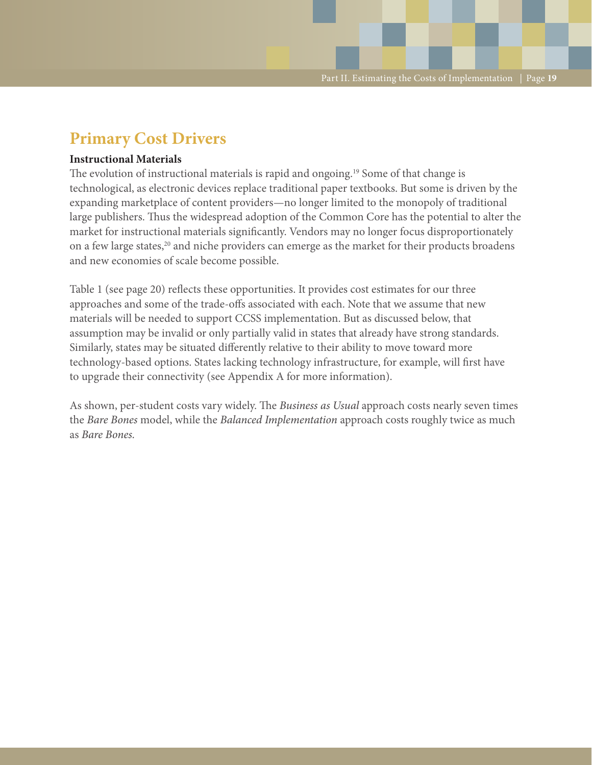## **Primary Cost Drivers**

#### **Instructional Materials**

The evolution of instructional materials is rapid and ongoing.<sup>19</sup> Some of that change is technological, as electronic devices replace traditional paper textbooks. But some is driven by the expanding marketplace of content providers—no longer limited to the monopoly of traditional large publishers. Thus the widespread adoption of the Common Core has the potential to alter the market for instructional materials significantly. Vendors may no longer focus disproportionately on a few large states,<sup>20</sup> and niche providers can emerge as the market for their products broadens and new economies of scale become possible.

Table 1 (see page 20) reflects these opportunities. It provides cost estimates for our three approaches and some of the trade-offs associated with each. Note that we assume that new materials will be needed to support CCSS implementation. But as discussed below, that assumption may be invalid or only partially valid in states that already have strong standards. Similarly, states may be situated differently relative to their ability to move toward more technology-based options. States lacking technology infrastructure, for example, will first have to upgrade their connectivity (see Appendix A for more information).

As shown, per-student costs vary widely. The *Business as Usual* approach costs nearly seven times the *Bare Bones* model, while the *Balanced Implementation* approach costs roughly twice as much as *Bare Bones.*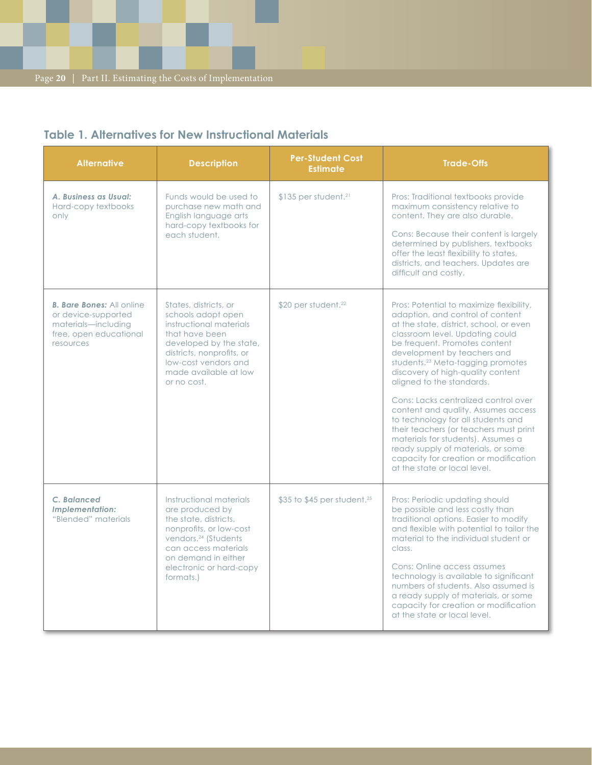### **Table 1. Alternatives for New Instructional Materials**

| <b>Alternative</b>                                                                                                    | <b>Description</b>                                                                                                                                                                                                        | <b>Per-Student Cost</b><br><b>Estimate</b> | <b>Trade-Offs</b>                                                                                                                                                                                                                                                                                                                                                                                                                                                                                                                                                                                                                                                 |
|-----------------------------------------------------------------------------------------------------------------------|---------------------------------------------------------------------------------------------------------------------------------------------------------------------------------------------------------------------------|--------------------------------------------|-------------------------------------------------------------------------------------------------------------------------------------------------------------------------------------------------------------------------------------------------------------------------------------------------------------------------------------------------------------------------------------------------------------------------------------------------------------------------------------------------------------------------------------------------------------------------------------------------------------------------------------------------------------------|
| A. Business as Usual:<br>Hard-copy textbooks<br>only                                                                  | Funds would be used to<br>purchase new math and<br>English language arts<br>hard-copy textbooks for<br>each student.                                                                                                      | $$135$ per student. <sup>21</sup>          | Pros: Traditional textbooks provide<br>maximum consistency relative to<br>content. They are also durable.<br>Cons: Because their content is largely<br>determined by publishers, textbooks<br>offer the least flexibility to states,<br>districts, and teachers. Updates are<br>difficult and costly.                                                                                                                                                                                                                                                                                                                                                             |
| <b>B. Bare Bones:</b> All online<br>or device-supported<br>materials-including<br>free, open educational<br>resources | States, districts, or<br>schools adopt open<br>instructional materials<br>that have been<br>developed by the state,<br>districts, nonprofits, or<br>low-cost vendors and<br>made available at low<br>or no cost.          | $$20$ per student. <sup>22</sup>           | Pros: Potential to maximize flexibility,<br>adaption, and control of content<br>at the state, district, school, or even<br>classroom level. Updating could<br>be frequent. Promotes content<br>development by teachers and<br>students. <sup>23</sup> Meta-tagging promotes<br>discovery of high-quality content<br>aligned to the standards.<br>Cons: Lacks centralized control over<br>content and quality. Assumes access<br>to technology for all students and<br>their teachers (or teachers must print<br>materials for students). Assumes a<br>ready supply of materials, or some<br>capacity for creation or modification<br>at the state or local level. |
| C. Balanced<br><b>Implementation:</b><br>"Blended" materials                                                          | Instructional materials<br>are produced by<br>the state, districts,<br>nonprofits, or low-cost<br>vendors. <sup>24</sup> (Students<br>can access materials<br>on demand in either<br>electronic or hard-copy<br>formats.) | \$35 to \$45 per student. <sup>25</sup>    | Pros: Periodic updating should<br>be possible and less costly than<br>traditional options. Easier to modify<br>and flexible with potential to tailor the<br>material to the individual student or<br>class.<br>Cons: Online access assumes<br>technology is available to significant<br>numbers of students. Also assumed is<br>a ready supply of materials, or some<br>capacity for creation or modification<br>at the state or local level.                                                                                                                                                                                                                     |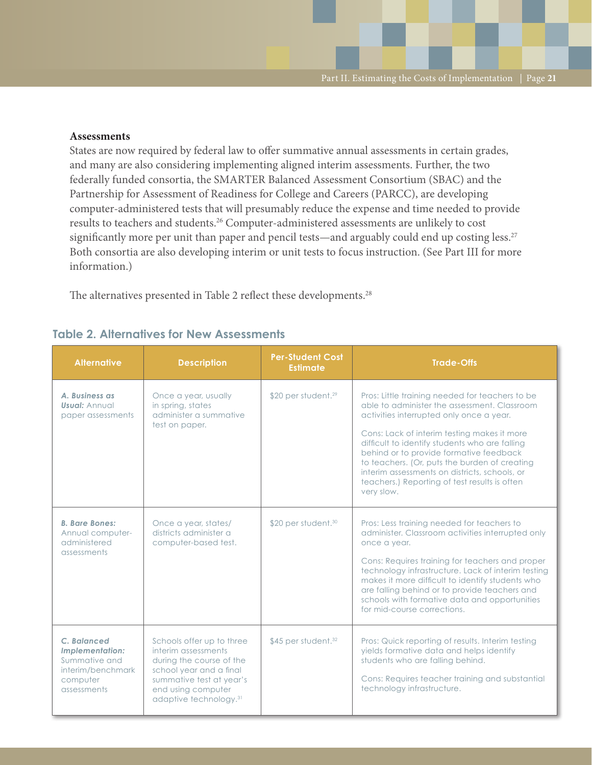#### **Assessments**

States are now required by federal law to offer summative annual assessments in certain grades, and many are also considering implementing aligned interim assessments. Further, the two federally funded consortia, the SMARTER Balanced Assessment Consortium (SBAC) and the Partnership for Assessment of Readiness for College and Careers (PARCC), are developing computer-administered tests that will presumably reduce the expense and time needed to provide results to teachers and students.26 Computer-administered assessments are unlikely to cost significantly more per unit than paper and pencil tests—and arguably could end up costing less.<sup>27</sup> Both consortia are also developing interim or unit tests to focus instruction. (See Part III for more information.)

The alternatives presented in Table 2 reflect these developments.<sup>28</sup>

#### **Table 2. Alternatives for New Assessments**

| <b>Alternative</b>                                                                              | <b>Description</b>                                                                                                                                                                              | <b>Per-Student Cost</b><br><b>Estimate</b> | <b>Trade-Offs</b>                                                                                                                                                                                                                                                                                                                                                                                                                                        |
|-------------------------------------------------------------------------------------------------|-------------------------------------------------------------------------------------------------------------------------------------------------------------------------------------------------|--------------------------------------------|----------------------------------------------------------------------------------------------------------------------------------------------------------------------------------------------------------------------------------------------------------------------------------------------------------------------------------------------------------------------------------------------------------------------------------------------------------|
| A. Business as<br><b>Usual: Annual</b><br>paper assessments                                     | Once a year, usually<br>in spring, states<br>administer a summative<br>test on paper.                                                                                                           | \$20 per student. <sup>29</sup>            | Pros: Little training needed for teachers to be<br>able to administer the assessment. Classroom<br>activities interrupted only once a year.<br>Cons: Lack of interim testing makes it more<br>difficult to identify students who are falling<br>behind or to provide formative feedback<br>to teachers. (Or, puts the burden of creating<br>interim assessments on districts, schools, or<br>teachers.) Reporting of test results is often<br>very slow. |
| <b>B. Bare Bones:</b><br>Annual computer-<br>administered<br>assessments                        | Once a year, states/<br>districts administer a<br>computer-based test.                                                                                                                          | \$20 per student. <sup>30</sup>            | Pros: Less training needed for teachers to<br>administer. Classroom activities interrupted only<br>once a year.<br>Cons: Requires training for teachers and proper<br>technology infrastructure. Lack of interim testing<br>makes it more difficult to identify students who<br>are falling behind or to provide teachers and<br>schools with formative data and opportunities<br>for mid-course corrections.                                            |
| C. Balanced<br>Implementation:<br>Summative and<br>interim/benchmark<br>computer<br>assessments | Schools offer up to three<br>interim assessments<br>during the course of the<br>school year and a final<br>summative test at year's<br>end using computer<br>adaptive technology. <sup>31</sup> | $$45$ per student. $32$                    | Pros: Quick reporting of results. Interim testing<br>yields formative data and helps identify<br>students who are falling behind.<br>Cons: Requires teacher training and substantial<br>technology infrastructure.                                                                                                                                                                                                                                       |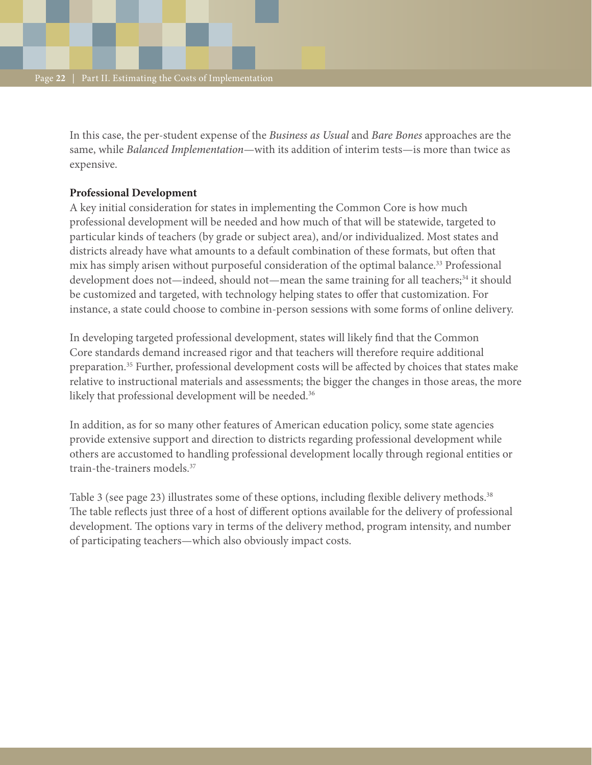In this case, the per-student expense of the *Business as Usual* and *Bare Bones* approaches are the same, while *Balanced Implementation*—with its addition of interim tests—is more than twice as expensive.

### **Professional Development**

A key initial consideration for states in implementing the Common Core is how much professional development will be needed and how much of that will be statewide, targeted to particular kinds of teachers (by grade or subject area), and/or individualized. Most states and districts already have what amounts to a default combination of these formats, but often that mix has simply arisen without purposeful consideration of the optimal balance.<sup>33</sup> Professional development does not—indeed, should not—mean the same training for all teachers;<sup>34</sup> it should be customized and targeted, with technology helping states to offer that customization. For instance, a state could choose to combine in-person sessions with some forms of online delivery.

In developing targeted professional development, states will likely find that the Common Core standards demand increased rigor and that teachers will therefore require additional preparation.35 Further, professional development costs will be affected by choices that states make relative to instructional materials and assessments; the bigger the changes in those areas, the more likely that professional development will be needed.<sup>36</sup>

In addition, as for so many other features of American education policy, some state agencies provide extensive support and direction to districts regarding professional development while others are accustomed to handling professional development locally through regional entities or train-the-trainers models.37

Table 3 (see page 23) illustrates some of these options, including flexible delivery methods.<sup>38</sup> The table reflects just three of a host of different options available for the delivery of professional development. The options vary in terms of the delivery method, program intensity, and number of participating teachers—which also obviously impact costs.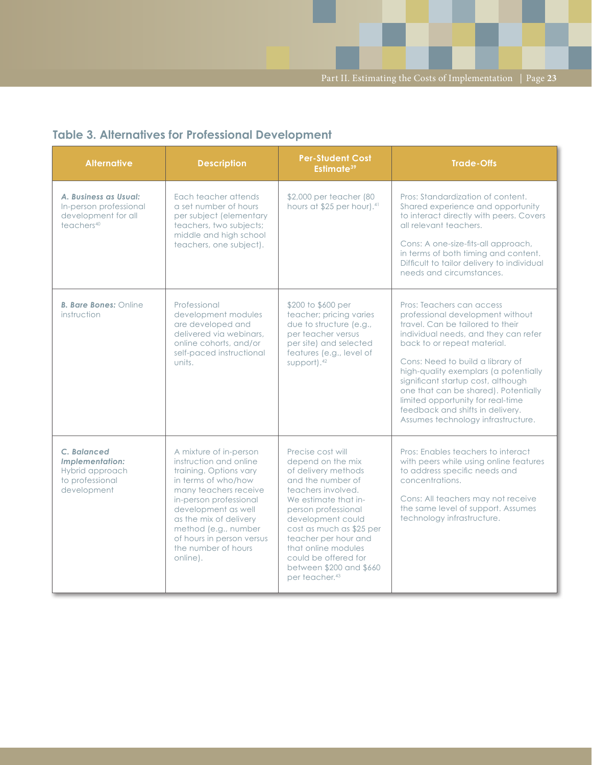### **Table 3. Alternatives for Professional Development**

| <b>Alternative</b>                                                                               | <b>Description</b>                                                                                                                                                                                                                                                                            | <b>Per-Student Cost</b><br>Estimate <sup>39</sup>                                                                                                                                                                                                                                                                                        | <b>Trade-Offs</b>                                                                                                                                                                                                                                                                                                                                                                                                                                  |
|--------------------------------------------------------------------------------------------------|-----------------------------------------------------------------------------------------------------------------------------------------------------------------------------------------------------------------------------------------------------------------------------------------------|------------------------------------------------------------------------------------------------------------------------------------------------------------------------------------------------------------------------------------------------------------------------------------------------------------------------------------------|----------------------------------------------------------------------------------------------------------------------------------------------------------------------------------------------------------------------------------------------------------------------------------------------------------------------------------------------------------------------------------------------------------------------------------------------------|
| A. Business as Usual:<br>In-person professional<br>development for all<br>teachers <sup>40</sup> | Each teacher attends<br>a set number of hours<br>per subject (elementary<br>teachers, two subjects;<br>middle and high school<br>teachers, one subject).                                                                                                                                      | \$2,000 per teacher (80<br>hours at \$25 per hour). <sup>41</sup>                                                                                                                                                                                                                                                                        | Pros: Standardization of content.<br>Shared experience and opportunity<br>to interact directly with peers. Covers<br>all relevant teachers.<br>Cons: A one-size-fits-all approach,<br>in terms of both timing and content.<br>Difficult to tailor delivery to individual<br>needs and circumstances.                                                                                                                                               |
| <b>B. Bare Bones: Online</b><br>instruction                                                      | Professional<br>development modules<br>are developed and<br>delivered via webinars.<br>online cohorts, and/or<br>self-paced instructional<br>units.                                                                                                                                           | \$200 to \$600 per<br>teacher; pricing varies<br>due to structure (e.g.,<br>per teacher versus<br>per site) and selected<br>features (e.g., level of<br>support). <sup>42</sup>                                                                                                                                                          | Pros: Teachers can access<br>professional development without<br>travel. Can be tailored to their<br>individual needs, and they can refer<br>back to or repeat material.<br>Cons: Need to build a library of<br>high-quality exemplars (a potentially<br>significant startup cost, although<br>one that can be shared). Potentially<br>limited opportunity for real-time<br>feedback and shifts in delivery.<br>Assumes technology infrastructure. |
| C. Balanced<br><b>Implementation:</b><br>Hybrid approach<br>to professional<br>development       | A mixture of in-person<br>instruction and online<br>training. Options vary<br>in terms of who/how<br>many teachers receive<br>in-person professional<br>development as well<br>as the mix of delivery<br>method (e.g., number<br>of hours in person versus<br>the number of hours<br>online). | Precise cost will<br>depend on the mix<br>of delivery methods<br>and the number of<br>teachers involved.<br>We estimate that in-<br>person professional<br>development could<br>cost as much as \$25 per<br>teacher per hour and<br>that online modules<br>could be offered for<br>between \$200 and \$660<br>per teacher. <sup>43</sup> | Pros: Enables teachers to interact<br>with peers while using online features<br>to address specific needs and<br>concentrations.<br>Cons: All teachers may not receive<br>the same level of support. Assumes<br>technology infrastructure.                                                                                                                                                                                                         |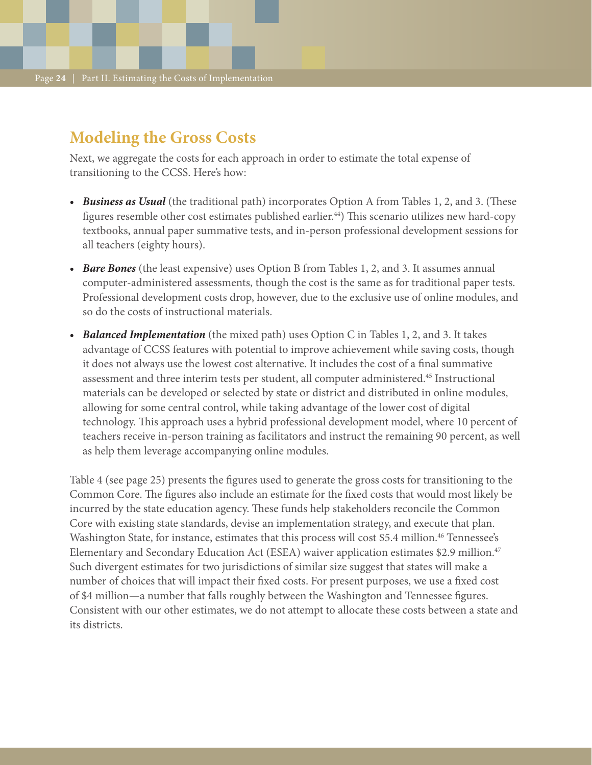## **Modeling the Gross Costs**

Next, we aggregate the costs for each approach in order to estimate the total expense of transitioning to the CCSS. Here's how:

- *• Business as Usual* (the traditional path) incorporates Option A from Tables 1, 2, and 3. (These figures resemble other cost estimates published earlier.44) This scenario utilizes new hard-copy textbooks, annual paper summative tests, and in-person professional development sessions for all teachers (eighty hours).
- *• Bare Bones* (the least expensive) uses Option B from Tables 1, 2, and 3. It assumes annual computer-administered assessments, though the cost is the same as for traditional paper tests. Professional development costs drop, however, due to the exclusive use of online modules, and so do the costs of instructional materials.
- *• Balanced Implementation* (the mixed path) uses Option C in Tables 1, 2, and 3. It takes advantage of CCSS features with potential to improve achievement while saving costs, though it does not always use the lowest cost alternative. It includes the cost of a final summative assessment and three interim tests per student, all computer administered.45 Instructional materials can be developed or selected by state or district and distributed in online modules, allowing for some central control, while taking advantage of the lower cost of digital technology. This approach uses a hybrid professional development model, where 10 percent of teachers receive in-person training as facilitators and instruct the remaining 90 percent, as well as help them leverage accompanying online modules.

Table 4 (see page 25) presents the figures used to generate the gross costs for transitioning to the Common Core. The figures also include an estimate for the fixed costs that would most likely be incurred by the state education agency. These funds help stakeholders reconcile the Common Core with existing state standards, devise an implementation strategy, and execute that plan. Washington State, for instance, estimates that this process will cost \$5.4 million.<sup>46</sup> Tennessee's Elementary and Secondary Education Act (ESEA) waiver application estimates \$2.9 million.47 Such divergent estimates for two jurisdictions of similar size suggest that states will make a number of choices that will impact their fixed costs. For present purposes, we use a fixed cost of \$4 million—a number that falls roughly between the Washington and Tennessee figures. Consistent with our other estimates, we do not attempt to allocate these costs between a state and its districts.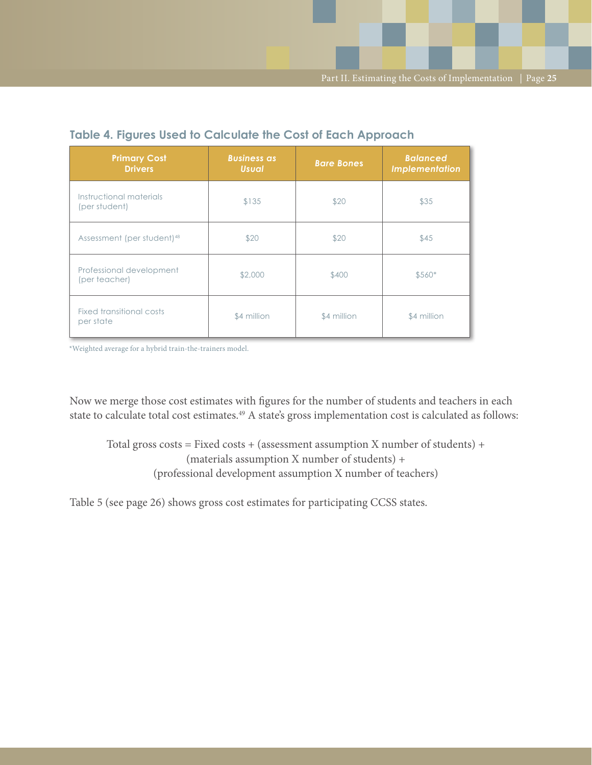| <b>Primary Cost</b><br><b>Drivers</b>     | <b>Business as</b><br><b>Usual</b> | <b>Bare Bones</b> | <b>Balanced</b><br>Implementation |
|-------------------------------------------|------------------------------------|-------------------|-----------------------------------|
| Instructional materials<br>(per student)  | \$135                              | \$20              | \$35                              |
| Assessment (per student) <sup>48</sup>    | \$20                               | \$20              | \$45                              |
| Professional development<br>(per teacher) | \$2,000                            | \$400             | $$560*$                           |
| Fixed transitional costs<br>per state     | \$4 million                        | \$4 million       | \$4 million                       |

### **Table 4. Figures Used to Calculate the Cost of Each Approach**

\*Weighted average for a hybrid train-the-trainers model.

Now we merge those cost estimates with figures for the number of students and teachers in each state to calculate total cost estimates.<sup>49</sup> A state's gross implementation cost is calculated as follows:

Total gross costs = Fixed costs + (assessment assumption X number of students) + (materials assumption X number of students) + (professional development assumption X number of teachers)

Table 5 (see page 26) shows gross cost estimates for participating CCSS states.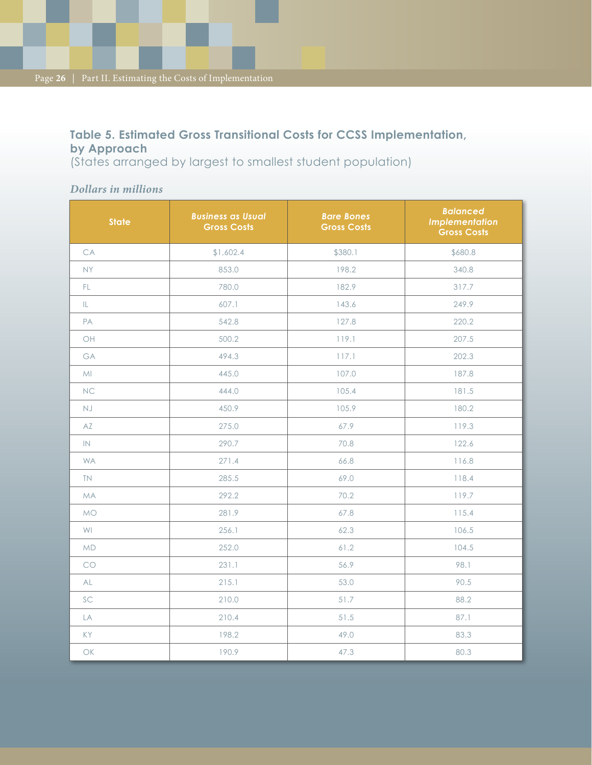### **Table 5. Estimated Gross Transitional Costs for CCSS Implementation, by Approach**

(States arranged by largest to smallest student population)

### *Dollars in millions*

| <b>State</b>                                                 | <b>Business as Usual</b><br><b>Gross Costs</b> | <b>Bare Bones</b><br><b>Gross Costs</b> | <b>Balanced</b><br><b>Implementation</b><br><b>Gross Costs</b> |
|--------------------------------------------------------------|------------------------------------------------|-----------------------------------------|----------------------------------------------------------------|
| CA                                                           | \$1,602.4                                      | \$380.1                                 | \$680.8                                                        |
| <b>NY</b>                                                    | 853.0                                          | 198.2                                   | 340.8                                                          |
| FL.                                                          | 780.0                                          | 182.9                                   | 317.7                                                          |
| IL.                                                          | 607.1                                          | 143.6                                   | 249.9                                                          |
| PA                                                           | 542.8                                          | 127.8                                   | 220.2                                                          |
| OH                                                           | 500.2                                          | 119.1                                   | 207.5                                                          |
| GA                                                           | 494.3                                          | 117.1                                   | 202.3                                                          |
| MI                                                           | 445.0                                          | 107.0                                   | 187.8                                                          |
| <b>NC</b>                                                    | 444.0                                          | 105.4                                   | 181.5                                                          |
| <b>NJ</b>                                                    | 450.9                                          | 105.9                                   | 180.2                                                          |
| AZ                                                           | 275.0                                          | 67.9                                    | 119.3                                                          |
| IN                                                           | 290.7                                          | 70.8                                    | 122.6                                                          |
| <b>WA</b>                                                    | 271.4                                          | 66.8                                    | 116.8                                                          |
| <b>TN</b>                                                    | 285.5                                          | 69.0                                    | 118.4                                                          |
| <b>MA</b>                                                    | 292.2                                          | 70.2                                    | 119.7                                                          |
| <b>MO</b>                                                    | 281.9                                          | 67.8                                    | 115.4                                                          |
| WI                                                           | 256.1                                          | 62.3                                    | 106.5                                                          |
| <b>MD</b>                                                    | 252.0                                          | 61.2                                    | 104.5                                                          |
| CO                                                           | 231.1                                          | 56.9                                    | 98.1                                                           |
| AL                                                           | 215.1                                          | 53.0                                    | 90.5                                                           |
| SC                                                           | 210.0                                          | 51.7                                    | 88.2                                                           |
| LA                                                           | 210.4                                          | 51.5                                    | 87.1                                                           |
| KY                                                           | 198.2                                          | 49.0                                    | 83.3                                                           |
| $\mathsf{OK}% _{\mathsf{CL}}\times\mathsf{CN}_{\mathsf{CL}}$ | 190.9                                          | 47.3                                    | 80.3                                                           |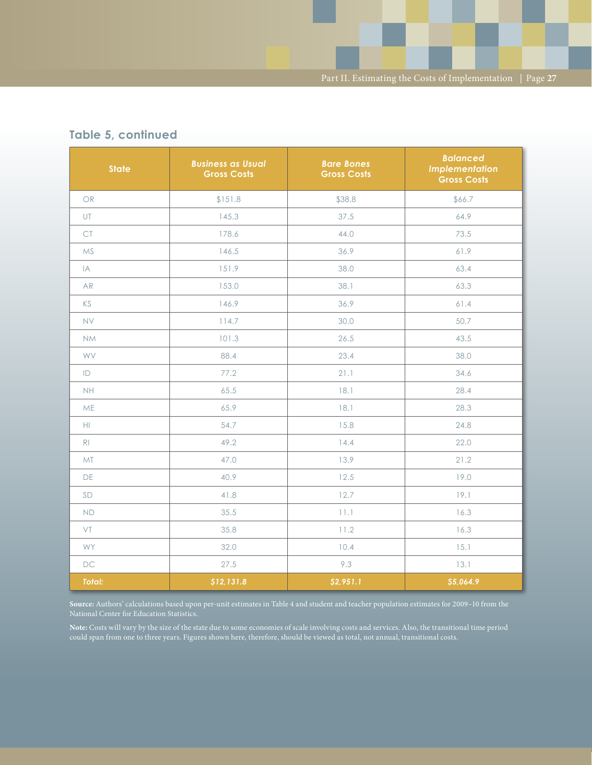| <b>State</b>   | <b>Business as Usual</b><br><b>Gross Costs</b> | <b>Bare Bones</b><br><b>Gross Costs</b> | <b>Balanced</b><br><b>Implementation</b><br><b>Gross Costs</b> |
|----------------|------------------------------------------------|-----------------------------------------|----------------------------------------------------------------|
| OR             | \$151.8                                        | \$38.8                                  | \$66.7                                                         |
| UT             | 145.3                                          | 37.5                                    | 64.9                                                           |
| $\mathsf{CT}$  | 178.6                                          | 44.0                                    | 73.5                                                           |
| <b>MS</b>      | 146.5                                          | 36.9                                    | 61.9                                                           |
| IA             | 151.9                                          | 38.0                                    | 63.4                                                           |
| <b>AR</b>      | 153.0                                          | 38.1                                    | 63.3                                                           |
| KS             | 146.9                                          | 36.9                                    | 61.4                                                           |
| <b>NV</b>      | 114.7                                          | 30.0                                    | 50.7                                                           |
| <b>NM</b>      | 101.3                                          | 26.5                                    | 43.5                                                           |
| <b>WV</b>      | 88.4                                           | 23.4                                    | 38.0                                                           |
| ID             | 77.2                                           | 21.1                                    | 34.6                                                           |
| <b>NH</b>      | 65.5                                           | 18.1                                    | 28.4                                                           |
| ME             | 65.9                                           | 18.1                                    | 28.3                                                           |
| $\mathbb H$    | 54.7                                           | 15.8                                    | 24.8                                                           |
| R <sub>1</sub> | 49.2                                           | 14.4                                    | 22.0                                                           |
| MT             | 13.9<br>47.0                                   |                                         | 21.2                                                           |
| DE             | 40.9                                           | 12.5                                    | 19.0                                                           |
| SD             | 41.8                                           | 12.7                                    | 19.1                                                           |
| <b>ND</b>      | 35.5                                           | 11.1                                    | 16.3                                                           |
| VT             | 35.8                                           | 11.2                                    | 16.3                                                           |
| WY             | 32.0                                           | 10.4                                    | 15.1                                                           |
| <b>DC</b>      | 27.5                                           | 9.3                                     | 13.1                                                           |
| <b>Total:</b>  | \$12,131.8                                     | \$2,951.1                               | \$5,064.9                                                      |

### **Table 5, continued**

**Source:** Authors' calculations based upon per-unit estimates in Table 4 and student and teacher population estimates for 2009–10 from the

**Note:** Costs will vary by the size of the state due to some economies of scale involving costs and services. Also, the transitional time period could span from one to three years. Figures shown here, therefore, should be viewed as total, not annual, transitional costs.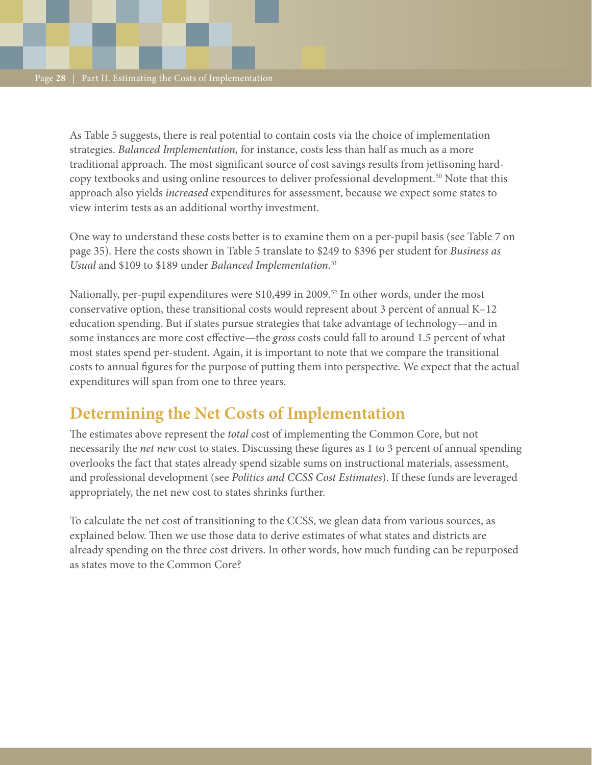As Table 5 suggests, there is real potential to contain costs via the choice of implementation strategies. *Balanced Implementation,* for instance, costs less than half as much as a more traditional approach. The most significant source of cost savings results from jettisoning hardcopy textbooks and using online resources to deliver professional development.<sup>50</sup> Note that this approach also yields *increased* expenditures for assessment, because we expect some states to view interim tests as an additional worthy investment.

One way to understand these costs better is to examine them on a per-pupil basis (see Table 7 on page 35). Here the costs shown in Table 5 translate to \$249 to \$396 per student for *Business as Usual* and \$109 to \$189 under *Balanced Implementation.*<sup>51</sup>

Nationally, per-pupil expenditures were \$10,499 in 2009.<sup>52</sup> In other words, under the most conservative option, these transitional costs would represent about 3 percent of annual K–12 education spending. But if states pursue strategies that take advantage of technology—and in some instances are more cost effective—the *gross* costs could fall to around 1.5 percent of what most states spend per-student. Again, it is important to note that we compare the transitional costs to annual figures for the purpose of putting them into perspective. We expect that the actual expenditures will span from one to three years.

## **Determining the Net Costs of Implementation**

The estimates above represent the *total* cost of implementing the Common Core, but not necessarily the *net new* cost to states. Discussing these figures as 1 to 3 percent of annual spending overlooks the fact that states already spend sizable sums on instructional materials, assessment, and professional development (see *Politics and CCSS Cost Estimates*). If these funds are leveraged appropriately, the net new cost to states shrinks further.

To calculate the net cost of transitioning to the CCSS, we glean data from various sources, as explained below. Then we use those data to derive estimates of what states and districts are already spending on the three cost drivers. In other words, how much funding can be repurposed as states move to the Common Core?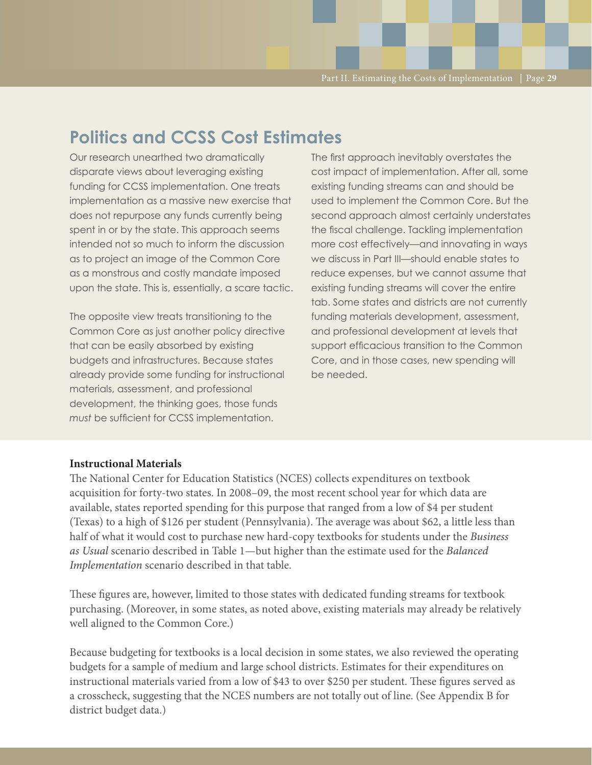## **Politics and CCSS Cost Estimates**

Our research unearthed two dramatically disparate views about leveraging existing funding for CCSS implementation. One treats implementation as a massive new exercise that does not repurpose any funds currently being spent in or by the state. This approach seems intended not so much to inform the discussion as to project an image of the Common Core as a monstrous and costly mandate imposed upon the state. This is, essentially, a scare tactic.

The opposite view treats transitioning to the Common Core as just another policy directive that can be easily absorbed by existing budgets and infrastructures. Because states already provide some funding for instructional materials, assessment, and professional development, the thinking goes, those funds *must* be sufficient for CCSS implementation.

The first approach inevitably overstates the cost impact of implementation. After all, some existing funding streams can and should be used to implement the Common Core. But the second approach almost certainly understates the fiscal challenge. Tackling implementation more cost effectively—and innovating in ways we discuss in Part III—should enable states to reduce expenses, but we cannot assume that existing funding streams will cover the entire tab. Some states and districts are not currently funding materials development, assessment, and professional development at levels that support efficacious transition to the Common Core, and in those cases, new spending will be needed.

#### **Instructional Materials**

The National Center for Education Statistics (NCES) collects expenditures on textbook acquisition for forty-two states. In 2008–09, the most recent school year for which data are available, states reported spending for this purpose that ranged from a low of \$4 per student (Texas) to a high of \$126 per student (Pennsylvania). The average was about \$62, a little less than half of what it would cost to purchase new hard-copy textbooks for students under the *Business as Usual* scenario described in Table 1—but higher than the estimate used for the *Balanced Implementation* scenario described in that table.

These figures are, however, limited to those states with dedicated funding streams for textbook purchasing. (Moreover, in some states, as noted above, existing materials may already be relatively well aligned to the Common Core.)

Because budgeting for textbooks is a local decision in some states, we also reviewed the operating budgets for a sample of medium and large school districts. Estimates for their expenditures on instructional materials varied from a low of \$43 to over \$250 per student. These figures served as a crosscheck, suggesting that the NCES numbers are not totally out of line. (See Appendix B for district budget data.)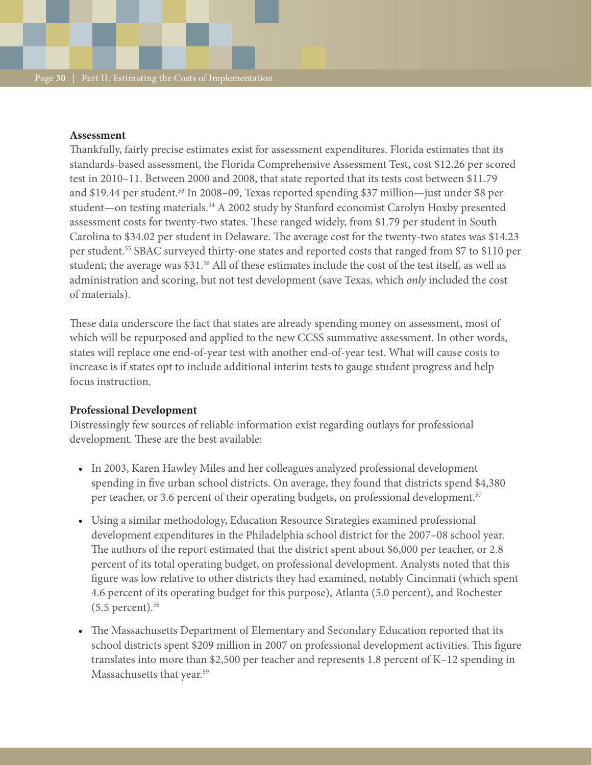#### **Assessment**

Thankfully, fairly precise estimates exist for assessment expenditures. Florida estimates that its standards-based assessment, the Florida Comprehensive Assessment Test, cost \$12.26 per scored test in 2010–11. Between 2000 and 2008, that state reported that its tests cost between \$11.79 and \$19.44 per student.53 In 2008–09, Texas reported spending \$37 million—just under \$8 per student—on testing materials.<sup>54</sup> A 2002 study by Stanford economist Carolyn Hoxby presented assessment costs for twenty-two states. These ranged widely, from \$1.79 per student in South Carolina to \$34.02 per student in Delaware. The average cost for the twenty-two states was \$14.23 per student.55 SBAC surveyed thirty-one states and reported costs that ranged from \$7 to \$110 per student; the average was \$31.56 All of these estimates include the cost of the test itself, as well as administration and scoring, but not test development (save Texas, which *only* included the cost of materials).

These data underscore the fact that states are already spending money on assessment, most of which will be repurposed and applied to the new CCSS summative assessment. In other words, states will replace one end-of-year test with another end-of-year test. What will cause costs to increase is if states opt to include additional interim tests to gauge student progress and help focus instruction.

#### **Professional Development**

Distressingly few sources of reliable information exist regarding outlays for professional development. These are the best available:

- In 2003, Karen Hawley Miles and her colleagues analyzed professional development spending in five urban school districts. On average, they found that districts spend \$4,380 per teacher, or 3.6 percent of their operating budgets, on professional development.<sup>57</sup>
- • Using a similar methodology, Education Resource Strategies examined professional development expenditures in the Philadelphia school district for the 2007–08 school year. The authors of the report estimated that the district spent about \$6,000 per teacher, or 2.8 percent of its total operating budget, on professional development. Analysts noted that this figure was low relative to other districts they had examined, notably Cincinnati (which spent 4.6 percent of its operating budget for this purpose), Atlanta (5.0 percent), and Rochester  $(5.5$  percent).<sup>58</sup>
- The Massachusetts Department of Elementary and Secondary Education reported that its school districts spent \$209 million in 2007 on professional development activities. This figure translates into more than \$2,500 per teacher and represents 1.8 percent of K–12 spending in Massachusetts that year.<sup>59</sup>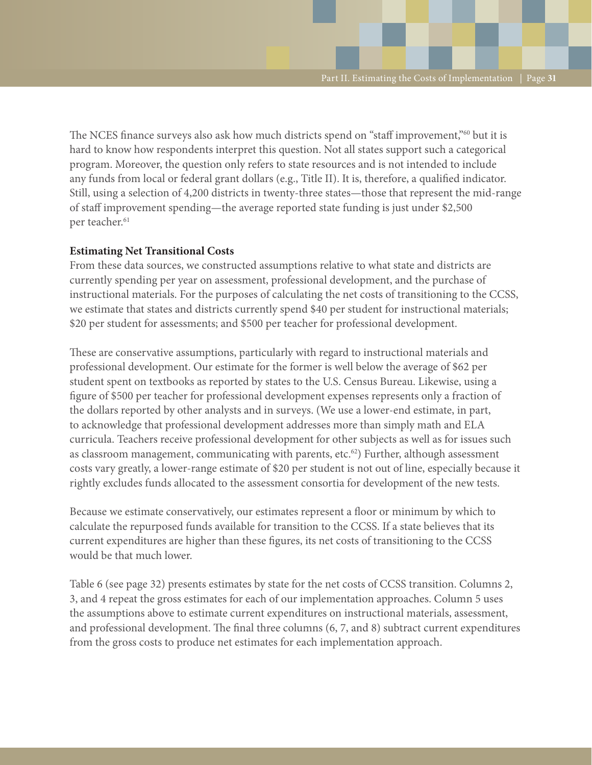The NCES finance surveys also ask how much districts spend on "staff improvement,"<sup>60</sup> but it is hard to know how respondents interpret this question. Not all states support such a categorical program. Moreover, the question only refers to state resources and is not intended to include any funds from local or federal grant dollars (e.g., Title II). It is, therefore, a qualified indicator. Still, using a selection of 4,200 districts in twenty-three states—those that represent the mid-range of staff improvement spending—the average reported state funding is just under \$2,500 per teacher.<sup>61</sup>

#### **Estimating Net Transitional Costs**

From these data sources, we constructed assumptions relative to what state and districts are currently spending per year on assessment, professional development, and the purchase of instructional materials. For the purposes of calculating the net costs of transitioning to the CCSS, we estimate that states and districts currently spend \$40 per student for instructional materials; \$20 per student for assessments; and \$500 per teacher for professional development.

These are conservative assumptions, particularly with regard to instructional materials and professional development. Our estimate for the former is well below the average of \$62 per student spent on textbooks as reported by states to the U.S. Census Bureau. Likewise, using a figure of \$500 per teacher for professional development expenses represents only a fraction of the dollars reported by other analysts and in surveys. (We use a lower-end estimate, in part, to acknowledge that professional development addresses more than simply math and ELA curricula. Teachers receive professional development for other subjects as well as for issues such as classroom management, communicating with parents, etc.<sup>62</sup>) Further, although assessment costs vary greatly, a lower-range estimate of \$20 per student is not out of line, especially because it rightly excludes funds allocated to the assessment consortia for development of the new tests.

Because we estimate conservatively, our estimates represent a floor or minimum by which to calculate the repurposed funds available for transition to the CCSS. If a state believes that its current expenditures are higher than these figures, its net costs of transitioning to the CCSS would be that much lower.

Table 6 (see page 32) presents estimates by state for the net costs of CCSS transition. Columns 2, 3, and 4 repeat the gross estimates for each of our implementation approaches. Column 5 uses the assumptions above to estimate current expenditures on instructional materials, assessment, and professional development. The final three columns (6, 7, and 8) subtract current expenditures from the gross costs to produce net estimates for each implementation approach.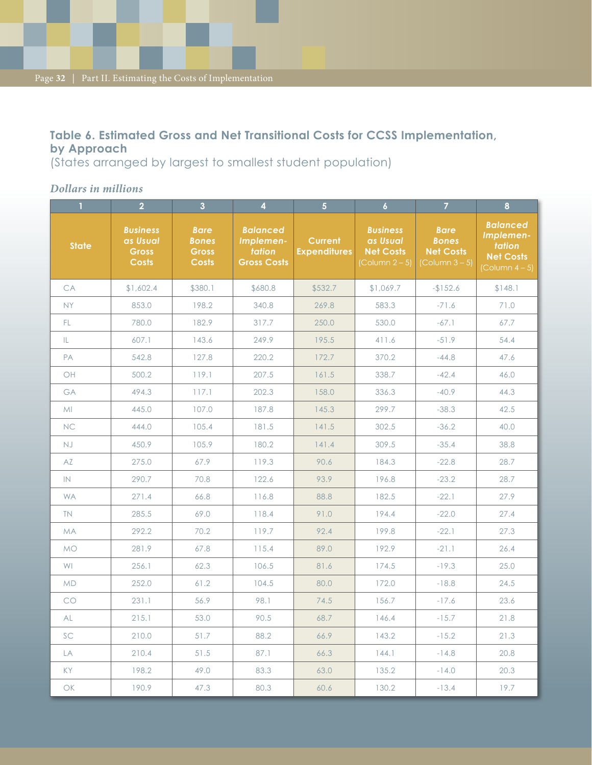### **Table 6. Estimated Gross and Net Transitional Costs for CCSS Implementation, by Approach**

(States arranged by largest to smallest student population)

#### *Dollars in millions*

|                                                              | $\overline{2}$                                              | $\overline{3}$                                              | $\overline{4}$                                               | $\overline{5}$                        | $\overline{6}$                                                            | $\overline{7}$                                                            | 8                                                                                    |
|--------------------------------------------------------------|-------------------------------------------------------------|-------------------------------------------------------------|--------------------------------------------------------------|---------------------------------------|---------------------------------------------------------------------------|---------------------------------------------------------------------------|--------------------------------------------------------------------------------------|
| <b>State</b>                                                 | <b>Business</b><br>as Usual<br><b>Gross</b><br><b>Costs</b> | <b>Bare</b><br><b>Bones</b><br><b>Gross</b><br><b>Costs</b> | <b>Balanced</b><br>Implemen-<br>tation<br><b>Gross Costs</b> | <b>Current</b><br><b>Expenditures</b> | <b>Business</b><br>as Usual<br><b>Net Costs</b><br>$\left($ Column 2 – 5) | <b>Bare</b><br><b>Bones</b><br><b>Net Costs</b><br>$\left($ Column 3 – 5) | <b>Balanced</b><br>Implemen-<br>tation<br><b>Net Costs</b><br>$\left($ Column 4 – 5) |
| CA                                                           | \$1,602.4                                                   | \$380.1                                                     | \$680.8                                                      | \$532.7                               | \$1,069.7                                                                 | $-$152.6$                                                                 | \$148.1                                                                              |
| <b>NY</b>                                                    | 853.0                                                       | 198.2                                                       | 340.8                                                        | 269.8                                 | 583.3                                                                     | $-71.6$                                                                   | 71.0                                                                                 |
| FL.                                                          | 780.0                                                       | 182.9                                                       | 317.7                                                        | 250.0                                 | 530.0                                                                     | $-67.1$                                                                   | 67.7                                                                                 |
| IL.                                                          | 607.1                                                       | 143.6                                                       | 249.9                                                        | 195.5                                 | 411.6                                                                     | $-51.9$                                                                   | 54.4                                                                                 |
| PA                                                           | 542.8                                                       | 127.8                                                       | 220.2                                                        | 172.7                                 | 370.2                                                                     | $-44.8$                                                                   | 47.6                                                                                 |
| OH                                                           | 500.2                                                       | 119.1                                                       | 207.5                                                        | 161.5                                 | 338.7                                                                     | $-42.4$                                                                   | 46.0                                                                                 |
| GA                                                           | 494.3                                                       | 117.1                                                       | 202.3                                                        | 158.0                                 | 336.3                                                                     | $-40.9$                                                                   | 44.3                                                                                 |
| MI                                                           | 445.0                                                       | 107.0                                                       | 187.8                                                        | 145.3                                 | 299.7                                                                     | $-38.3$                                                                   | 42.5                                                                                 |
| <b>NC</b>                                                    | 444.0                                                       | 105.4                                                       | 181.5                                                        | 141.5                                 | 302.5                                                                     | $-36.2$                                                                   | 40.0                                                                                 |
| <b>NJ</b>                                                    | 450.9                                                       | 105.9                                                       | 180.2                                                        | 141.4                                 | 309.5                                                                     | $-35.4$                                                                   | 38.8                                                                                 |
| AZ                                                           | 275.0                                                       | 67.9                                                        | 119.3                                                        | 90.6                                  | 184.3                                                                     | $-22.8$                                                                   | 28.7                                                                                 |
| IN                                                           | 290.7                                                       | 70.8                                                        | 122.6                                                        | 93.9                                  | 196.8                                                                     | $-23.2$                                                                   | 28.7                                                                                 |
| <b>WA</b>                                                    | 271.4                                                       | 66.8                                                        | 116.8                                                        | 88.8                                  | 182.5                                                                     | $-22.1$                                                                   | 27.9                                                                                 |
| <b>TN</b>                                                    | 285.5                                                       | 69.0                                                        | 118.4                                                        | 91.0                                  | 194.4                                                                     | $-22.0$                                                                   | 27.4                                                                                 |
| <b>MA</b>                                                    | 292.2                                                       | 70.2                                                        | 119.7                                                        | 92.4                                  | 199.8                                                                     | $-22.1$                                                                   | 27.3                                                                                 |
| <b>MO</b>                                                    | 281.9                                                       | 67.8                                                        | 115.4                                                        | 89.0                                  | 192.9                                                                     | $-21.1$                                                                   | 26.4                                                                                 |
| WI                                                           | 256.1                                                       | 62.3                                                        | 106.5                                                        | 81.6                                  | 174.5                                                                     | $-19.3$                                                                   | 25.0                                                                                 |
| <b>MD</b>                                                    | 252.0                                                       | 61.2                                                        | 104.5                                                        | 80.0                                  | 172.0                                                                     | $-18.8$                                                                   | 24.5                                                                                 |
| CO                                                           | 231.1                                                       | 56.9                                                        | 98.1                                                         | 74.5                                  | 156.7                                                                     | $-17.6$                                                                   | 23.6                                                                                 |
| AL                                                           | 215.1                                                       | 53.0                                                        | 90.5                                                         | 68.7                                  | 146.4                                                                     | $-15.7$                                                                   | 21.8                                                                                 |
| SC                                                           | 210.0                                                       | 51.7                                                        | 88.2                                                         | 66.9                                  | 143.2                                                                     | $-15.2$                                                                   | 21.3                                                                                 |
| LA                                                           | 210.4                                                       | 51.5                                                        | 87.1                                                         | 66.3                                  | 144.1                                                                     | $-14.8$                                                                   | 20.8                                                                                 |
| <b>KY</b>                                                    | 198.2                                                       | 49.0                                                        | 83.3                                                         | 63.0                                  | 135.2                                                                     | $-14.0$                                                                   | 20.3                                                                                 |
| $\mathsf{OK}% _{\mathsf{CL}}\times\mathsf{CN}_{\mathsf{CL}}$ | 190.9                                                       | 47.3                                                        | 80.3                                                         | 60.6                                  | 130.2                                                                     | $-13.4$                                                                   | 19.7                                                                                 |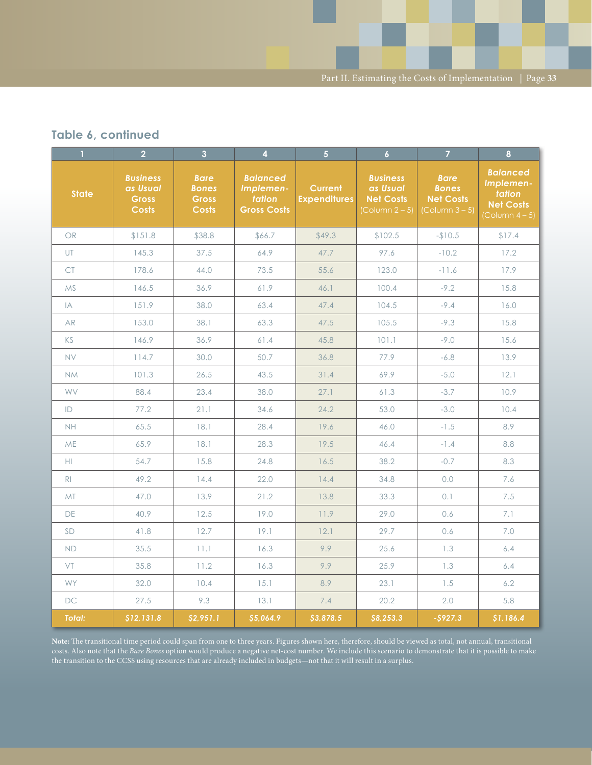Part II. Estimating the Costs of Implementation  $\; \mid$  Page **33** 

### **Table 6, continued**

| $\mathbf{1}$   | $\overline{2}$                                              | $\overline{3}$                                              | $\overline{4}$                                               | $\overline{5}$                        | $\overline{6}$                                                                       | $\overline{7}$                                                            | $\boldsymbol{8}$                                                                     |
|----------------|-------------------------------------------------------------|-------------------------------------------------------------|--------------------------------------------------------------|---------------------------------------|--------------------------------------------------------------------------------------|---------------------------------------------------------------------------|--------------------------------------------------------------------------------------|
| <b>State</b>   | <b>Business</b><br>as Usual<br><b>Gross</b><br><b>Costs</b> | <b>Bare</b><br><b>Bones</b><br><b>Gross</b><br><b>Costs</b> | <b>Balanced</b><br>Implemen-<br>tation<br><b>Gross Costs</b> | <b>Current</b><br><b>Expenditures</b> | <b>Business</b><br>as Usual<br><b>Net Costs</b><br>$\left(\text{Column } 2-5\right)$ | <b>Bare</b><br><b>Bones</b><br><b>Net Costs</b><br>$\left($ Column 3 – 5) | <b>Balanced</b><br>Implemen-<br>tation<br><b>Net Costs</b><br>$\left($ Column 4 – 5) |
| <b>OR</b>      | \$151.8                                                     | \$38.8                                                      | \$66.7                                                       | \$49.3                                | \$102.5                                                                              | $-$10.5$                                                                  | \$17.4                                                                               |
| UT.            | 145.3                                                       | 37.5                                                        | 64.9                                                         | 47.7                                  | 97.6                                                                                 | $-10.2$                                                                   | 17.2                                                                                 |
| <b>CT</b>      | 178.6                                                       | 44.0                                                        | 73.5                                                         | 55.6                                  | 123.0                                                                                | $-11.6$                                                                   | 17.9                                                                                 |
| <b>MS</b>      | 146.5                                                       | 36.9                                                        | 61.9                                                         | 46.1                                  | 100.4                                                                                | $-9.2$                                                                    | 15.8                                                                                 |
| IA             | 151.9                                                       | 38.0                                                        | 63.4                                                         | 47.4                                  | 104.5                                                                                | $-9.4$                                                                    | 16.0                                                                                 |
| <b>AR</b>      | 153.0                                                       | 38.1                                                        | 63.3                                                         | 47.5                                  | 105.5                                                                                | $-9.3$                                                                    | 15.8                                                                                 |
| KS             | 146.9                                                       | 36.9                                                        | 61.4                                                         | 45.8                                  | 101.1                                                                                | $-9.0$                                                                    | 15.6                                                                                 |
| <b>NV</b>      | 114.7                                                       | 30.0                                                        | 50.7                                                         | 36.8                                  | 77.9                                                                                 | $-6.8$                                                                    | 13.9                                                                                 |
| <b>NM</b>      | 101.3                                                       | 26.5                                                        | 43.5                                                         | 31.4                                  | 69.9                                                                                 | $-5.0$                                                                    | 12.1                                                                                 |
| <b>WV</b>      | 88.4                                                        | 23.4                                                        | 38.0                                                         | 27.1                                  | 61.3                                                                                 | $-3.7$                                                                    | 10.9                                                                                 |
| ID             | 77.2                                                        | 21.1                                                        | 34.6                                                         | 24.2                                  | 53.0                                                                                 | $-3.0$                                                                    | 10.4                                                                                 |
| <b>NH</b>      | 65.5                                                        | 18.1                                                        | 28.4                                                         | 19.6                                  | 46.0                                                                                 | $-1.5$                                                                    | 8.9                                                                                  |
| <b>ME</b>      | 65.9                                                        | 18.1                                                        | 28.3                                                         | 19.5                                  | 46.4                                                                                 | $-1.4$                                                                    | 8.8                                                                                  |
| HI.            | 54.7                                                        | 15.8                                                        | 24.8                                                         | 16.5                                  | 38.2                                                                                 | $-0.7$                                                                    | 8.3                                                                                  |
| R <sub>1</sub> | 49.2                                                        | 14.4                                                        | 22.0                                                         | 14.4                                  | 34.8                                                                                 | $0.0$                                                                     | 7.6                                                                                  |
| <b>MT</b>      | 47.0                                                        | 13.9                                                        | 21.2                                                         | 13.8                                  | 33.3                                                                                 | 0.1                                                                       | 7.5                                                                                  |
| DE             | 40.9                                                        | 12.5                                                        | 19.0                                                         | 11.9                                  | 29.0                                                                                 | 0.6                                                                       | 7.1                                                                                  |
| SD             | 41.8                                                        | 12.7                                                        | 19.1                                                         | 12.1                                  | 29.7                                                                                 | 0.6                                                                       | $7.0\,$                                                                              |
| <b>ND</b>      | 35.5                                                        | 11.1                                                        | 16.3                                                         | 9.9                                   | 25.6                                                                                 | 1.3                                                                       | 6.4                                                                                  |
| <b>VT</b>      | 35.8                                                        | 11.2                                                        | 16.3                                                         | 9.9                                   | 25.9                                                                                 | 1.3                                                                       | 6.4                                                                                  |
| <b>WY</b>      | 32.0                                                        | 10.4                                                        | 15.1                                                         | 8.9                                   | 23.1                                                                                 | 1.5                                                                       | 6.2                                                                                  |
| <b>DC</b>      | 27.5                                                        | 9.3                                                         | 13.1                                                         | 7.4                                   | 20.2                                                                                 | 2.0                                                                       | 5.8                                                                                  |
| <b>Total:</b>  | \$12,131.8                                                  | \$2,951.1                                                   | \$5,064.9                                                    | \$3,878.5                             | \$8,253.3                                                                            | $-5927.3$                                                                 | \$1,186.4                                                                            |

**Note:** The transitional time period could span from one to three years. Figures shown here, therefore, should be viewed as total, not annual, transitional costs. Also note that the *Bare Bones* option would produce a negative net-cost number. We include this scenario to demonstrate that it is possible to make the transition to the CCSS using resources that are already included in budgets—not that it will result in a surplus.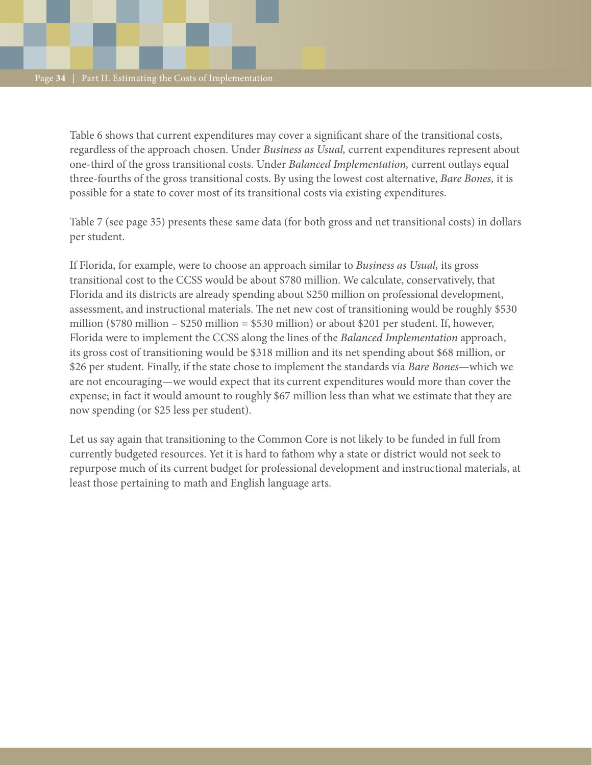Table 6 shows that current expenditures may cover a significant share of the transitional costs, regardless of the approach chosen. Under *Business as Usual,* current expenditures represent about one-third of the gross transitional costs. Under *Balanced Implementation,* current outlays equal three-fourths of the gross transitional costs. By using the lowest cost alternative, *Bare Bones,* it is possible for a state to cover most of its transitional costs via existing expenditures.

Table 7 (see page 35) presents these same data (for both gross and net transitional costs) in dollars per student.

If Florida, for example, were to choose an approach similar to *Business as Usual,* its gross transitional cost to the CCSS would be about \$780 million. We calculate, conservatively, that Florida and its districts are already spending about \$250 million on professional development, assessment, and instructional materials. The net new cost of transitioning would be roughly \$530 million (\$780 million – \$250 million = \$530 million) or about \$201 per student. If, however, Florida were to implement the CCSS along the lines of the *Balanced Implementation* approach, its gross cost of transitioning would be \$318 million and its net spending about \$68 million, or \$26 per student. Finally, if the state chose to implement the standards via *Bare Bones*—which we are not encouraging—we would expect that its current expenditures would more than cover the expense; in fact it would amount to roughly \$67 million less than what we estimate that they are now spending (or \$25 less per student).

Let us say again that transitioning to the Common Core is not likely to be funded in full from currently budgeted resources. Yet it is hard to fathom why a state or district would not seek to repurpose much of its current budget for professional development and instructional materials, at least those pertaining to math and English language arts.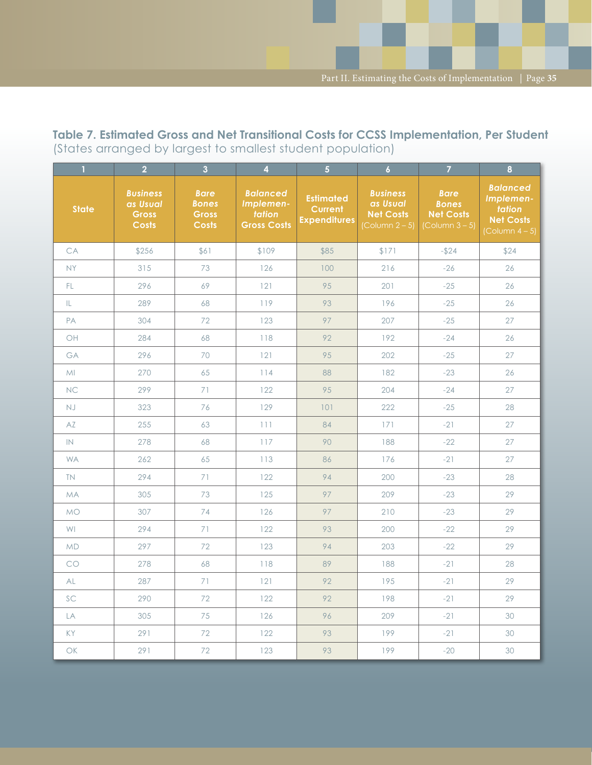**Table 7. Estimated Gross and Net Transitional Costs for CCSS Implementation, Per Student** (States arranged by largest to smallest student population)

| $\mathbf{1}$ | 2 <sup>1</sup>                                              | $\overline{3}$                                              | $\overline{4}$                                               | $\overline{5}$                                            | $\overline{6}$                                                                     | $\overline{7}$                                                            | $\overline{\mathbf{8}}$                                                                         |
|--------------|-------------------------------------------------------------|-------------------------------------------------------------|--------------------------------------------------------------|-----------------------------------------------------------|------------------------------------------------------------------------------------|---------------------------------------------------------------------------|-------------------------------------------------------------------------------------------------|
| <b>State</b> | <b>Business</b><br>as Usual<br><b>Gross</b><br><b>Costs</b> | <b>Bare</b><br><b>Bones</b><br><b>Gross</b><br><b>Costs</b> | <b>Balanced</b><br>Implemen-<br>tation<br><b>Gross Costs</b> | <b>Estimated</b><br><b>Current</b><br><b>Expenditures</b> | <b>Business</b><br>as Usual<br><b>Net Costs</b><br>$\left[$ Column 2 – 5 $\right]$ | <b>Bare</b><br><b>Bones</b><br><b>Net Costs</b><br>$\left($ Column 3 – 5) | <b>Balanced</b><br>Implemen-<br>tation<br><b>Net Costs</b><br>$\left(\text{Column } 4-5\right)$ |
| CA           | \$256                                                       | \$61                                                        | \$109                                                        | \$85                                                      | \$171                                                                              | $-$ \$24                                                                  | \$24                                                                                            |
| <b>NY</b>    | 315                                                         | 73                                                          | 126                                                          | 100                                                       | 216                                                                                | $-26$                                                                     | 26                                                                                              |
| FL.          | 296                                                         | 69                                                          | 121                                                          | 95                                                        | 201                                                                                | $-25$                                                                     | 26                                                                                              |
| IL.          | 289                                                         | 68                                                          | 119                                                          | 93                                                        | 196                                                                                | $-25$                                                                     | 26                                                                                              |
| PA           | 304                                                         | 72                                                          | 123                                                          | 97                                                        | 207                                                                                | $-25$                                                                     | 27                                                                                              |
| OH           | 284                                                         | 68                                                          | 118                                                          | 92                                                        | 192                                                                                | $-24$                                                                     | 26                                                                                              |
| GA           | 296                                                         | 70                                                          | 121                                                          | 95                                                        | 202                                                                                | $-25$                                                                     | 27                                                                                              |
| MI           | 270                                                         | 65                                                          | 114                                                          | 88                                                        | 182                                                                                | $-23$                                                                     | 26                                                                                              |
| <b>NC</b>    | 299                                                         | 71                                                          | 122                                                          | 95                                                        | 204                                                                                | $-24$                                                                     | 27                                                                                              |
| <b>NJ</b>    | 323                                                         | 76                                                          | 129                                                          | 101                                                       | 222                                                                                | $-25$                                                                     | 28                                                                                              |
| AZ           | 255                                                         | 63                                                          | 111                                                          | 84                                                        | 171                                                                                | $-21$                                                                     | 27                                                                                              |
| IN           | 278                                                         | 68                                                          | 117                                                          | 90                                                        | 188                                                                                | $-22$                                                                     | 27                                                                                              |
| <b>WA</b>    | 262                                                         | 65                                                          | 113                                                          | 86                                                        | 176                                                                                | $-21$                                                                     | 27                                                                                              |
| <b>TN</b>    | 294                                                         | 71                                                          | 122                                                          | 94                                                        | 200                                                                                | $-23$                                                                     | 28                                                                                              |
| <b>MA</b>    | 305                                                         | 73                                                          | 125                                                          | 97                                                        | 209                                                                                | $-23$                                                                     | 29                                                                                              |
| <b>MO</b>    | 307                                                         | 74                                                          | 126                                                          | 97                                                        | 210                                                                                | $-23$                                                                     | 29                                                                                              |
| <b>WI</b>    | 294                                                         | 71                                                          | 122                                                          | 93                                                        | 200                                                                                | $-22$                                                                     | 29                                                                                              |
| <b>MD</b>    | 297                                                         | 72                                                          | 123                                                          | 94                                                        | 203                                                                                | $-22$                                                                     | 29                                                                                              |
| CO           | 278                                                         | 68                                                          | 118                                                          | 89                                                        | 188                                                                                | $-21$                                                                     | 28                                                                                              |
| AL           | 287                                                         | 71                                                          | 121                                                          | 92                                                        | 195                                                                                | $-21$                                                                     | 29                                                                                              |
| SC           | 290                                                         | 72                                                          | 122                                                          | 92                                                        | 198                                                                                | $-21$                                                                     | 29                                                                                              |
| LA           | 305                                                         | 75                                                          | 126                                                          | 96                                                        | 209                                                                                | $-21$                                                                     | 30                                                                                              |
| <b>KY</b>    | 291                                                         | 72                                                          | 122                                                          | 93                                                        | 199                                                                                | $-21$                                                                     | 30                                                                                              |
| OK           | 291                                                         | 72                                                          | 123                                                          | 93                                                        | 199                                                                                | $-20$                                                                     | 30                                                                                              |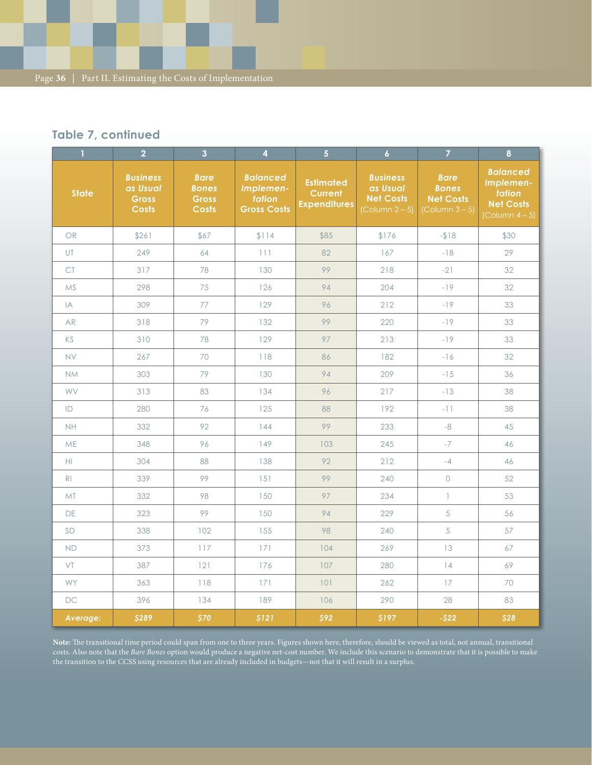### **Table 7, continued**

| $\mathbf{1}$   | 2 <sup>1</sup>                                              | 3 <sup>1</sup>                                              | $\overline{4}$                                               | $\overline{\mathbf{5}}$                                   | $\overline{6}$                                                            | $\overline{7}$                                                            | $\bf{8}$                                                                             |
|----------------|-------------------------------------------------------------|-------------------------------------------------------------|--------------------------------------------------------------|-----------------------------------------------------------|---------------------------------------------------------------------------|---------------------------------------------------------------------------|--------------------------------------------------------------------------------------|
| <b>State</b>   | <b>Business</b><br>as Usual<br><b>Gross</b><br><b>Costs</b> | <b>Bare</b><br><b>Bones</b><br><b>Gross</b><br><b>Costs</b> | <b>Balanced</b><br>Implemen-<br>tation<br><b>Gross Costs</b> | <b>Estimated</b><br><b>Current</b><br><b>Expenditures</b> | <b>Business</b><br>as Usual<br><b>Net Costs</b><br>$\left($ Column 2 – 5) | <b>Bare</b><br><b>Bones</b><br><b>Net Costs</b><br>$\left($ Column 3 – 5) | <b>Balanced</b><br>Implemen-<br>tation<br><b>Net Costs</b><br>$\left($ Column 4 – 5) |
| OR             | \$261                                                       | \$67                                                        | \$114                                                        | \$85                                                      | \$176                                                                     | $-$ \$18                                                                  | \$30                                                                                 |
| UT             | 249                                                         | 64                                                          | 111                                                          | 82                                                        | 167                                                                       | $-18$                                                                     | 29                                                                                   |
| <b>CT</b>      | 317                                                         | 78                                                          | 130                                                          | 99                                                        | 218                                                                       | $-21$                                                                     | 32                                                                                   |
| <b>MS</b>      | 298                                                         | 75                                                          | 126                                                          | 94                                                        | 204                                                                       | $-19$                                                                     | 32                                                                                   |
| IA             | 309                                                         | 77                                                          | 129                                                          | 96                                                        | 212                                                                       | $-19$                                                                     | 33                                                                                   |
| AR             | 318                                                         | 79                                                          | 132                                                          | 99                                                        | 220                                                                       | $-19$                                                                     | 33                                                                                   |
| KS             | 310                                                         | 78                                                          | 129                                                          | 97                                                        | 213                                                                       | $-19$                                                                     | 33                                                                                   |
| <b>NV</b>      | 267                                                         | 70                                                          | 118                                                          | 86                                                        | 182                                                                       | $-16$                                                                     | 32                                                                                   |
| <b>NM</b>      | 303                                                         | 79                                                          | 130                                                          | 94                                                        | 209                                                                       | $-15$                                                                     | 36                                                                                   |
| WV             | 313                                                         | 83                                                          | 134                                                          | 96                                                        | 217                                                                       | $-13$                                                                     | 38                                                                                   |
| ID             | 280                                                         | 76                                                          | 125                                                          | 88                                                        | 192                                                                       | $-11$                                                                     | 38                                                                                   |
| NH             | 332                                                         | 92                                                          | 144                                                          | 99                                                        | 233                                                                       | $-8$                                                                      | 45                                                                                   |
| <b>ME</b>      | 348                                                         | 96                                                          | 149                                                          | 103                                                       | 245                                                                       | $-7$                                                                      | 46                                                                                   |
| HI.            | 304                                                         | 88                                                          | 138                                                          | 92                                                        | 212                                                                       | $-4$                                                                      | 46                                                                                   |
| R <sub>1</sub> | 339                                                         | 99                                                          | 151                                                          | 99                                                        | 240                                                                       | $\mathsf O$                                                               | 52                                                                                   |
| <b>MT</b>      | 332                                                         | 98                                                          | 150                                                          | 97                                                        | 234                                                                       | $\mathbf{1}$                                                              | 53                                                                                   |
| DE             | 323                                                         | 99                                                          | 150                                                          | 94                                                        | 229                                                                       | 5                                                                         | 56                                                                                   |
| SD             | 338                                                         | 102                                                         | 155                                                          | 98                                                        | 240                                                                       | 5                                                                         | 57                                                                                   |
| <b>ND</b>      | 373                                                         | 117                                                         | 171                                                          | 104                                                       | 269                                                                       | 13                                                                        | 67                                                                                   |
| VT             | 387                                                         | 121                                                         | 176                                                          | 107                                                       | 280                                                                       | 14                                                                        | 69                                                                                   |
| <b>WY</b>      | 363                                                         | 118                                                         | 171                                                          | 101                                                       | 262                                                                       | 17                                                                        | 70                                                                                   |
| <b>DC</b>      | 396                                                         | 134                                                         | 189                                                          | 106                                                       | 290                                                                       | 28                                                                        | 83                                                                                   |
| Average:       | \$289                                                       | \$70                                                        | \$121                                                        | \$92                                                      | \$197                                                                     | $-$ \$22                                                                  | \$28                                                                                 |

**Note:** The transitional time period could span from one to three years. Figures shown here, therefore, should be viewed as total, not annual, transitional costs. Also note that the *Bare Bones* option would produce a negative net-cost number. We include this scenario to demonstrate that it is possible to make the transition to the CCSS using resources that are already included in budgets—not that it will result in a surplus.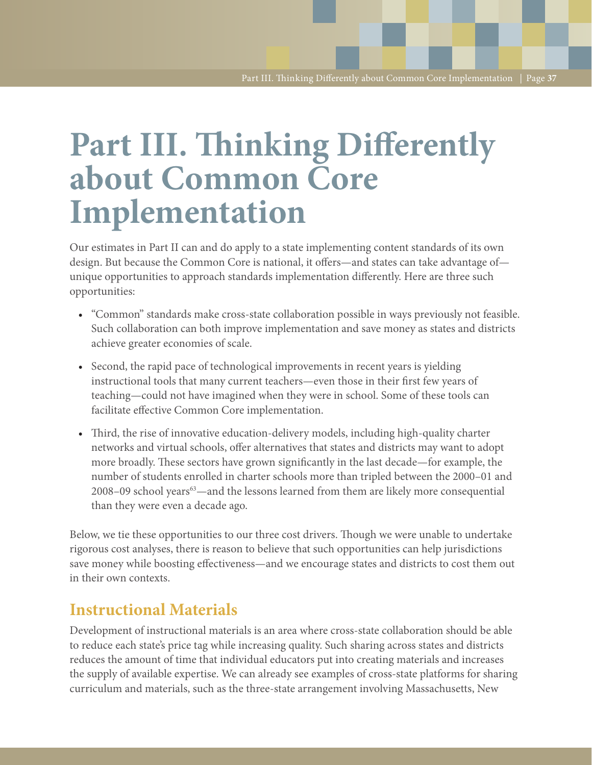## **Part III. Thinking Differently about Common Core Implementation**

Our estimates in Part II can and do apply to a state implementing content standards of its own design. But because the Common Core is national, it offers—and states can take advantage of unique opportunities to approach standards implementation differently. Here are three such opportunities:

- "Common" standards make cross-state collaboration possible in ways previously not feasible. Such collaboration can both improve implementation and save money as states and districts achieve greater economies of scale.
- Second, the rapid pace of technological improvements in recent years is yielding instructional tools that many current teachers—even those in their first few years of teaching—could not have imagined when they were in school. Some of these tools can facilitate effective Common Core implementation.
- Third, the rise of innovative education-delivery models, including high-quality charter networks and virtual schools, offer alternatives that states and districts may want to adopt more broadly. These sectors have grown significantly in the last decade—for example, the number of students enrolled in charter schools more than tripled between the 2000–01 and 2008–09 school years<sup>63</sup>—and the lessons learned from them are likely more consequential than they were even a decade ago.

Below, we tie these opportunities to our three cost drivers. Though we were unable to undertake rigorous cost analyses, there is reason to believe that such opportunities can help jurisdictions save money while boosting effectiveness—and we encourage states and districts to cost them out in their own contexts.

### **Instructional Materials**

Development of instructional materials is an area where cross-state collaboration should be able to reduce each state's price tag while increasing quality. Such sharing across states and districts reduces the amount of time that individual educators put into creating materials and increases the supply of available expertise. We can already see examples of cross-state platforms for sharing curriculum and materials, such as the three-state arrangement involving Massachusetts, New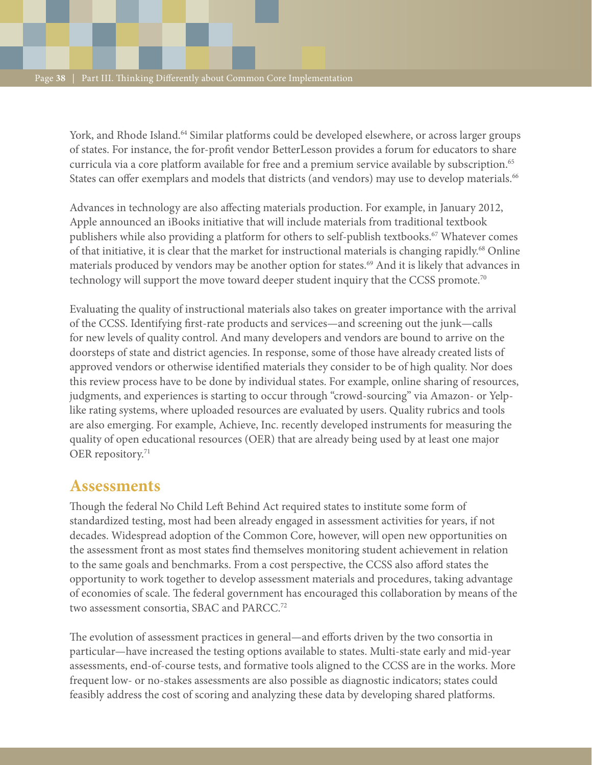York, and Rhode Island.<sup>64</sup> Similar platforms could be developed elsewhere, or across larger groups of states. For instance, the for-profit vendor BetterLesson provides a forum for educators to share curricula via a core platform available for free and a premium service available by subscription.65 States can offer exemplars and models that districts (and vendors) may use to develop materials.<sup>66</sup>

Advances in technology are also affecting materials production. For example, in January 2012, Apple announced an iBooks initiative that will include materials from traditional textbook publishers while also providing a platform for others to self-publish textbooks.<sup>67</sup> Whatever comes of that initiative, it is clear that the market for instructional materials is changing rapidly.<sup>68</sup> Online materials produced by vendors may be another option for states.<sup>69</sup> And it is likely that advances in technology will support the move toward deeper student inquiry that the CCSS promote.<sup>70</sup>

Evaluating the quality of instructional materials also takes on greater importance with the arrival of the CCSS. Identifying first-rate products and services—and screening out the junk—calls for new levels of quality control. And many developers and vendors are bound to arrive on the doorsteps of state and district agencies. In response, some of those have already created lists of approved vendors or otherwise identified materials they consider to be of high quality. Nor does this review process have to be done by individual states. For example, online sharing of resources, judgments, and experiences is starting to occur through "crowd-sourcing" via Amazon- or Yelplike rating systems, where uploaded resources are evaluated by users. Quality rubrics and tools are also emerging. For example, Achieve, Inc. recently developed instruments for measuring the quality of open educational resources (OER) that are already being used by at least one major OER repository.<sup>71</sup>

### **Assessments**

Though the federal No Child Left Behind Act required states to institute some form of standardized testing, most had been already engaged in assessment activities for years, if not decades. Widespread adoption of the Common Core, however, will open new opportunities on the assessment front as most states find themselves monitoring student achievement in relation to the same goals and benchmarks. From a cost perspective, the CCSS also afford states the opportunity to work together to develop assessment materials and procedures, taking advantage of economies of scale. The federal government has encouraged this collaboration by means of the two assessment consortia, SBAC and PARCC.<sup>72</sup>

The evolution of assessment practices in general—and efforts driven by the two consortia in particular—have increased the testing options available to states. Multi-state early and mid-year assessments, end-of-course tests, and formative tools aligned to the CCSS are in the works. More frequent low- or no-stakes assessments are also possible as diagnostic indicators; states could feasibly address the cost of scoring and analyzing these data by developing shared platforms.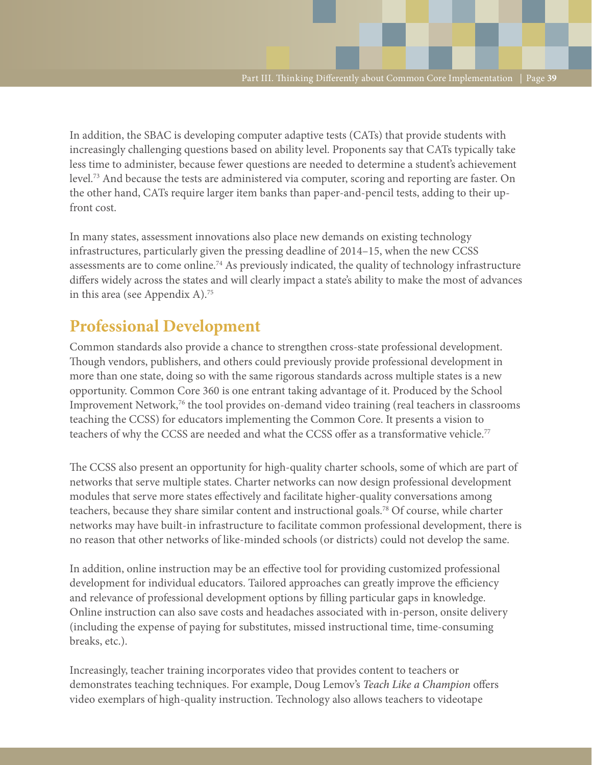In addition, the SBAC is developing computer adaptive tests (CATs) that provide students with increasingly challenging questions based on ability level. Proponents say that CATs typically take less time to administer, because fewer questions are needed to determine a student's achievement level.73 And because the tests are administered via computer, scoring and reporting are faster. On the other hand, CATs require larger item banks than paper-and-pencil tests, adding to their upfront cost.

In many states, assessment innovations also place new demands on existing technology infrastructures, particularly given the pressing deadline of 2014–15, when the new CCSS assessments are to come online.74 As previously indicated, the quality of technology infrastructure differs widely across the states and will clearly impact a state's ability to make the most of advances in this area (see Appendix A).<sup>75</sup>

## **Professional Development**

Common standards also provide a chance to strengthen cross-state professional development. Though vendors, publishers, and others could previously provide professional development in more than one state, doing so with the same rigorous standards across multiple states is a new opportunity. Common Core 360 is one entrant taking advantage of it. Produced by the School Improvement Network, $\frac{7}{6}$  the tool provides on-demand video training (real teachers in classrooms) teaching the CCSS) for educators implementing the Common Core. It presents a vision to teachers of why the CCSS are needed and what the CCSS offer as a transformative vehicle.<sup>77</sup>

The CCSS also present an opportunity for high-quality charter schools, some of which are part of networks that serve multiple states. Charter networks can now design professional development modules that serve more states effectively and facilitate higher-quality conversations among teachers, because they share similar content and instructional goals.78 Of course, while charter networks may have built-in infrastructure to facilitate common professional development, there is no reason that other networks of like-minded schools (or districts) could not develop the same.

In addition, online instruction may be an effective tool for providing customized professional development for individual educators. Tailored approaches can greatly improve the efficiency and relevance of professional development options by filling particular gaps in knowledge. Online instruction can also save costs and headaches associated with in-person, onsite delivery (including the expense of paying for substitutes, missed instructional time, time-consuming breaks, etc.).

Increasingly, teacher training incorporates video that provides content to teachers or demonstrates teaching techniques. For example, Doug Lemov's *Teach Like a Champion* offers video exemplars of high-quality instruction. Technology also allows teachers to videotape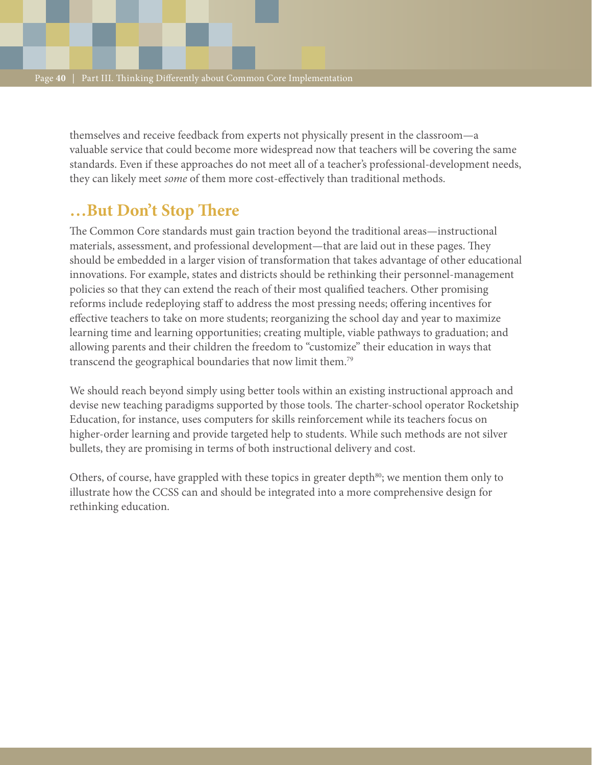themselves and receive feedback from experts not physically present in the classroom—a valuable service that could become more widespread now that teachers will be covering the same standards. Even if these approaches do not meet all of a teacher's professional-development needs, they can likely meet *some* of them more cost-effectively than traditional methods.

## **…But Don't Stop There**

The Common Core standards must gain traction beyond the traditional areas—instructional materials, assessment, and professional development—that are laid out in these pages. They should be embedded in a larger vision of transformation that takes advantage of other educational innovations. For example, states and districts should be rethinking their personnel-management policies so that they can extend the reach of their most qualified teachers. Other promising reforms include redeploying staff to address the most pressing needs; offering incentives for effective teachers to take on more students; reorganizing the school day and year to maximize learning time and learning opportunities; creating multiple, viable pathways to graduation; and allowing parents and their children the freedom to "customize" their education in ways that transcend the geographical boundaries that now limit them.79

We should reach beyond simply using better tools within an existing instructional approach and devise new teaching paradigms supported by those tools. The charter-school operator Rocketship Education, for instance, uses computers for skills reinforcement while its teachers focus on higher-order learning and provide targeted help to students. While such methods are not silver bullets, they are promising in terms of both instructional delivery and cost.

Others, of course, have grappled with these topics in greater depth<sup>80</sup>; we mention them only to illustrate how the CCSS can and should be integrated into a more comprehensive design for rethinking education.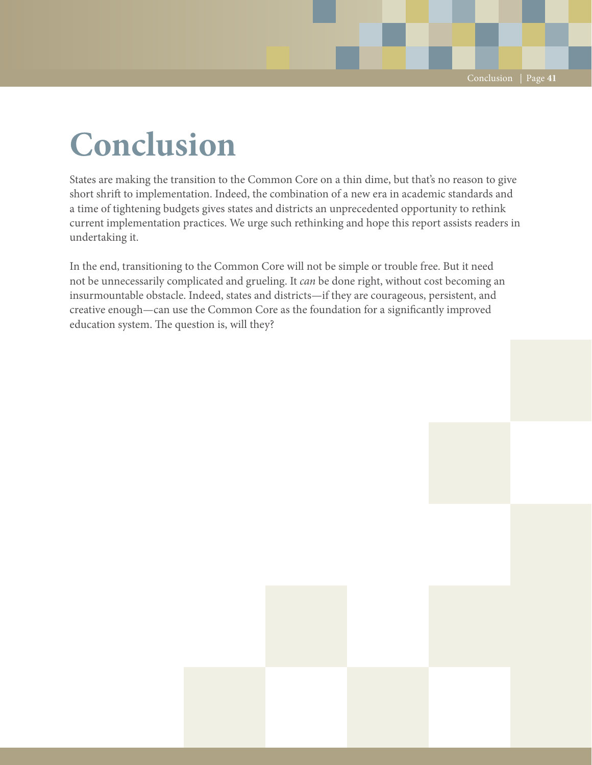# **Conclusion**

States are making the transition to the Common Core on a thin dime, but that's no reason to give short shrift to implementation. Indeed, the combination of a new era in academic standards and a time of tightening budgets gives states and districts an unprecedented opportunity to rethink current implementation practices. We urge such rethinking and hope this report assists readers in undertaking it.

In the end, transitioning to the Common Core will not be simple or trouble free. But it need not be unnecessarily complicated and grueling. It *can* be done right, without cost becoming an insurmountable obstacle. Indeed, states and districts—if they are courageous, persistent, and creative enough—can use the Common Core as the foundation for a significantly improved education system. The question is, will they?

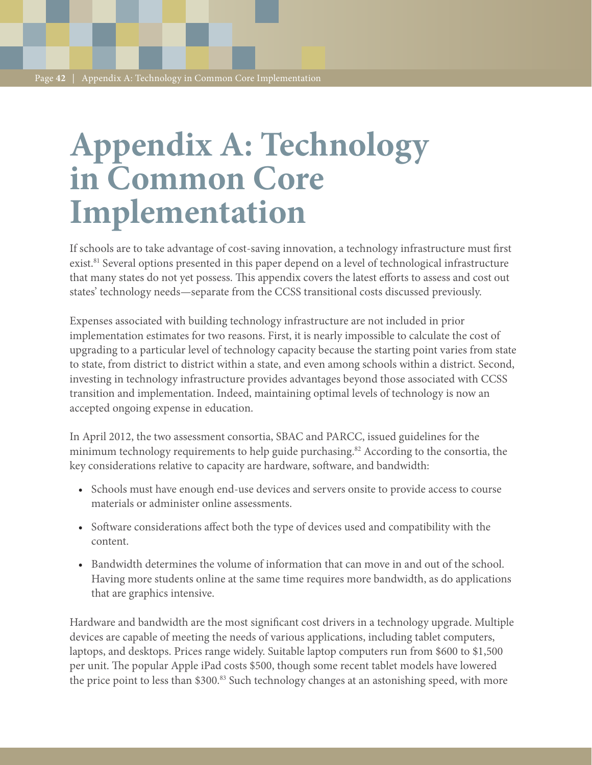# **Appendix A: Technology in Common Core Implementation**

If schools are to take advantage of cost-saving innovation, a technology infrastructure must first exist.<sup>81</sup> Several options presented in this paper depend on a level of technological infrastructure that many states do not yet possess. This appendix covers the latest efforts to assess and cost out states' technology needs—separate from the CCSS transitional costs discussed previously.

Expenses associated with building technology infrastructure are not included in prior implementation estimates for two reasons. First, it is nearly impossible to calculate the cost of upgrading to a particular level of technology capacity because the starting point varies from state to state, from district to district within a state, and even among schools within a district. Second, investing in technology infrastructure provides advantages beyond those associated with CCSS transition and implementation. Indeed, maintaining optimal levels of technology is now an accepted ongoing expense in education.

In April 2012, the two assessment consortia, SBAC and PARCC, issued guidelines for the minimum technology requirements to help guide purchasing.<sup>82</sup> According to the consortia, the key considerations relative to capacity are hardware, software, and bandwidth:

- Schools must have enough end-use devices and servers onsite to provide access to course materials or administer online assessments.
- • Software considerations affect both the type of devices used and compatibility with the content.
- • Bandwidth determines the volume of information that can move in and out of the school. Having more students online at the same time requires more bandwidth, as do applications that are graphics intensive.

Hardware and bandwidth are the most significant cost drivers in a technology upgrade. Multiple devices are capable of meeting the needs of various applications, including tablet computers, laptops, and desktops. Prices range widely. Suitable laptop computers run from \$600 to \$1,500 per unit. The popular Apple iPad costs \$500, though some recent tablet models have lowered the price point to less than \$300.<sup>83</sup> Such technology changes at an astonishing speed, with more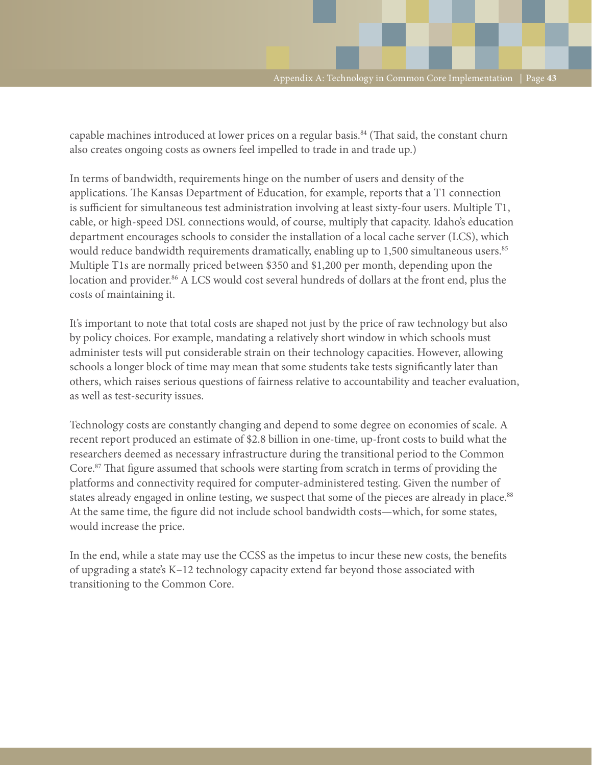capable machines introduced at lower prices on a regular basis.<sup>84</sup> (That said, the constant churn also creates ongoing costs as owners feel impelled to trade in and trade up.)

In terms of bandwidth, requirements hinge on the number of users and density of the applications. The Kansas Department of Education, for example, reports that a T1 connection is sufficient for simultaneous test administration involving at least sixty-four users. Multiple T1, cable, or high-speed DSL connections would, of course, multiply that capacity. Idaho's education department encourages schools to consider the installation of a local cache server (LCS), which would reduce bandwidth requirements dramatically, enabling up to 1,500 simultaneous users.<sup>85</sup> Multiple T1s are normally priced between \$350 and \$1,200 per month, depending upon the location and provider.<sup>86</sup> A LCS would cost several hundreds of dollars at the front end, plus the costs of maintaining it.

It's important to note that total costs are shaped not just by the price of raw technology but also by policy choices. For example, mandating a relatively short window in which schools must administer tests will put considerable strain on their technology capacities. However, allowing schools a longer block of time may mean that some students take tests significantly later than others, which raises serious questions of fairness relative to accountability and teacher evaluation, as well as test-security issues.

Technology costs are constantly changing and depend to some degree on economies of scale. A recent report produced an estimate of \$2.8 billion in one-time, up-front costs to build what the researchers deemed as necessary infrastructure during the transitional period to the Common Core.87 That figure assumed that schools were starting from scratch in terms of providing the platforms and connectivity required for computer-administered testing. Given the number of states already engaged in online testing, we suspect that some of the pieces are already in place.<sup>88</sup> At the same time, the figure did not include school bandwidth costs—which, for some states, would increase the price.

In the end, while a state may use the CCSS as the impetus to incur these new costs, the benefits of upgrading a state's K–12 technology capacity extend far beyond those associated with transitioning to the Common Core.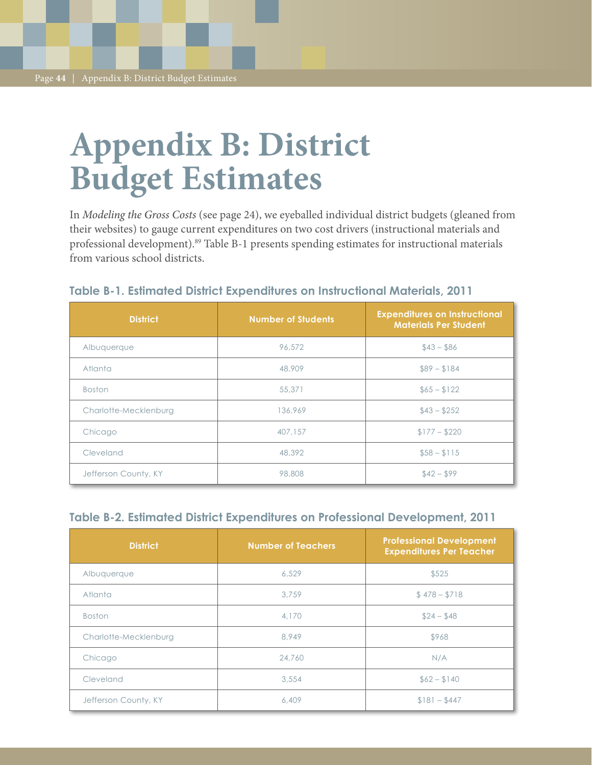# **Appendix B: District Budget Estimates**

In *Modeling the Gross Costs* (see page 24), we eyeballed individual district budgets (gleaned from their websites) to gauge current expenditures on two cost drivers (instructional materials and professional development).<sup>89</sup> Table B-1 presents spending estimates for instructional materials from various school districts.

| <b>District</b>       | <b>Number of Students</b> | <b>Expenditures on Instructional</b><br><b>Materials Per Student</b> |
|-----------------------|---------------------------|----------------------------------------------------------------------|
| Albuquerque           | 96,572                    | $$43 - $86$                                                          |
| Atlanta               | 48,909                    | $$89 - $184$                                                         |
| <b>Boston</b>         | 55,371                    | $$65 - $122$                                                         |
| Charlotte-Mecklenburg | 136,969                   | $$43 - $252$                                                         |
| Chicago               | 407.157                   | $$177 - $220$                                                        |
| Cleveland             | 48,392                    | $$58 - $115$                                                         |
| Jefferson County, KY  | 98,808                    | $$42 - $99$                                                          |

#### **Table B-1. Estimated District Expenditures on Instructional Materials, 2011**

#### **Table B-2. Estimated District Expenditures on Professional Development, 2011**

| <b>District</b>       | <b>Number of Teachers</b> | <b>Professional Development</b><br><b>Expenditures Per Teacher</b> |
|-----------------------|---------------------------|--------------------------------------------------------------------|
| Albuquerque           | 6,529                     | \$525                                                              |
| Atlanta               | 3.759                     | $$478 - $718$                                                      |
| <b>Boston</b>         | 4,170                     | $$24 - $48$                                                        |
| Charlotte-Mecklenburg | 8.949                     | \$968                                                              |
| Chicago               | 24,760                    | N/A                                                                |
| Cleveland             | 3,554                     | $$62 - $140$                                                       |
| Jefferson County, KY  | 6,409                     | $$181 - $447$                                                      |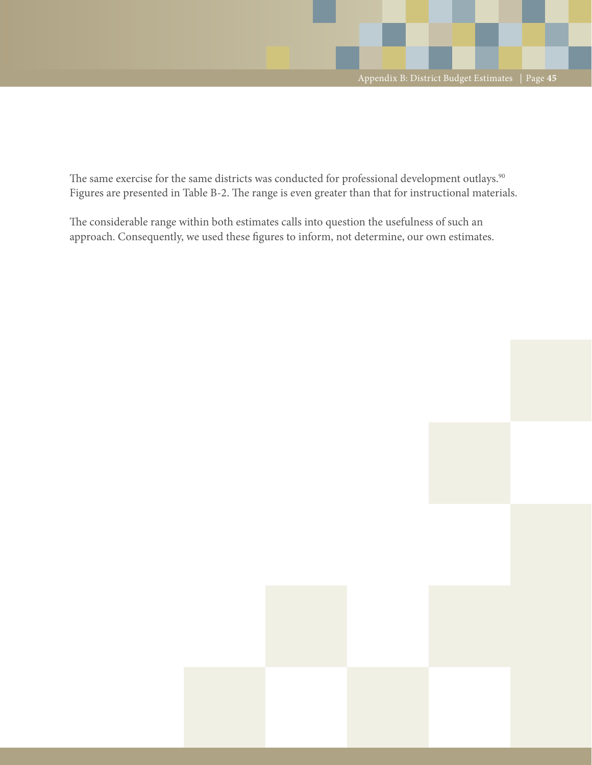The same exercise for the same districts was conducted for professional development outlays.<sup>90</sup> Figures are presented in Table B-2. The range is even greater than that for instructional materials.

The considerable range within both estimates calls into question the usefulness of such an approach. Consequently, we used these figures to inform, not determine, our own estimates.

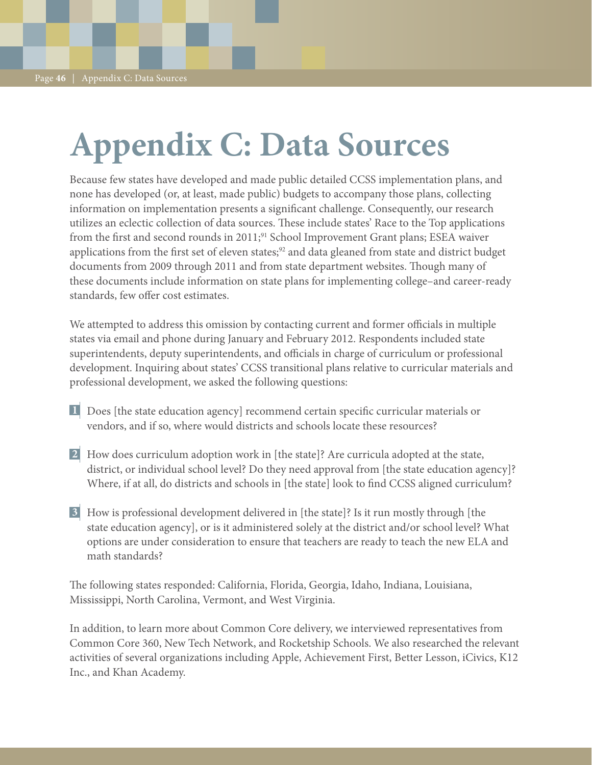# **Appendix C: Data Sources**

Because few states have developed and made public detailed CCSS implementation plans, and none has developed (or, at least, made public) budgets to accompany those plans, collecting information on implementation presents a significant challenge. Consequently, our research utilizes an eclectic collection of data sources. These include states' Race to the Top applications from the first and second rounds in 2011;<sup>91</sup> School Improvement Grant plans; ESEA waiver applications from the first set of eleven states;<sup>92</sup> and data gleaned from state and district budget documents from 2009 through 2011 and from state department websites. Though many of these documents include information on state plans for implementing college–and career-ready standards, few offer cost estimates.

We attempted to address this omission by contacting current and former officials in multiple states via email and phone during January and February 2012. Respondents included state superintendents, deputy superintendents, and officials in charge of curriculum or professional development. Inquiring about states' CCSS transitional plans relative to curricular materials and professional development, we asked the following questions:

- Does [the state education agency] recommend certain specific curricular materials or **1** vendors, and if so, where would districts and schools locate these resources?
- How does curriculum adoption work in [the state]? Are curricula adopted at the state, **2** district, or individual school level? Do they need approval from [the state education agency]? Where, if at all, do districts and schools in [the state] look to find CCSS aligned curriculum?
- How is professional development delivered in [the state]? Is it run mostly through [the **3**state education agency], or is it administered solely at the district and/or school level? What options are under consideration to ensure that teachers are ready to teach the new ELA and math standards?

The following states responded: California, Florida, Georgia, Idaho, Indiana, Louisiana, Mississippi, North Carolina, Vermont, and West Virginia.

In addition, to learn more about Common Core delivery, we interviewed representatives from Common Core 360, New Tech Network, and Rocketship Schools. We also researched the relevant activities of several organizations including Apple, Achievement First, Better Lesson, iCivics, K12 Inc., and Khan Academy.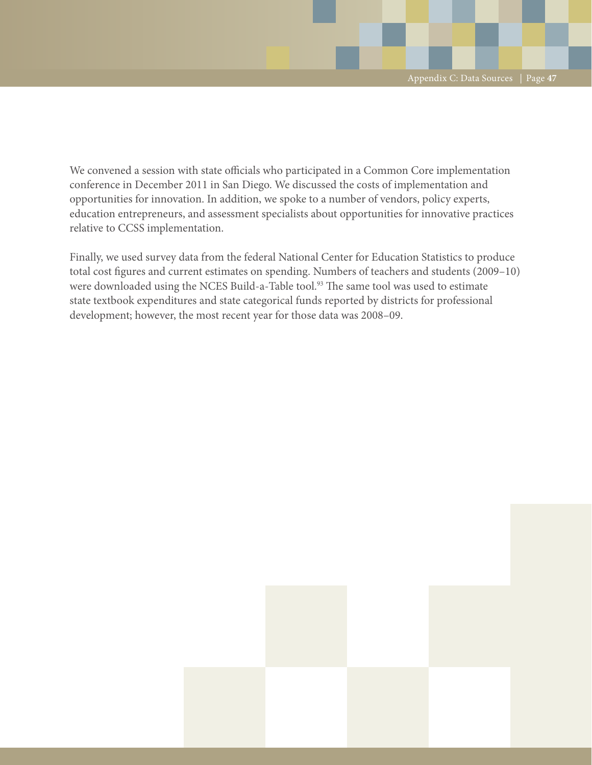We convened a session with state officials who participated in a Common Core implementation conference in December 2011 in San Diego. We discussed the costs of implementation and opportunities for innovation. In addition, we spoke to a number of vendors, policy experts, education entrepreneurs, and assessment specialists about opportunities for innovative practices relative to CCSS implementation.

Finally, we used survey data from the federal National Center for Education Statistics to produce total cost figures and current estimates on spending. Numbers of teachers and students (2009–10) were downloaded using the NCES Build-a-Table tool.<sup>93</sup> The same tool was used to estimate state textbook expenditures and state categorical funds reported by districts for professional development; however, the most recent year for those data was 2008–09.

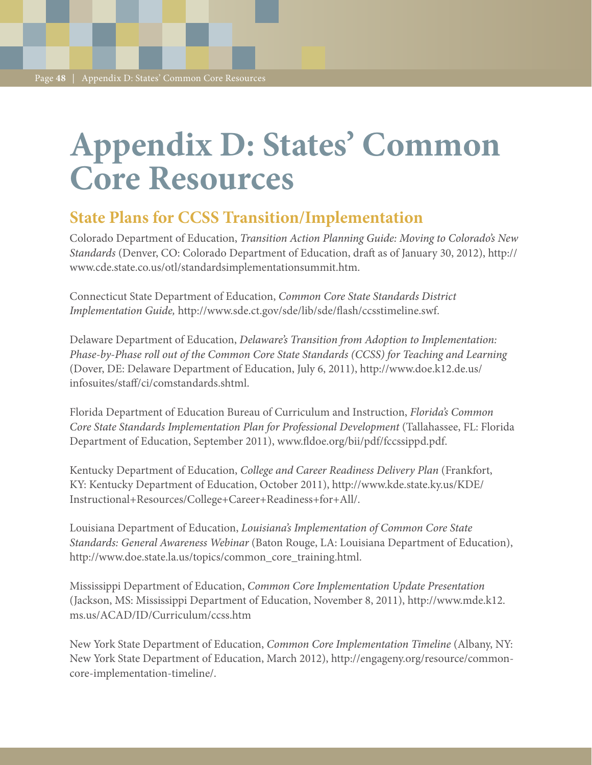# **Appendix D: States' Common Core Resources**

## **State Plans for CCSS Transition/Implementation**

Colorado Department of Education, *Transition Action Planning Guide: Moving to Colorado's New Standards* (Denver, CO: Colorado Department of Education, draft as of January 30, 2012), http:// www.cde.state.co.us/otl/standardsimplementationsummit.htm.

Connecticut State Department of Education, *Common Core State Standards District Implementation Guide,* http://www.sde.ct.gov/sde/lib/sde/flash/ccsstimeline.swf.

Delaware Department of Education, *Delaware's Transition from Adoption to Implementation: Phase-by-Phase roll out of the Common Core State Standards (CCSS) for Teaching and Learning* (Dover, DE: Delaware Department of Education, July 6, 2011), http://www.doe.k12.de.us/ infosuites/staff/ci/comstandards.shtml.

Florida Department of Education Bureau of Curriculum and Instruction, *Florida's Common Core State Standards Implementation Plan for Professional Development* (Tallahassee, FL: Florida Department of Education, September 2011), www.fldoe.org/bii/pdf/fccssippd.pdf.

Kentucky Department of Education, *College and Career Readiness Delivery Plan* (Frankfort, KY: Kentucky Department of Education, October 2011), http://www.kde.state.ky.us/KDE/ Instructional+Resources/College+Career+Readiness+for+All/.

Louisiana Department of Education, *Louisiana's Implementation of Common Core State Standards: General Awareness Webinar* (Baton Rouge, LA: Louisiana Department of Education), http://www.doe.state.la.us/topics/common\_core\_training.html.

Mississippi Department of Education, *Common Core Implementation Update Presentation* (Jackson, MS: Mississippi Department of Education, November 8, 2011), http://www.mde.k12. ms.us/ACAD/ID/Curriculum/ccss.htm

New York State Department of Education, *Common Core Implementation Timeline* (Albany, NY: New York State Department of Education, March 2012), http://engageny.org/resource/commoncore-implementation-timeline/.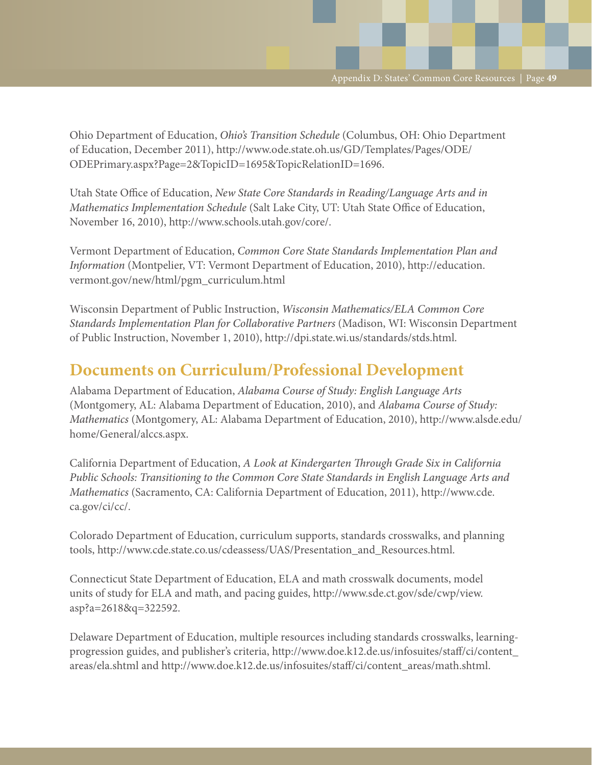Ohio Department of Education, *Ohio's Transition Schedule* (Columbus, OH: Ohio Department of Education, December 2011), http://www.ode.state.oh.us/GD/Templates/Pages/ODE/ ODEPrimary.aspx?Page=2&TopicID=1695&TopicRelationID=1696.

Utah State Office of Education, *New State Core Standards in Reading/Language Arts and in Mathematics Implementation Schedule* (Salt Lake City, UT: Utah State Office of Education, November 16, 2010), http://www.schools.utah.gov/core/.

Vermont Department of Education, *Common Core State Standards Implementation Plan and Information* (Montpelier, VT: Vermont Department of Education, 2010), http://education. vermont.gov/new/html/pgm\_curriculum.html

Wisconsin Department of Public Instruction, *Wisconsin Mathematics/ELA Common Core Standards Implementation Plan for Collaborative Partners* (Madison, WI: Wisconsin Department of Public Instruction, November 1, 2010), http://dpi.state.wi.us/standards/stds.html.

## **Documents on Curriculum/Professional Development**

Alabama Department of Education, *Alabama Course of Study: English Language Arts* (Montgomery, AL: Alabama Department of Education, 2010), and *Alabama Course of Study: Mathematics* (Montgomery, AL: Alabama Department of Education, 2010), http://www.alsde.edu/ home/General/alccs.aspx.

California Department of Education, *A Look at Kindergarten Through Grade Six in California Public Schools: Transitioning to the Common Core State Standards in English Language Arts and Mathematics* (Sacramento, CA: California Department of Education, 2011), http://www.cde. ca.gov/ci/cc/.

Colorado Department of Education, curriculum supports, standards crosswalks, and planning tools, http://www.cde.state.co.us/cdeassess/UAS/Presentation\_and\_Resources.html.

Connecticut State Department of Education, ELA and math crosswalk documents, model units of study for ELA and math, and pacing guides, http://www.sde.ct.gov/sde/cwp/view. asp?a=2618&q=322592.

Delaware Department of Education, multiple resources including standards crosswalks, learningprogression guides, and publisher's criteria, http://www.doe.k12.de.us/infosuites/staff/ci/content\_ areas/ela.shtml and http://www.doe.k12.de.us/infosuites/staff/ci/content\_areas/math.shtml.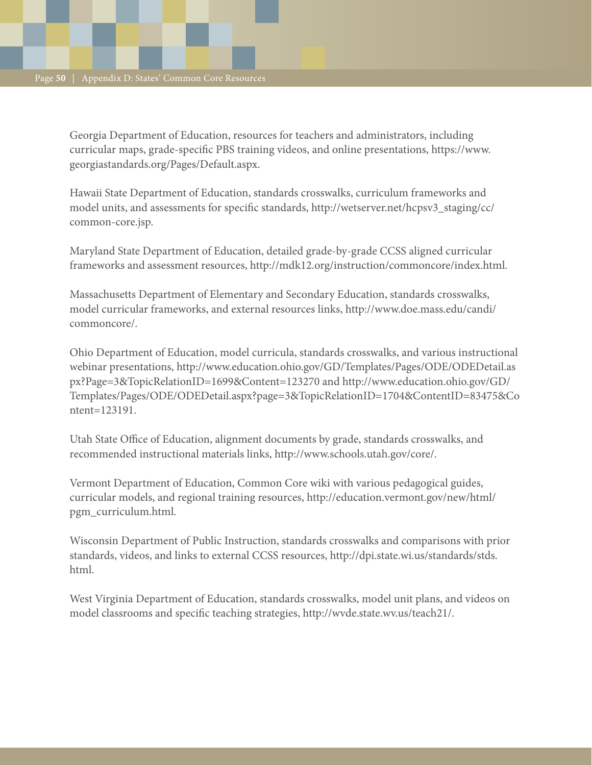Georgia Department of Education, resources for teachers and administrators, including curricular maps, grade-specific PBS training videos, and online presentations, https://www. georgiastandards.org/Pages/Default.aspx.

Hawaii State Department of Education, standards crosswalks, curriculum frameworks and model units, and assessments for specific standards, http://wetserver.net/hcpsv3\_staging/cc/ common-core.jsp.

Maryland State Department of Education, detailed grade-by-grade CCSS aligned curricular frameworks and assessment resources, http://mdk12.org/instruction/commoncore/index.html.

Massachusetts Department of Elementary and Secondary Education, standards crosswalks, model curricular frameworks, and external resources links, http://www.doe.mass.edu/candi/ commoncore/.

Ohio Department of Education, model curricula, standards crosswalks, and various instructional webinar presentations, http://www.education.ohio.gov/GD/Templates/Pages/ODE/ODEDetail.as px?Page=3&TopicRelationID=1699&Content=123270 and http://www.education.ohio.gov/GD/ Templates/Pages/ODE/ODEDetail.aspx?page=3&TopicRelationID=1704&ContentID=83475&Co ntent=123191.

Utah State Office of Education, alignment documents by grade, standards crosswalks, and recommended instructional materials links, http://www.schools.utah.gov/core/.

Vermont Department of Education, Common Core wiki with various pedagogical guides, curricular models, and regional training resources, http://education.vermont.gov/new/html/ pgm\_curriculum.html.

Wisconsin Department of Public Instruction, standards crosswalks and comparisons with prior standards, videos, and links to external CCSS resources, http://dpi.state.wi.us/standards/stds. html.

West Virginia Department of Education, standards crosswalks, model unit plans, and videos on model classrooms and specific teaching strategies, http://wvde.state.wv.us/teach21/.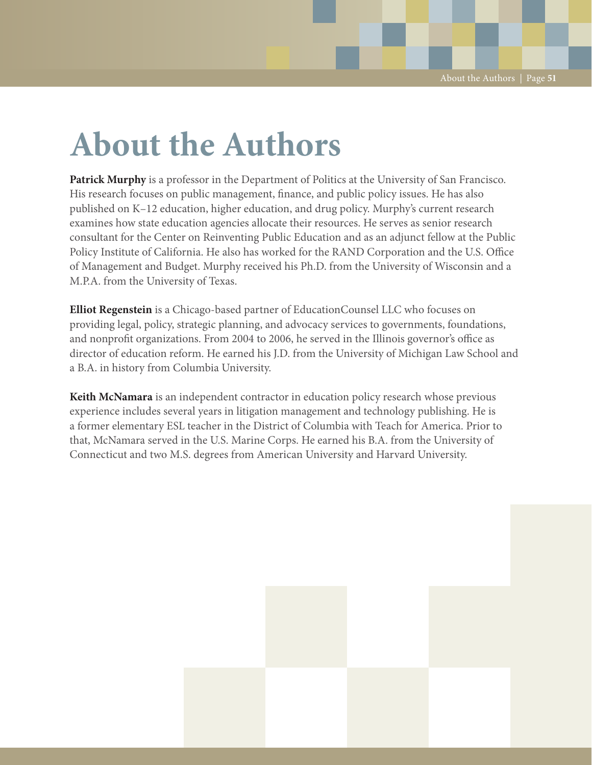# **About the Authors**

**Patrick Murphy** is a professor in the Department of Politics at the University of San Francisco. His research focuses on public management, finance, and public policy issues. He has also published on K–12 education, higher education, and drug policy. Murphy's current research examines how state education agencies allocate their resources. He serves as senior research consultant for the Center on Reinventing Public Education and as an adjunct fellow at the Public Policy Institute of California. He also has worked for the RAND Corporation and the U.S. Office of Management and Budget. Murphy received his Ph.D. from the University of Wisconsin and a M.P.A. from the University of Texas.

**Elliot Regenstein** is a Chicago-based partner of EducationCounsel LLC who focuses on providing legal, policy, strategic planning, and advocacy services to governments, foundations, and nonprofit organizations. From 2004 to 2006, he served in the Illinois governor's office as director of education reform. He earned his J.D. from the University of Michigan Law School and a B.A. in history from Columbia University.

**Keith McNamara** is an independent contractor in education policy research whose previous experience includes several years in litigation management and technology publishing. He is a former elementary ESL teacher in the District of Columbia with Teach for America. Prior to that, McNamara served in the U.S. Marine Corps. He earned his B.A. from the University of Connecticut and two M.S. degrees from American University and Harvard University.

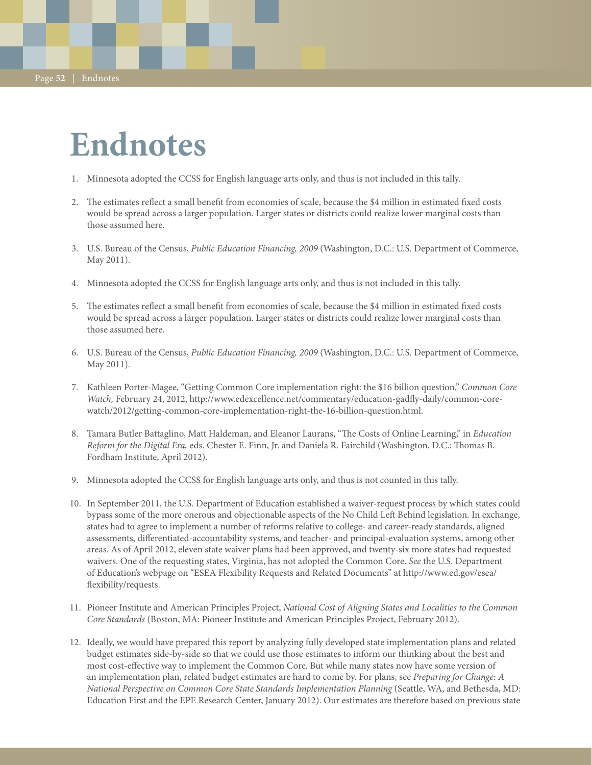Page **52** | Endnotes

# **Endnotes**

- 1. Minnesota adopted the CCSS for English language arts only, and thus is not included in this tally.
- 2. The estimates reflect a small benefit from economies of scale, because the \$4 million in estimated fixed costs would be spread across a larger population. Larger states or districts could realize lower marginal costs than those assumed here.
- 3. U.S. Bureau of the Census, *Public Education Financing, 2009* (Washington, D.C.: U.S. Department of Commerce, May 2011).
- 4. Minnesota adopted the CCSS for English language arts only, and thus is not included in this tally.
- 5. The estimates reflect a small benefit from economies of scale, because the \$4 million in estimated fixed costs would be spread across a larger population. Larger states or districts could realize lower marginal costs than those assumed here.
- 6. U.S. Bureau of the Census, *Public Education Financing, 2009* (Washington, D.C.: U.S. Department of Commerce, May 2011).
- 7. Kathleen Porter-Magee, "Getting Common Core implementation right: the \$16 billion question," *Common Core Watch,* February 24, 2012, http://www.edexcellence.net/commentary/education-gadfly-daily/common-corewatch/2012/getting-common-core-implementation-right-the-16-billion-question.html.
- 8. Tamara Butler Battaglino, Matt Haldeman, and Eleanor Laurans, "The Costs of Online Learning," in *Education Reform for the Digital Era,* eds. Chester E. Finn, Jr. and Daniela R. Fairchild (Washington, D.C.: Thomas B. Fordham Institute, April 2012).
- 9. Minnesota adopted the CCSS for English language arts only, and thus is not counted in this tally.
- 10. In September 2011, the U.S. Department of Education established a waiver-request process by which states could bypass some of the more onerous and objectionable aspects of the No Child Left Behind legislation. In exchange, states had to agree to implement a number of reforms relative to college- and career-ready standards, aligned assessments, differentiated-accountability systems, and teacher- and principal-evaluation systems, among other areas. As of April 2012, eleven state waiver plans had been approved, and twenty-six more states had requested waivers. One of the requesting states, Virginia, has not adopted the Common Core. *See* the U.S. Department of Education's webpage on "ESEA Flexibility Requests and Related Documents" at http://www.ed.gov/esea/ flexibility/requests.
- 11. Pioneer Institute and American Principles Project, *National Cost of Aligning States and Localities to the Common Core Standards* (Boston, MA: Pioneer Institute and American Principles Project, February 2012).
- 12. Ideally, we would have prepared this report by analyzing fully developed state implementation plans and related budget estimates side-by-side so that we could use those estimates to inform our thinking about the best and most cost-effective way to implement the Common Core. But while many states now have some version of an implementation plan, related budget estimates are hard to come by. For plans, see *Preparing for Change: A National Perspective on Common Core State Standards Implementation Planning* (Seattle, WA, and Bethesda, MD: Education First and the EPE Research Center, January 2012). Our estimates are therefore based on previous state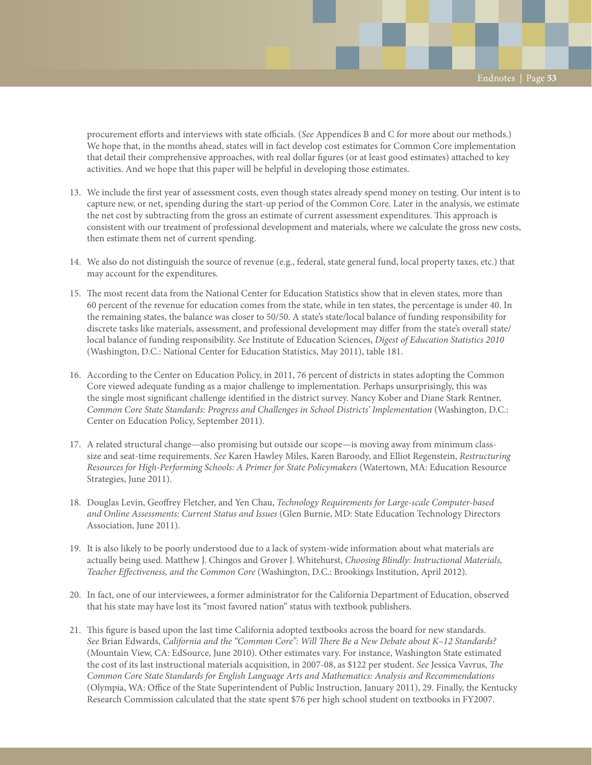procurement efforts and interviews with state officials. (*See* Appendices B and C for more about our methods.) We hope that, in the months ahead, states will in fact develop cost estimates for Common Core implementation that detail their comprehensive approaches, with real dollar figures (or at least good estimates) attached to key activities. And we hope that this paper will be helpful in developing those estimates.

- 13. We include the first year of assessment costs, even though states already spend money on testing. Our intent is to capture new, or net, spending during the start-up period of the Common Core. Later in the analysis, we estimate the net cost by subtracting from the gross an estimate of current assessment expenditures. This approach is consistent with our treatment of professional development and materials, where we calculate the gross new costs, then estimate them net of current spending.
- 14. We also do not distinguish the source of revenue (e.g., federal, state general fund, local property taxes, etc.) that may account for the expenditures.
- 15. The most recent data from the National Center for Education Statistics show that in eleven states, more than 60 percent of the revenue for education comes from the state, while in ten states, the percentage is under 40. In the remaining states, the balance was closer to 50/50. A state's state/local balance of funding responsibility for discrete tasks like materials, assessment, and professional development may differ from the state's overall state/ local balance of funding responsibility. *See* Institute of Education Sciences, *Digest of Education Statistics 2010* (Washington, D.C.: National Center for Education Statistics, May 2011), table 181.
- 16. According to the Center on Education Policy, in 2011, 76 percent of districts in states adopting the Common Core viewed adequate funding as a major challenge to implementation. Perhaps unsurprisingly, this was the single most significant challenge identified in the district survey. Nancy Kober and Diane Stark Rentner, *Common Core State Standards: Progress and Challenges in School Districts' Implementation* (Washington, D.C.: Center on Education Policy, September 2011).
- 17. A related structural change—also promising but outside our scope—is moving away from minimum classsize and seat-time requirements. *See* Karen Hawley Miles, Karen Baroody, and Elliot Regenstein, *Restructuring Resources for High-Performing Schools: A Primer for State Policymakers* (Watertown, MA: Education Resource Strategies, June 2011).
- 18. Douglas Levin, Geoffrey Fletcher, and Yen Chau, *Technology Requirements for Large-scale Computer-based and Online Assessments: Current Status and Issues* (Glen Burnie, MD: State Education Technology Directors Association, June 2011).
- 19. It is also likely to be poorly understood due to a lack of system-wide information about what materials are actually being used. Matthew J. Chingos and Grover J. Whitehurst, *Choosing Blindly: Instructional Materials, Teacher Effectiveness, and the Common Core* (Washington, D.C.: Brookings Institution, April 2012).
- 20. In fact, one of our interviewees, a former administrator for the California Department of Education, observed that his state may have lost its "most favored nation" status with textbook publishers.
- 21. This figure is based upon the last time California adopted textbooks across the board for new standards. *See* Brian Edwards, *California and the "Common Core": Will There Be a New Debate about K–12 Standards?* (Mountain View, CA: EdSource, June 2010). Other estimates vary. For instance, Washington State estimated the cost of its last instructional materials acquisition, in 2007-08, as \$122 per student. *See* Jessica Vavrus, *The Common Core State Standards for English Language Arts and Mathematics: Analysis and Recommendations* (Olympia, WA: Office of the State Superintendent of Public Instruction, January 2011), 29. Finally, the Kentucky Research Commission calculated that the state spent \$76 per high school student on textbooks in FY2007.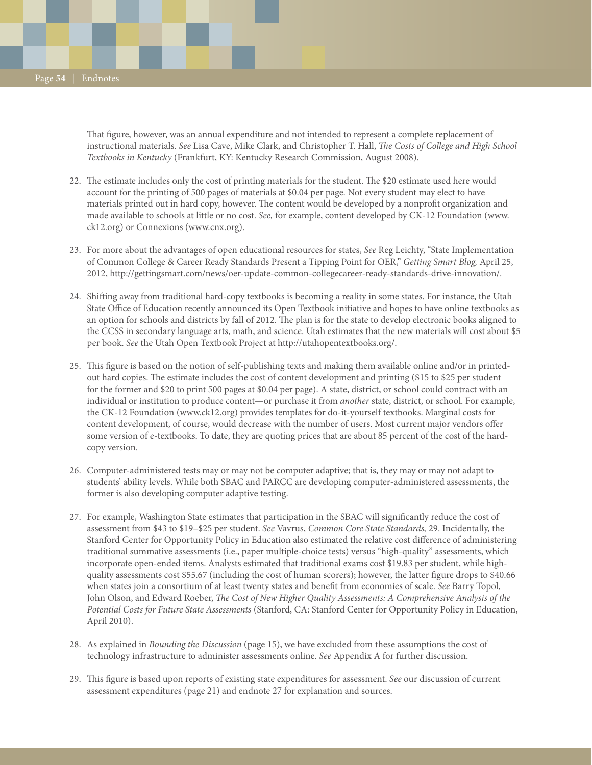That figure, however, was an annual expenditure and not intended to represent a complete replacement of instructional materials. *See* Lisa Cave, Mike Clark, and Christopher T. Hall, *The Costs of College and High School Textbooks in Kentucky* (Frankfurt, KY: Kentucky Research Commission, August 2008).

- 22. The estimate includes only the cost of printing materials for the student. The \$20 estimate used here would account for the printing of 500 pages of materials at \$0.04 per page. Not every student may elect to have materials printed out in hard copy, however. The content would be developed by a nonprofit organization and made available to schools at little or no cost. *See,* for example, content developed by CK-12 Foundation (www. ck12.org) or Connexions (www.cnx.org).
- 23. For more about the advantages of open educational resources for states, *See* Reg Leichty, "State Implementation of Common College & Career Ready Standards Present a Tipping Point for OER," *Getting Smart Blog,* April 25, 2012, http://gettingsmart.com/news/oer-update-common-collegecareer-ready-standards-drive-innovation/.
- 24. Shifting away from traditional hard-copy textbooks is becoming a reality in some states. For instance, the Utah State Office of Education recently announced its Open Textbook initiative and hopes to have online textbooks as an option for schools and districts by fall of 2012. The plan is for the state to develop electronic books aligned to the CCSS in secondary language arts, math, and science. Utah estimates that the new materials will cost about \$5 per book. *See* the Utah Open Textbook Project at http://utahopentextbooks.org/.
- 25. This figure is based on the notion of self-publishing texts and making them available online and/or in printedout hard copies. The estimate includes the cost of content development and printing (\$15 to \$25 per student for the former and \$20 to print 500 pages at \$0.04 per page). A state, district, or school could contract with an individual or institution to produce content—or purchase it from *another* state, district, or school. For example, the CK-12 Foundation (www.ck12.org) provides templates for do-it-yourself textbooks. Marginal costs for content development, of course, would decrease with the number of users. Most current major vendors offer some version of e-textbooks. To date, they are quoting prices that are about 85 percent of the cost of the hardcopy version.
- 26. Computer-administered tests may or may not be computer adaptive; that is, they may or may not adapt to students' ability levels. While both SBAC and PARCC are developing computer-administered assessments, the former is also developing computer adaptive testing.
- 27. For example, Washington State estimates that participation in the SBAC will significantly reduce the cost of assessment from \$43 to \$19–\$25 per student. *See* Vavrus, *Common Core State Standards,* 29. Incidentally, the Stanford Center for Opportunity Policy in Education also estimated the relative cost difference of administering traditional summative assessments (i.e., paper multiple-choice tests) versus "high-quality" assessments, which incorporate open-ended items. Analysts estimated that traditional exams cost \$19.83 per student, while highquality assessments cost \$55.67 (including the cost of human scorers); however, the latter figure drops to \$40.66 when states join a consortium of at least twenty states and benefit from economies of scale. *See* Barry Topol, John Olson, and Edward Roeber, *The Cost of New Higher Quality Assessments: A Comprehensive Analysis of the Potential Costs for Future State Assessments* (Stanford, CA: Stanford Center for Opportunity Policy in Education, April 2010).
- 28. As explained in *Bounding the Discussion* (page 15), we have excluded from these assumptions the cost of technology infrastructure to administer assessments online. *See* Appendix A for further discussion.
- 29. This figure is based upon reports of existing state expenditures for assessment. *See* our discussion of current assessment expenditures (page 21) and endnote 27 for explanation and sources.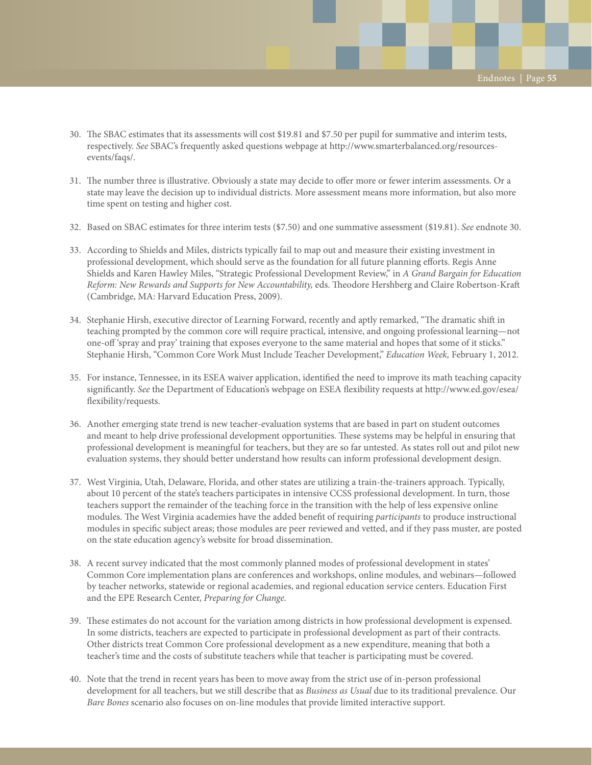- 30. The SBAC estimates that its assessments will cost \$19.81 and \$7.50 per pupil for summative and interim tests, respectively. *See* SBAC's frequently asked questions webpage at http://www.smarterbalanced.org/resourcesevents/faqs/.
- 31. The number three is illustrative. Obviously a state may decide to offer more or fewer interim assessments. Or a state may leave the decision up to individual districts. More assessment means more information, but also more time spent on testing and higher cost.
- 32. Based on SBAC estimates for three interim tests (\$7.50) and one summative assessment (\$19.81). *See* endnote 30.
- 33. According to Shields and Miles, districts typically fail to map out and measure their existing investment in professional development, which should serve as the foundation for all future planning efforts. Regis Anne Shields and Karen Hawley Miles, "Strategic Professional Development Review," in *A Grand Bargain for Education Reform: New Rewards and Supports for New Accountability,* eds. Theodore Hershberg and Claire Robertson-Kraft (Cambridge, MA: Harvard Education Press, 2009).
- 34. Stephanie Hirsh, executive director of Learning Forward, recently and aptly remarked, "The dramatic shift in teaching prompted by the common core will require practical, intensive, and ongoing professional learning—not one-off 'spray and pray' training that exposes everyone to the same material and hopes that some of it sticks." Stephanie Hirsh, "Common Core Work Must Include Teacher Development," *Education Week,* February 1, 2012.
- 35. For instance, Tennessee, in its ESEA waiver application, identified the need to improve its math teaching capacity significantly. *See* the Department of Education's webpage on ESEA flexibility requests at http://www.ed.gov/esea/ flexibility/requests.
- 36. Another emerging state trend is new teacher-evaluation systems that are based in part on student outcomes and meant to help drive professional development opportunities. These systems may be helpful in ensuring that professional development is meaningful for teachers, but they are so far untested. As states roll out and pilot new evaluation systems, they should better understand how results can inform professional development design.
- 37. West Virginia, Utah, Delaware, Florida, and other states are utilizing a train-the-trainers approach. Typically, about 10 percent of the state's teachers participates in intensive CCSS professional development. In turn, those teachers support the remainder of the teaching force in the transition with the help of less expensive online modules. The West Virginia academies have the added benefit of requiring *participants* to produce instructional modules in specific subject areas; those modules are peer reviewed and vetted, and if they pass muster, are posted on the state education agency's website for broad dissemination.
- 38. A recent survey indicated that the most commonly planned modes of professional development in states' Common Core implementation plans are conferences and workshops, online modules, and webinars—followed by teacher networks, statewide or regional academies, and regional education service centers. Education First and the EPE Research Center, *Preparing for Change.*
- 39. These estimates do not account for the variation among districts in how professional development is expensed. In some districts, teachers are expected to participate in professional development as part of their contracts. Other districts treat Common Core professional development as a new expenditure, meaning that both a teacher's time and the costs of substitute teachers while that teacher is participating must be covered.
- 40. Note that the trend in recent years has been to move away from the strict use of in-person professional development for all teachers, but we still describe that as *Business as Usual* due to its traditional prevalence. Our *Bare Bones* scenario also focuses on on-line modules that provide limited interactive support.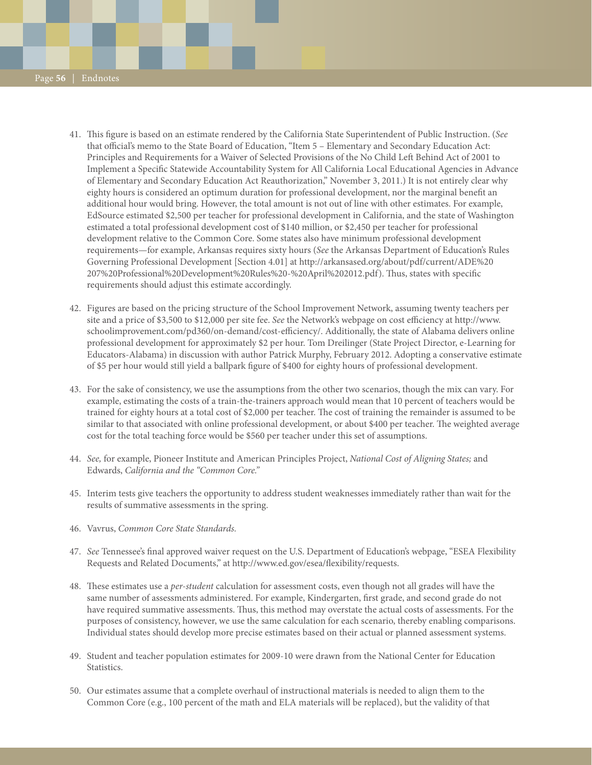- 41. This figure is based on an estimate rendered by the California State Superintendent of Public Instruction. (*See* that official's memo to the State Board of Education, "Item 5 – Elementary and Secondary Education Act: Principles and Requirements for a Waiver of Selected Provisions of the No Child Left Behind Act of 2001 to Implement a Specific Statewide Accountability System for All California Local Educational Agencies in Advance of Elementary and Secondary Education Act Reauthorization," November 3, 2011.) It is not entirely clear why eighty hours is considered an optimum duration for professional development, nor the marginal benefit an additional hour would bring. However, the total amount is not out of line with other estimates. For example, EdSource estimated \$2,500 per teacher for professional development in California, and the state of Washington estimated a total professional development cost of \$140 million, or \$2,450 per teacher for professional development relative to the Common Core. Some states also have minimum professional development requirements—for example, Arkansas requires sixty hours (*See* the Arkansas Department of Education's Rules Governing Professional Development [Section 4.01] at http://arkansased.org/about/pdf/current/ADE%20 207%20Professional%20Development%20Rules%20-%20April%202012.pdf). Thus, states with specific requirements should adjust this estimate accordingly.
- 42. Figures are based on the pricing structure of the School Improvement Network, assuming twenty teachers per site and a price of \$3,500 to \$12,000 per site fee. *See* the Network's webpage on cost efficiency at http://www. schoolimprovement.com/pd360/on-demand/cost-efficiency/. Additionally, the state of Alabama delivers online professional development for approximately \$2 per hour. Tom Dreilinger (State Project Director, e-Learning for Educators-Alabama) in discussion with author Patrick Murphy, February 2012. Adopting a conservative estimate of \$5 per hour would still yield a ballpark figure of \$400 for eighty hours of professional development.
- 43. For the sake of consistency, we use the assumptions from the other two scenarios, though the mix can vary. For example, estimating the costs of a train-the-trainers approach would mean that 10 percent of teachers would be trained for eighty hours at a total cost of \$2,000 per teacher. The cost of training the remainder is assumed to be similar to that associated with online professional development, or about \$400 per teacher. The weighted average cost for the total teaching force would be \$560 per teacher under this set of assumptions.
- 44. *See,* for example, Pioneer Institute and American Principles Project, *National Cost of Aligning States;* and Edwards, *California and the "Common Core."*
- 45. Interim tests give teachers the opportunity to address student weaknesses immediately rather than wait for the results of summative assessments in the spring.
- 46. Vavrus, *Common Core State Standards.*
- 47. *See* Tennessee's final approved waiver request on the U.S. Department of Education's webpage, "ESEA Flexibility Requests and Related Documents," at http://www.ed.gov/esea/flexibility/requests.
- 48. These estimates use a *per-student* calculation for assessment costs, even though not all grades will have the same number of assessments administered. For example, Kindergarten, first grade, and second grade do not have required summative assessments. Thus, this method may overstate the actual costs of assessments. For the purposes of consistency, however, we use the same calculation for each scenario, thereby enabling comparisons. Individual states should develop more precise estimates based on their actual or planned assessment systems.
- 49. Student and teacher population estimates for 2009-10 were drawn from the National Center for Education Statistics.
- 50. Our estimates assume that a complete overhaul of instructional materials is needed to align them to the Common Core (e.g., 100 percent of the math and ELA materials will be replaced), but the validity of that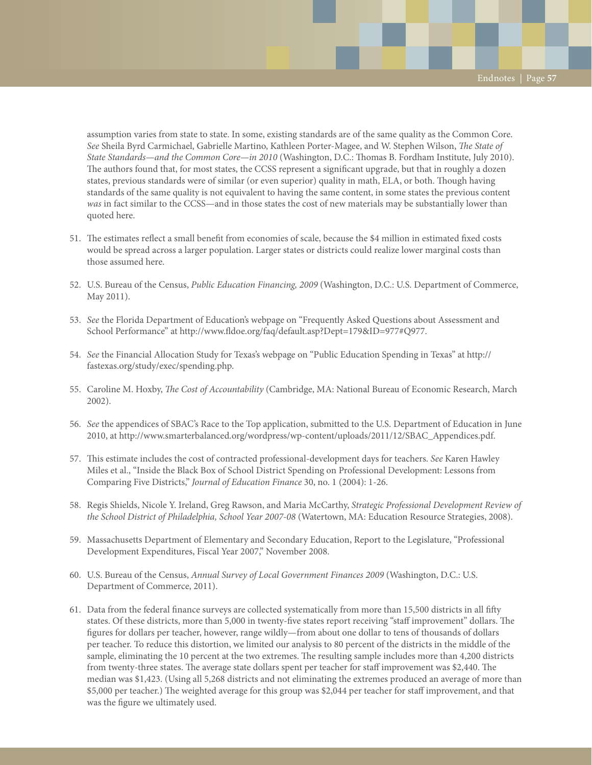assumption varies from state to state. In some, existing standards are of the same quality as the Common Core. *See* Sheila Byrd Carmichael, Gabrielle Martino, Kathleen Porter-Magee, and W. Stephen Wilson, *The State of State Standards—and the Common Core—in 2010* (Washington, D.C.: Thomas B. Fordham Institute, July 2010). The authors found that, for most states, the CCSS represent a significant upgrade, but that in roughly a dozen states, previous standards were of similar (or even superior) quality in math, ELA, or both. Though having standards of the same quality is not equivalent to having the same content, in some states the previous content *was* in fact similar to the CCSS—and in those states the cost of new materials may be substantially lower than quoted here.

- 51. The estimates reflect a small benefit from economies of scale, because the \$4 million in estimated fixed costs would be spread across a larger population. Larger states or districts could realize lower marginal costs than those assumed here.
- 52. U.S. Bureau of the Census, *Public Education Financing, 2009* (Washington, D.C.: U.S. Department of Commerce, May 2011).
- 53. *See* the Florida Department of Education's webpage on "Frequently Asked Questions about Assessment and School Performance" at http://www.fldoe.org/faq/default.asp?Dept=179&ID=977#Q977.
- 54. *See* the Financial Allocation Study for Texas's webpage on "Public Education Spending in Texas" at http:// fastexas.org/study/exec/spending.php.
- 55. Caroline M. Hoxby, *The Cost of Accountability* (Cambridge, MA: National Bureau of Economic Research, March 2002).
- 56. *See* the appendices of SBAC's Race to the Top application, submitted to the U.S. Department of Education in June 2010, at http://www.smarterbalanced.org/wordpress/wp-content/uploads/2011/12/SBAC\_Appendices.pdf.
- 57. This estimate includes the cost of contracted professional-development days for teachers. *See* Karen Hawley Miles et al., "Inside the Black Box of School District Spending on Professional Development: Lessons from Comparing Five Districts," *Journal of Education Finance* 30, no. 1 (2004): 1-26.
- 58. Regis Shields, Nicole Y. Ireland, Greg Rawson, and Maria McCarthy, *Strategic Professional Development Review of the School District of Philadelphia, School Year 2007-08* (Watertown, MA: Education Resource Strategies, 2008).
- 59. Massachusetts Department of Elementary and Secondary Education, Report to the Legislature, "Professional Development Expenditures, Fiscal Year 2007," November 2008.
- 60. U.S. Bureau of the Census, *Annual Survey of Local Government Finances 2009* (Washington, D.C.: U.S. Department of Commerce, 2011).
- 61. Data from the federal finance surveys are collected systematically from more than 15,500 districts in all fifty states. Of these districts, more than 5,000 in twenty-five states report receiving "staff improvement" dollars. The figures for dollars per teacher, however, range wildly—from about one dollar to tens of thousands of dollars per teacher. To reduce this distortion, we limited our analysis to 80 percent of the districts in the middle of the sample, eliminating the 10 percent at the two extremes. The resulting sample includes more than 4,200 districts from twenty-three states. The average state dollars spent per teacher for staff improvement was \$2,440. The median was \$1,423. (Using all 5,268 districts and not eliminating the extremes produced an average of more than \$5,000 per teacher.) The weighted average for this group was \$2,044 per teacher for staff improvement, and that was the figure we ultimately used.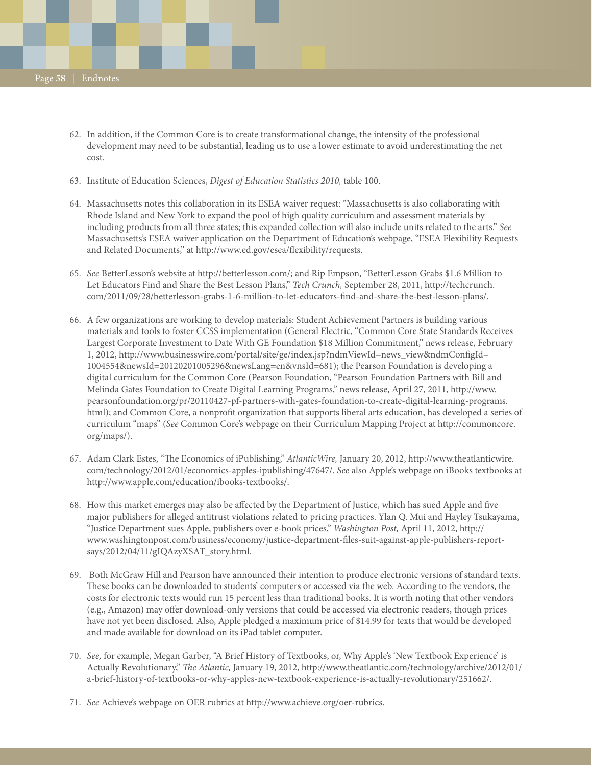- 62. In addition, if the Common Core is to create transformational change, the intensity of the professional development may need to be substantial, leading us to use a lower estimate to avoid underestimating the net cost.
- 63. Institute of Education Sciences, *Digest of Education Statistics 2010,* table 100.
- 64. Massachusetts notes this collaboration in its ESEA waiver request: "Massachusetts is also collaborating with Rhode Island and New York to expand the pool of high quality curriculum and assessment materials by including products from all three states; this expanded collection will also include units related to the arts." *See* Massachusetts's ESEA waiver application on the Department of Education's webpage, "ESEA Flexibility Requests and Related Documents," at http://www.ed.gov/esea/flexibility/requests.
- 65. *See* BetterLesson's website at http://betterlesson.com/; and Rip Empson, "BetterLesson Grabs \$1.6 Million to Let Educators Find and Share the Best Lesson Plans," *Tech Crunch,* September 28, 2011, http://techcrunch. com/2011/09/28/betterlesson-grabs-1-6-million-to-let-educators-find-and-share-the-best-lesson-plans/.
- 66. A few organizations are working to develop materials: Student Achievement Partners is building various materials and tools to foster CCSS implementation (General Electric, "Common Core State Standards Receives Largest Corporate Investment to Date With GE Foundation \$18 Million Commitment," news release, February 1, 2012, http://www.businesswire.com/portal/site/ge/index.jsp?ndmViewId=news\_view&ndmConfigId= 1004554&newsId=20120201005296&newsLang=en&vnsId=681); the Pearson Foundation is developing a digital curriculum for the Common Core (Pearson Foundation, "Pearson Foundation Partners with Bill and Melinda Gates Foundation to Create Digital Learning Programs," news release, April 27, 2011, http://www. pearsonfoundation.org/pr/20110427-pf-partners-with-gates-foundation-to-create-digital-learning-programs. html); and Common Core, a nonprofit organization that supports liberal arts education, has developed a series of curriculum "maps" (*See* Common Core's webpage on their Curriculum Mapping Project at http://commoncore. org/maps/).
- 67. Adam Clark Estes, "The Economics of iPublishing," *AtlanticWire,* January 20, 2012, http://www.theatlanticwire. com/technology/2012/01/economics-apples-ipublishing/47647/. *See* also Apple's webpage on iBooks textbooks at http://www.apple.com/education/ibooks-textbooks/.
- 68. How this market emerges may also be affected by the Department of Justice, which has sued Apple and five major publishers for alleged antitrust violations related to pricing practices. Ylan Q. Mui and Hayley Tsukayama, "Justice Department sues Apple, publishers over e-book prices," *Washington Post,* April 11, 2012, http:// www.washingtonpost.com/business/economy/justice-department-files-suit-against-apple-publishers-reportsays/2012/04/11/gIQAzyXSAT\_story.html.
- 69. Both McGraw Hill and Pearson have announced their intention to produce electronic versions of standard texts. These books can be downloaded to students' computers or accessed via the web. According to the vendors, the costs for electronic texts would run 15 percent less than traditional books. It is worth noting that other vendors (e.g., Amazon) may offer download-only versions that could be accessed via electronic readers, though prices have not yet been disclosed. Also, Apple pledged a maximum price of \$14.99 for texts that would be developed and made available for download on its iPad tablet computer.
- 70. *See,* for example, Megan Garber, "A Brief History of Textbooks, or, Why Apple's 'New Textbook Experience' is Actually Revolutionary," *The Atlantic,* January 19, 2012, http://www.theatlantic.com/technology/archive/2012/01/ a-brief-history-of-textbooks-or-why-apples-new-textbook-experience-is-actually-revolutionary/251662/.
- 71. *See* Achieve's webpage on OER rubrics at http://www.achieve.org/oer-rubrics.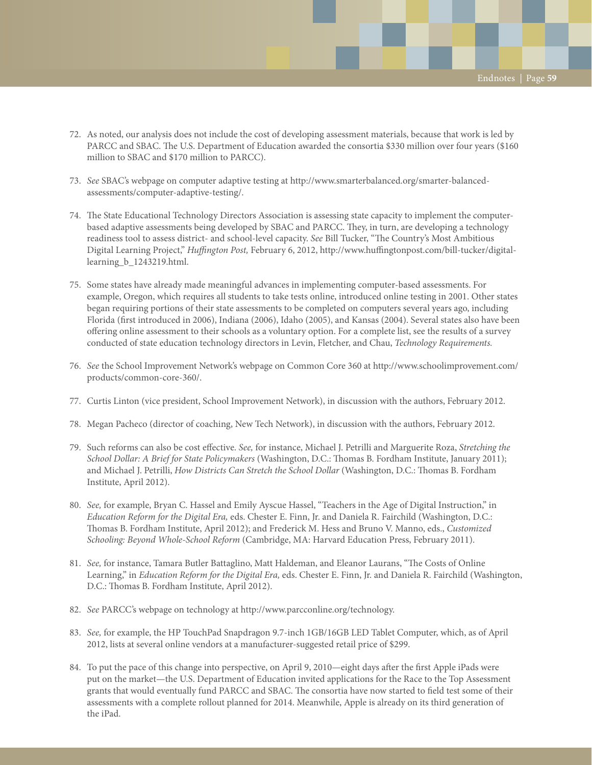- 72. As noted, our analysis does not include the cost of developing assessment materials, because that work is led by PARCC and SBAC. The U.S. Department of Education awarded the consortia \$330 million over four years (\$160 million to SBAC and \$170 million to PARCC).
- 73. *See* SBAC's webpage on computer adaptive testing at http://www.smarterbalanced.org/smarter-balancedassessments/computer-adaptive-testing/.
- 74. The State Educational Technology Directors Association is assessing state capacity to implement the computerbased adaptive assessments being developed by SBAC and PARCC. They, in turn, are developing a technology readiness tool to assess district- and school-level capacity. *See* Bill Tucker, "The Country's Most Ambitious Digital Learning Project," *Huffington Post,* February 6, 2012, http://www.huffingtonpost.com/bill-tucker/digitallearning\_b\_1243219.html.
- 75. Some states have already made meaningful advances in implementing computer-based assessments. For example, Oregon, which requires all students to take tests online, introduced online testing in 2001. Other states began requiring portions of their state assessments to be completed on computers several years ago, including Florida (first introduced in 2006), Indiana (2006), Idaho (2005), and Kansas (2004). Several states also have been offering online assessment to their schools as a voluntary option. For a complete list, see the results of a survey conducted of state education technology directors in Levin, Fletcher, and Chau, *Technology Requirements.*
- 76. *See* the School Improvement Network's webpage on Common Core 360 at http://www.schoolimprovement.com/ products/common-core-360/.
- 77. Curtis Linton (vice president, School Improvement Network), in discussion with the authors, February 2012.
- 78. Megan Pacheco (director of coaching, New Tech Network), in discussion with the authors, February 2012.
- 79. Such reforms can also be cost effective. *See,* for instance, Michael J. Petrilli and Marguerite Roza, *Stretching the School Dollar: A Brief for State Policymakers* (Washington, D.C.: Thomas B. Fordham Institute, January 2011); and Michael J. Petrilli, *How Districts Can Stretch the School Dollar* (Washington, D.C.: Thomas B. Fordham Institute, April 2012).
- 80. *See,* for example, Bryan C. Hassel and Emily Ayscue Hassel, "Teachers in the Age of Digital Instruction," in *Education Reform for the Digital Era,* eds. Chester E. Finn, Jr. and Daniela R. Fairchild (Washington, D.C.: Thomas B. Fordham Institute, April 2012); and Frederick M. Hess and Bruno V. Manno, eds., *Customized Schooling: Beyond Whole-School Reform* (Cambridge, MA: Harvard Education Press, February 2011).
- 81. *See,* for instance, Tamara Butler Battaglino, Matt Haldeman, and Eleanor Laurans, "The Costs of Online Learning," in *Education Reform for the Digital Era,* eds. Chester E. Finn, Jr. and Daniela R. Fairchild (Washington, D.C.: Thomas B. Fordham Institute, April 2012).
- 82. *See* PARCC's webpage on technology at http://www.parcconline.org/technology.
- 83. *See,* for example, the HP TouchPad Snapdragon 9.7-inch 1GB/16GB LED Tablet Computer, which, as of April 2012, lists at several online vendors at a manufacturer-suggested retail price of \$299.
- 84. To put the pace of this change into perspective, on April 9, 2010—eight days after the first Apple iPads were put on the market—the U.S. Department of Education invited applications for the Race to the Top Assessment grants that would eventually fund PARCC and SBAC. The consortia have now started to field test some of their assessments with a complete rollout planned for 2014. Meanwhile, Apple is already on its third generation of the iPad.